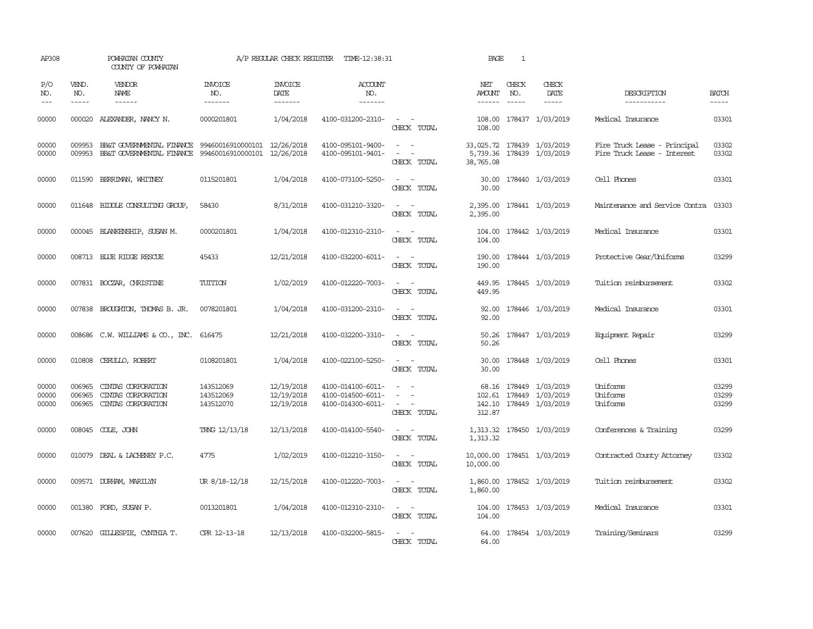| AP308                   |                               | POWHATAN COUNTY<br>COUNTY OF POWHATAN                                                                                                                                                                                                                                                                                                                                                                                                                                     |                                     | A/P REGULAR CHECK REGISTER             | TIME-12:38:31                                               |                                                                                                                                                                            | PAGE                           | 1            |                                                                       |                                                             |                         |
|-------------------------|-------------------------------|---------------------------------------------------------------------------------------------------------------------------------------------------------------------------------------------------------------------------------------------------------------------------------------------------------------------------------------------------------------------------------------------------------------------------------------------------------------------------|-------------------------------------|----------------------------------------|-------------------------------------------------------------|----------------------------------------------------------------------------------------------------------------------------------------------------------------------------|--------------------------------|--------------|-----------------------------------------------------------------------|-------------------------------------------------------------|-------------------------|
| P/O<br>NO.<br>$---$     | VEND.<br>NO.<br>$\frac{1}{2}$ | VENDOR<br>NAME<br>$\begin{tabular}{ccccc} \multicolumn{2}{c }{\multicolumn{2}{c }{\multicolumn{2}{c }{\multicolumn{2}{c}}{\hspace{-2.2cm}}}} \multicolumn{2}{c }{\multicolumn{2}{c }{\hspace{-2.2cm}}\hline} \multicolumn{2}{c }{\hspace{-2.2cm}}\hline \multicolumn{2}{c }{\hspace{-2.2cm}}\hline \multicolumn{2}{c }{\hspace{-2.2cm}}\hline \multicolumn{2}{c }{\hspace{-2.2cm}}\hline \multicolumn{2}{c }{\hspace{-2.2cm}}\hline \multicolumn{2}{c }{\hspace{-2.2cm}}$ | INVOICE<br>NO.<br>-------           | <b>INVOICE</b><br>DATE<br>-------      | <b>ACCOUNT</b><br>NO.<br>-------                            |                                                                                                                                                                            | NET<br>AMOUNT<br>$- - - - - -$ | CHECK<br>NO. | CHECK<br>DATE<br>$- - - - -$                                          | DESCRIPTION<br>-----------                                  | <b>BATCH</b><br>-----   |
| 00000                   | 000020                        | ALEXANDER, NANCY N.                                                                                                                                                                                                                                                                                                                                                                                                                                                       | 0000201801                          | 1/04/2018                              | 4100-031200-2310-                                           | $\overline{\phantom{a}}$<br>CHECK TOTAL                                                                                                                                    | 108.00                         |              | 108.00 178437 1/03/2019                                               | Medical Insurance                                           | 03301                   |
| 00000<br>00000          | 009953<br>009953              | BB&T GOVERNMENTAL FINANCE<br>BB&T GOVERNMENTAL FINANCE 99460016910000101 12/26/2018                                                                                                                                                                                                                                                                                                                                                                                       | 99460016910000101 12/26/2018        |                                        | 4100-095101-9400-<br>4100-095101-9401-                      | $\omega_{\rm{max}}$ and $\omega_{\rm{max}}$<br>$\frac{1}{2} \left( \frac{1}{2} \right) \left( \frac{1}{2} \right) = \frac{1}{2} \left( \frac{1}{2} \right)$<br>CHECK TOTAL | 38,765.08                      |              | 33,025.72 178439 1/03/2019<br>5,739.36 178439 1/03/2019               | Fire Truck Lease - Principal<br>Fire Truck Lease - Interest | 03302<br>03302          |
| 00000                   |                               | 011590 BERRIMAN, WHITNEY                                                                                                                                                                                                                                                                                                                                                                                                                                                  | 0115201801                          | 1/04/2018                              | 4100-073100-5250-                                           | $\sim$ 10 $\sim$ 10 $\sim$<br>CHECK TOTAL                                                                                                                                  | 30.00                          |              | 30.00 178440 1/03/2019                                                | Cell Phones                                                 | 03301                   |
| 00000                   |                               | 011648 BIDDLE CONSULTING GROUP,                                                                                                                                                                                                                                                                                                                                                                                                                                           | 58430                               | 8/31/2018                              | 4100-031210-3320-                                           | $\sim$<br>$\overline{\phantom{a}}$<br>CHECK TOTAL                                                                                                                          | 2,395.00<br>2,395.00           |              | 178441 1/03/2019                                                      | Maintenance and Service Contra                              | 03303                   |
| 00000                   |                               | 000045 BLANKENSHIP, SUSAN M.                                                                                                                                                                                                                                                                                                                                                                                                                                              | 0000201801                          | 1/04/2018                              | 4100-012310-2310-                                           | $\sim$ $ \sim$<br>CHECK TOTAL                                                                                                                                              | 104.00<br>104.00               |              | 178442 1/03/2019                                                      | Medical Insurance                                           | 03301                   |
| 00000                   |                               | 008713 BLUE RIDGE RESCUE                                                                                                                                                                                                                                                                                                                                                                                                                                                  | 45433                               | 12/21/2018                             | 4100-032200-6011-                                           | $\frac{1}{2} \left( \frac{1}{2} \right) \left( \frac{1}{2} \right) = \frac{1}{2} \left( \frac{1}{2} \right)$<br>CHECK TOTAL                                                | 190.00<br>190.00               |              | 178444 1/03/2019                                                      | Protective Gear/Uniforms                                    | 03299                   |
| 00000                   |                               | 007831 BOCZAR, CHRISTINE                                                                                                                                                                                                                                                                                                                                                                                                                                                  | TUITION                             | 1/02/2019                              | 4100-012220-7003-                                           | $\sim$ $ \sim$<br>CHECK TOTAL                                                                                                                                              | 449.95<br>449.95               |              | 178445 1/03/2019                                                      | Tuition reimbursement                                       | 03302                   |
| 00000                   |                               | 007838 BROUGHTON, THOMAS B. JR.                                                                                                                                                                                                                                                                                                                                                                                                                                           | 0078201801                          | 1/04/2018                              | 4100-031200-2310-                                           | $\sim$ $ \sim$<br>CHECK TOTAL                                                                                                                                              | 92.00<br>92.00                 |              | 178446 1/03/2019                                                      | Medical Insurance                                           | 03301                   |
| 00000                   |                               | 008686 C.W. WILLIAMS & CO., INC. 616475                                                                                                                                                                                                                                                                                                                                                                                                                                   |                                     | 12/21/2018                             | 4100-032200-3310-                                           | $\frac{1}{2} \left( \frac{1}{2} \right) \left( \frac{1}{2} \right) = \frac{1}{2} \left( \frac{1}{2} \right)$<br>CHECK TOTAL                                                | 50.26<br>50.26                 |              | 178447 1/03/2019                                                      | Equipment Repair                                            | 03299                   |
| 00000                   |                               | 010808 CERULLO, ROBERT                                                                                                                                                                                                                                                                                                                                                                                                                                                    | 0108201801                          | 1/04/2018                              | 4100-022100-5250-                                           | $\sim$ $ \sim$<br>CHECK TOTAL                                                                                                                                              | 30.00<br>30.00                 |              | 178448 1/03/2019                                                      | Cell Phones                                                 | 03301                   |
| 00000<br>00000<br>00000 | 006965<br>006965<br>006965    | CINIAS CORPORATION<br>CINIAS CORPORATION<br>CINIAS CORPORATION                                                                                                                                                                                                                                                                                                                                                                                                            | 143512069<br>143512069<br>143512070 | 12/19/2018<br>12/19/2018<br>12/19/2018 | 4100-014100-6011-<br>4100-014500-6011-<br>4100-014300-6011- | $\sim$<br>CHECK TOTAL                                                                                                                                                      | 142.10<br>312.87               |              | 68.16 178449 1/03/2019<br>102.61 178449 1/03/2019<br>178449 1/03/2019 | Uniforms<br>Uniforms<br>Uniforms                            | 03299<br>03299<br>03299 |
| 00000                   |                               | 008045 COLE, JOHN                                                                                                                                                                                                                                                                                                                                                                                                                                                         | TRNG 12/13/18                       | 12/13/2018                             | 4100-014100-5540-                                           | $\sim$ $ -$<br>CHECK TOTAL                                                                                                                                                 | 1,313.32<br>1,313.32           |              | 178450 1/03/2019                                                      | Conferences & Training                                      | 03299                   |
| 00000                   |                               | 010079 DEAL & LACHENEY P.C.                                                                                                                                                                                                                                                                                                                                                                                                                                               | 4775                                | 1/02/2019                              | 4100-012210-3150-                                           | $\sim$ $ \sim$<br>CHECK TOTAL                                                                                                                                              | 10,000.00<br>10,000.00         |              | 178451 1/03/2019                                                      | Contracted County Attomey                                   | 03302                   |
| 00000                   |                               | 009571 DURHAM, MARILYN                                                                                                                                                                                                                                                                                                                                                                                                                                                    | UR 8/18-12/18                       | 12/15/2018                             | 4100-012220-7003-                                           | $\sim$ $ -$<br>CHECK TOTAL                                                                                                                                                 | 1,860.00<br>1,860.00           |              | 178452 1/03/2019                                                      | Tuition reimbursement                                       | 03302                   |
| 00000                   |                               | 001380 FORD, SUSAN P.                                                                                                                                                                                                                                                                                                                                                                                                                                                     | 0013201801                          | 1/04/2018                              | 4100-012310-2310-                                           | $\sim$ $\sim$<br>CHECK TOTAL                                                                                                                                               | 104.00                         |              | 104.00 178453 1/03/2019                                               | Medical Insurance                                           | 03301                   |
| 00000                   |                               | 007620 GILLESPIE, CYNIHIA T.                                                                                                                                                                                                                                                                                                                                                                                                                                              | CPR 12-13-18                        | 12/13/2018                             | 4100-032200-5815-                                           | $\sim$ $ \sim$<br>CHECK TOTAL                                                                                                                                              | 64.00                          |              | 64.00 178454 1/03/2019                                                | Training/Seminars                                           | 03299                   |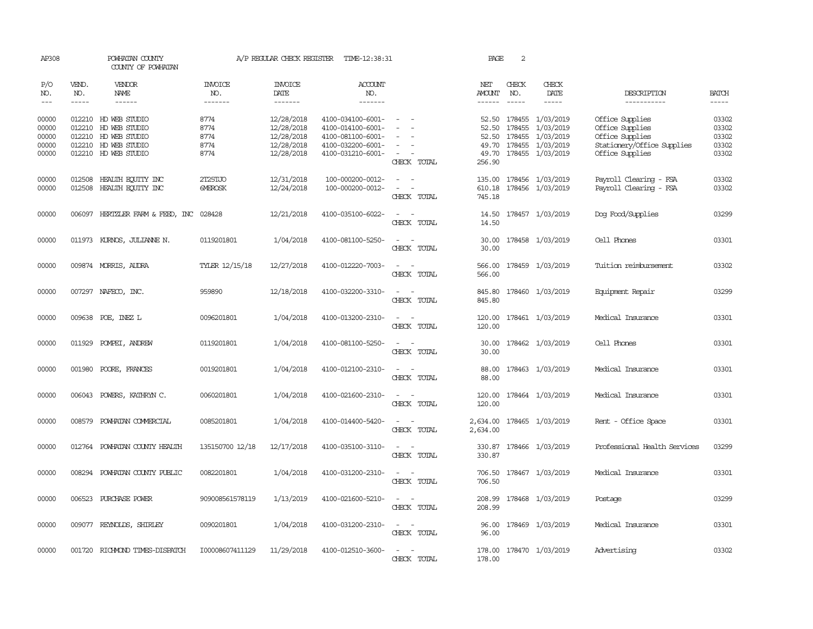| AP308                                     |                             | POWHATAN COUNTY<br>COUNTY OF POWHATAN                                                                                |                                      | A/P REGULAR CHECK REGISTER                                         | TIME-12:38:31                                                                                         |                                                             | PAGE                       | 2                                |                                                                                         |                                                                                                        |                                           |
|-------------------------------------------|-----------------------------|----------------------------------------------------------------------------------------------------------------------|--------------------------------------|--------------------------------------------------------------------|-------------------------------------------------------------------------------------------------------|-------------------------------------------------------------|----------------------------|----------------------------------|-----------------------------------------------------------------------------------------|--------------------------------------------------------------------------------------------------------|-------------------------------------------|
| P/O<br>NO.<br>$\frac{1}{2}$               | VEND.<br>NO.<br>$- - - - -$ | <b>VENDOR</b><br><b>NAME</b><br>------                                                                               | <b>INVOICE</b><br>NO.<br>-------     | <b>INVOICE</b><br>DATE<br>-------                                  | <b>ACCOUNT</b><br>NO.<br>-------                                                                      |                                                             | NET<br>AMOUNT<br>------    | CHECK<br>NO.<br>$- - - - -$      | CHECK<br>DATE<br>-----                                                                  | DESCRIPTION<br>-----------                                                                             | <b>BATCH</b><br>$- - - - -$               |
| 00000<br>00000<br>00000<br>00000<br>00000 |                             | 012210 HD WEB STUDIO<br>012210 HD WEB STUDIO<br>012210 HD WEB STUDIO<br>012210 HD WEB STUDIO<br>012210 HD WEB STUDIO | 8774<br>8774<br>8774<br>8774<br>8774 | 12/28/2018<br>12/28/2018<br>12/28/2018<br>12/28/2018<br>12/28/2018 | 4100-034100-6001-<br>4100-014100-6001-<br>4100-081100-6001-<br>4100-032200-6001-<br>4100-031210-6001- | $\sim$<br>$\overline{\phantom{a}}$<br>$\sim$<br>CHECK TOTAL | 52.50<br>49.70<br>256.90   | 178455<br>52.50 178455<br>178455 | 52.50 178455 1/03/2019<br>1/03/2019<br>1/03/2019<br>1/03/2019<br>49.70 178455 1/03/2019 | Office Supplies<br>Office Supplies<br>Office Supplies<br>Stationery/Office Supplies<br>Office Supplies | 03302<br>03302<br>03302<br>03302<br>03302 |
| 00000<br>00000                            |                             | 012508 HEALTH EQUITY INC<br>012508 HEALTH EQUITY INC                                                                 | 2T25TJO<br><b>GMEROSK</b>            | 12/31/2018<br>12/24/2018                                           | 100-000200-0012-<br>100-000200-0012-                                                                  | $\overline{\phantom{a}}$<br>CHECK TOTAL                     | 135.00<br>610.18<br>745.18 |                                  | 178456 1/03/2019<br>178456 1/03/2019                                                    | Payroll Clearing - FSA<br>Payroll Clearing - FSA                                                       | 03302<br>03302                            |
| 00000                                     |                             | 006097 HERTZLER FARM & FEED, INC                                                                                     | 028428                               | 12/21/2018                                                         | 4100-035100-6022-                                                                                     | $\sim$<br>$\overline{\phantom{a}}$<br>CHECK TOTAL           | 14.50                      |                                  | 14.50 178457 1/03/2019                                                                  | Dog Food/Supplies                                                                                      | 03299                                     |
| 00000                                     |                             | 011973 KURNOS, JULIANNE N.                                                                                           | 0119201801                           | 1/04/2018                                                          | 4100-081100-5250-                                                                                     | $\sim$<br>$\sim$<br>CHECK TOTAL                             | 30.00<br>30.00             |                                  | 178458 1/03/2019                                                                        | Cell Phones                                                                                            | 03301                                     |
| 00000                                     |                             | 009874 MORRIS, AUDRA                                                                                                 | TYLER 12/15/18                       | 12/27/2018                                                         | 4100-012220-7003-                                                                                     | $\sim$<br>CHECK TOTAL                                       | 566.00<br>566.00           |                                  | 178459 1/03/2019                                                                        | Tuition reimbursement                                                                                  | 03302                                     |
| 00000                                     |                             | 007297 NAFECO, INC.                                                                                                  | 959890                               | 12/18/2018                                                         | 4100-032200-3310-                                                                                     | $\overline{\phantom{a}}$<br>CHECK TOTAL                     | 845.80<br>845.80           |                                  | 178460 1/03/2019                                                                        | Equipment Repair                                                                                       | 03299                                     |
| 00000                                     |                             | 009638 POE, INEZ L                                                                                                   | 0096201801                           | 1/04/2018                                                          | 4100-013200-2310-                                                                                     | $\sim$<br>$\sim$<br>CHECK TOTAL                             | 120.00<br>120.00           |                                  | 178461 1/03/2019                                                                        | Medical Insurance                                                                                      | 03301                                     |
| 00000                                     |                             | 011929 POMPEI, ANDREW                                                                                                | 0119201801                           | 1/04/2018                                                          | 4100-081100-5250-                                                                                     | $\sim$<br>$\overline{\phantom{a}}$<br>CHECK TOTAL           | 30.00<br>30.00             |                                  | 178462 1/03/2019                                                                        | Cell Phones                                                                                            | 03301                                     |
| 00000                                     | 001980                      | POORE, FRANCES                                                                                                       | 0019201801                           | 1/04/2018                                                          | 4100-012100-2310-                                                                                     | $\overline{\phantom{a}}$<br>$\sim$<br>CHECK TOTAL           | 88.00<br>88.00             |                                  | 178463 1/03/2019                                                                        | Medical Insurance                                                                                      | 03301                                     |
| 00000                                     |                             | 006043 POWERS, KATHRYN C.                                                                                            | 0060201801                           | 1/04/2018                                                          | 4100-021600-2310-                                                                                     | CHECK TOTAL                                                 | 120.00<br>120.00           |                                  | 178464 1/03/2019                                                                        | Medical Insurance                                                                                      | 03301                                     |
| 00000                                     | 008579                      | POWHATAN COMMERCIAL                                                                                                  | 0085201801                           | 1/04/2018                                                          | 4100-014400-5420-                                                                                     | CHECK TOTAL                                                 | 2,634.00                   |                                  | 2,634.00 178465 1/03/2019                                                               | Rent - Office Space                                                                                    | 03301                                     |
| 00000                                     | 012764                      | POWHATAN COUNTY HEALTH                                                                                               | 135150700 12/18                      | 12/17/2018                                                         | 4100-035100-3110-                                                                                     | CHECK TOTAL                                                 | 330.87<br>330.87           |                                  | 178466 1/03/2019                                                                        | Professional Health Services                                                                           | 03299                                     |
| 00000                                     | 008294                      | POWHATAN COUNTY PUBLIC                                                                                               | 0082201801                           | 1/04/2018                                                          | 4100-031200-2310-                                                                                     | CHECK TOTAL                                                 | 706.50<br>706.50           |                                  | 178467 1/03/2019                                                                        | Medical Insurance                                                                                      | 03301                                     |
| 00000                                     |                             | 006523 PURCHASE POWER                                                                                                | 909008561578119                      | 1/13/2019                                                          | 4100-021600-5210-                                                                                     | $\overline{\phantom{a}}$<br>CHECK TOTAL                     | 208.99<br>208.99           |                                  | 178468 1/03/2019                                                                        | Postage                                                                                                | 03299                                     |
| 00000                                     |                             | 009077 REYNOLDS, SHIRLEY                                                                                             | 0090201801                           | 1/04/2018                                                          | 4100-031200-2310-                                                                                     | $\sim$<br>CHECK TOTAL                                       | 96.00<br>96.00             |                                  | 178469 1/03/2019                                                                        | Medical Insurance                                                                                      | 03301                                     |
| 00000                                     |                             | 001720 RICHMOND TIMES-DISPATCH                                                                                       | I00008607411129                      | 11/29/2018                                                         | 4100-012510-3600-                                                                                     | $\sim$<br>$\sim$<br>CHECK TOTAL                             | 178.00                     |                                  | 178.00 178470 1/03/2019                                                                 | Advertising                                                                                            | 03302                                     |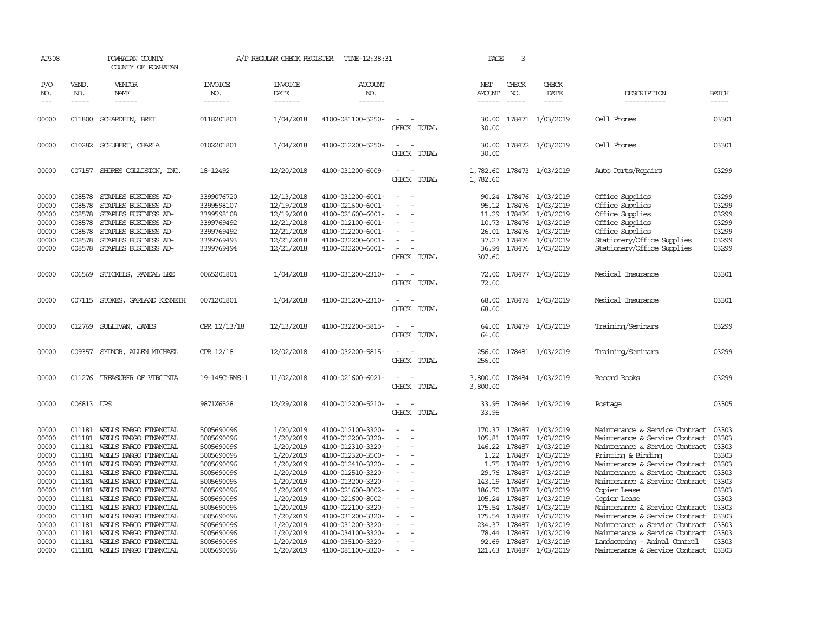| AP308                                                       |                                                          | POWHATAN COUNTY<br>COUNTY OF POWHATAN                                                                                                                                       |                                                                                                | A/P REGULAR CHECK REGISTER                                                                     | TIME-12:38:31                                                                                                                                   |                                                                                 | PAGE                                                | 3                                           |                                                                                                                                        |                                                                                                                                                         |                                                             |
|-------------------------------------------------------------|----------------------------------------------------------|-----------------------------------------------------------------------------------------------------------------------------------------------------------------------------|------------------------------------------------------------------------------------------------|------------------------------------------------------------------------------------------------|-------------------------------------------------------------------------------------------------------------------------------------------------|---------------------------------------------------------------------------------|-----------------------------------------------------|---------------------------------------------|----------------------------------------------------------------------------------------------------------------------------------------|---------------------------------------------------------------------------------------------------------------------------------------------------------|-------------------------------------------------------------|
| P/O<br>NO.<br>$---$                                         | VEND.<br>NO.<br>$- - - - -$                              | VENDOR<br>NAME<br>$- - - - - -$                                                                                                                                             | <b>INVOICE</b><br>NO.<br>-------                                                               | <b>INVOICE</b><br>DATE<br>-------                                                              | <b>ACCOUNT</b><br>NO.<br>-------                                                                                                                |                                                                                 | NET<br>AMOUNT<br>$- - - - - -$                      | CHECK<br>NO.<br>$\frac{1}{2}$               | CHECK<br>DATE<br>-----                                                                                                                 | DESCRIPTION<br>-----------                                                                                                                              | <b>BATCH</b><br>$- - - - -$                                 |
| 00000                                                       | 011800                                                   | SCHARDEIN, BRET                                                                                                                                                             | 0118201801                                                                                     | 1/04/2018                                                                                      | 4100-081100-5250-                                                                                                                               | CHECK TOTAL                                                                     | 30.00                                               |                                             | 30.00 178471 1/03/2019                                                                                                                 | Cell Phones                                                                                                                                             | 03301                                                       |
| 00000                                                       |                                                          | 010282 SCHUBERT, CHARLA                                                                                                                                                     | 0102201801                                                                                     | 1/04/2018                                                                                      | 4100-012200-5250-                                                                                                                               | CHECK<br>TOTAL                                                                  | 30.00                                               |                                             | 30.00 178472 1/03/2019                                                                                                                 | Cell Phones                                                                                                                                             | 03301                                                       |
| 00000                                                       |                                                          | 007157 SHORES COLLISION, INC.                                                                                                                                               | 18-12492                                                                                       | 12/20/2018                                                                                     | 4100-031200-6009-                                                                                                                               | $\equiv$<br>$\sim$<br>CHECK TOTAL                                               | 1,782.60<br>1,782.60                                |                                             | 178473 1/03/2019                                                                                                                       | Auto Parts/Repairs                                                                                                                                      | 03299                                                       |
| 00000<br>00000<br>00000<br>00000<br>00000<br>00000<br>00000 | 008578<br>008578<br>008578<br>008578<br>008578<br>008578 | STAPLES BUSINESS AD-<br>STAPLES BUSINESS AD-<br>STAPLES BUSINESS AD-<br>STAPLES BUSINESS AD-<br>STAPLES BUSINESS AD-<br>STAPLES BUSINESS AD-<br>008578 STAPLES BUSINESS AD- | 3399076720<br>3399598107<br>3399598108<br>3399769492<br>3399769492<br>3399769493<br>3399769494 | 12/13/2018<br>12/19/2018<br>12/19/2018<br>12/21/2018<br>12/21/2018<br>12/21/2018<br>12/21/2018 | 4100-031200-6001-<br>4100-021600-6001-<br>4100-021600-6001-<br>4100-012100-6001-<br>4100-012200-6001-<br>4100-032200-6001-<br>4100-032200-6001- | $\equiv$<br>$\overline{\phantom{a}}$<br>$\overline{\phantom{a}}$<br>CHECK TOTAL | 90.24<br>95.12<br>11.29<br>10.73<br>37.27<br>307.60 | 178476<br>178476                            | 178476 1/03/2019<br>1/03/2019<br>1/03/2019<br>178476 1/03/2019<br>26.01 178476 1/03/2019<br>178476 1/03/2019<br>36.94 178476 1/03/2019 | Office Supplies<br>Office Supplies<br>Office Supplies<br>Office Supplies<br>Office Supplies<br>Stationery/Office Supplies<br>Stationery/Office Supplies | 03299<br>03299<br>03299<br>03299<br>03299<br>03299<br>03299 |
| 00000                                                       | 006569                                                   | STICKELS, RANDAL LEE                                                                                                                                                        | 0065201801                                                                                     | 1/04/2018                                                                                      | 4100-031200-2310-                                                                                                                               | CHECK TOTAL                                                                     | 72.00<br>72.00                                      |                                             | 178477 1/03/2019                                                                                                                       | Medical Insurance                                                                                                                                       | 03301                                                       |
| 00000                                                       |                                                          | 007115 STOKES, GARLAND KENNETH                                                                                                                                              | 0071201801                                                                                     | 1/04/2018                                                                                      | 4100-031200-2310-                                                                                                                               | CHECK TOTAL                                                                     | 68.00<br>68.00                                      |                                             | 178478 1/03/2019                                                                                                                       | Medical Insurance                                                                                                                                       | 03301                                                       |
| 00000                                                       | 012769                                                   | SULLIVAN, JAMES                                                                                                                                                             | CPR 12/13/18                                                                                   | 12/13/2018                                                                                     | 4100-032200-5815-                                                                                                                               | CHECK TOTAL                                                                     | 64.00<br>64.00                                      |                                             | 178479 1/03/2019                                                                                                                       | Training/Seminars                                                                                                                                       | 03299                                                       |
| 00000                                                       |                                                          | 009357 SYDNOR, ALLEN MICHAEL                                                                                                                                                | CPR 12/18                                                                                      | 12/02/2018                                                                                     | 4100-032200-5815-                                                                                                                               | CHECK TOTAL                                                                     | 256.00<br>256.00                                    |                                             | 178481 1/03/2019                                                                                                                       | Training/Seminars                                                                                                                                       | 03299                                                       |
| 00000                                                       | 011276                                                   | TREASURER OF VIRGINIA                                                                                                                                                       | 19-145C-RMS-1                                                                                  | 11/02/2018                                                                                     | 4100-021600-6021-                                                                                                                               | CHECK TOTAL                                                                     | 3,800.00<br>3,800.00                                |                                             | 178484 1/03/2019                                                                                                                       | Record Books                                                                                                                                            | 03299                                                       |
| 00000                                                       | 006813 UPS                                               |                                                                                                                                                                             | 9871X6528                                                                                      | 12/29/2018                                                                                     | 4100-012200-5210-                                                                                                                               | CHECK TOTAL                                                                     | 33.95<br>33.95                                      |                                             | 178486 1/03/2019                                                                                                                       | Postage                                                                                                                                                 | 03305                                                       |
| 00000<br>00000<br>00000                                     | 011181<br>011181<br>011181                               | WEILS FARGO FINANCIAL<br>WELLS FARGO FINANCIAL<br>WELLS FARGO FINANCIAL                                                                                                     | 5005690096<br>5005690096<br>5005690096                                                         | 1/20/2019<br>1/20/2019<br>1/20/2019                                                            | 4100-012100-3320-<br>4100-012200-3320-<br>4100-012310-3320-                                                                                     | $\overline{\phantom{a}}$<br>$\sim$<br>$\equiv$                                  | 170.37<br>105.81<br>146.22                          | 178487<br>178487<br>178487                  | 1/03/2019<br>1/03/2019<br>1/03/2019                                                                                                    | Maintenance & Service Contract<br>Maintenance & Service Contract<br>Maintenance & Service Contract                                                      | 03303<br>03303<br>03303                                     |
| 00000<br>00000<br>00000                                     | 011181<br>011181<br>011181                               | WELLS FARGO FINANCIAL<br>WELLS FARGO FINANCIAL<br>WELLS FARGO FINANCIAL                                                                                                     | 5005690096<br>5005690096<br>5005690096                                                         | 1/20/2019<br>1/20/2019<br>1/20/2019                                                            | 4100-012320-3500-<br>4100-012410-3320-<br>4100-012510-3320-                                                                                     |                                                                                 | 1.22<br>1.75<br>29.76                               | 178487<br>178487<br>178487                  | 1/03/2019<br>1/03/2019<br>1/03/2019                                                                                                    | Printing & Binding<br>Maintenance & Service Contract<br>Maintenance & Service Contract                                                                  | 03303<br>03303<br>03303                                     |
| 00000<br>00000<br>00000<br>00000                            | 011181<br>011181<br>011181<br>011181                     | WELLS FARGO FINANCIAL<br>WELLS FARGO FINANCIAL<br>WELLS FARGO FINANCIAL<br>WELLS FARGO FINANCIAL                                                                            | 5005690096<br>5005690096<br>5005690096<br>5005690096                                           | 1/20/2019<br>1/20/2019<br>1/20/2019<br>1/20/2019                                               | 4100-013200-3320-<br>4100-021600-8002-<br>4100-021600-8002-<br>4100-022100-3320-                                                                | $\equiv$                                                                        | 143.19<br>186.70<br>175.54                          | 178487<br>178487<br>105.24 178487<br>178487 | 1/03/2019<br>1/03/2019<br>1/03/2019<br>1/03/2019                                                                                       | Maintenance & Service Contract<br>Copier Lease<br>Copier Lease<br>Maintenance & Service Contract                                                        | 03303<br>03303<br>03303<br>03303                            |
| 00000<br>00000<br>00000                                     | 011181<br>011181<br>011181                               | WELLS FARGO FINANCIAL<br>WELLS FARGO FINANCIAL<br>WELLS FARGO FINANCIAL                                                                                                     | 5005690096<br>5005690096<br>5005690096                                                         | 1/20/2019<br>1/20/2019<br>1/20/2019                                                            | 4100-031200-3320-<br>4100-031200-3320-<br>4100-034100-3320-                                                                                     |                                                                                 | 175.54<br>234.37<br>78.44                           | 178487<br>178487<br>178487                  | 1/03/2019<br>1/03/2019<br>1/03/2019                                                                                                    | Maintenance & Service Contract<br>Maintenance & Service Contract<br>Maintenance & Service Contract                                                      | 03303<br>03303<br>03303                                     |
| 00000<br>00000                                              | 011181<br>011181                                         | WELLS FARGO FINANCIAL<br>WELLS FARGO FINANCIAL                                                                                                                              | 5005690096<br>5005690096                                                                       | 1/20/2019<br>1/20/2019                                                                         | 4100-035100-3320-<br>4100-081100-3320-                                                                                                          |                                                                                 | 92.69                                               | 178487                                      | 1/03/2019<br>121.63 178487 1/03/2019                                                                                                   | Landscaping - Animal Control<br>Maintenance & Service Contract                                                                                          | 03303<br>03303                                              |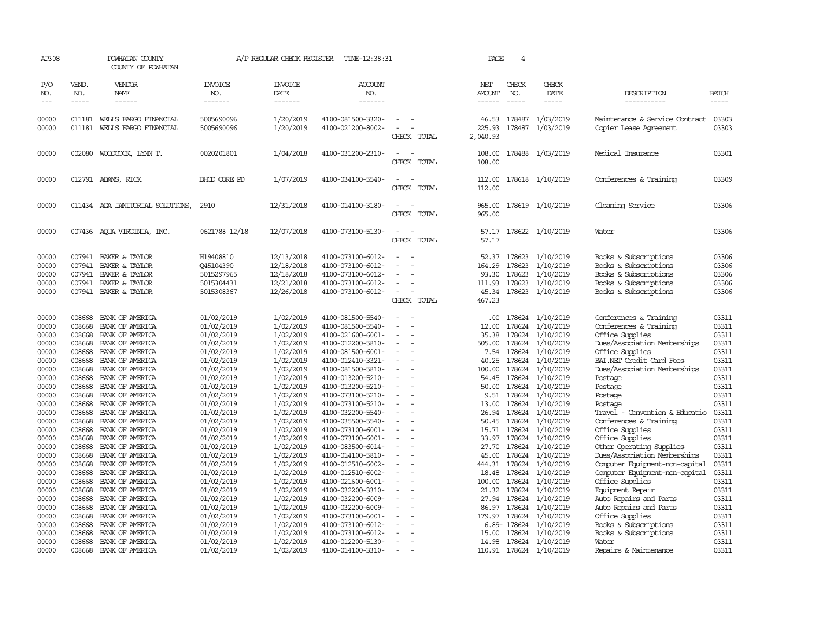| AP308               |                       | POWHATAN COUNTY<br>COUNTY OF POWHATAN |                           | A/P REGULAR CHECK REGISTER        | TIME-12:38:31                          |                          | PAGE                    | $\overline{4}$   |                                    |                                                          |                             |
|---------------------|-----------------------|---------------------------------------|---------------------------|-----------------------------------|----------------------------------------|--------------------------|-------------------------|------------------|------------------------------------|----------------------------------------------------------|-----------------------------|
| P/O<br>NO.<br>$---$ | VEND.<br>NO.<br>----- | VENDOR<br>NAME<br>------              | INVOICE<br>NO.<br>------- | <b>INVOICE</b><br>DATE<br>------- | ACCOUNT<br>NO.<br>-------              |                          | NET<br>AMOUNT<br>------ | CHECK<br>NO.     | CHECK<br>DATE<br>-----             | DESCRIPTION<br>-----------                               | <b>BATCH</b><br>$- - - - -$ |
| 00000               | 011181                | WEILS FARGO FINANCIAL                 | 5005690096                | 1/20/2019                         | 4100-081500-3320-                      |                          | 46.53                   |                  | 178487 1/03/2019                   | Maintenance & Service Contract                           | 03303                       |
| 00000               | 011181                | WELLS FARGO FINANCIAL                 | 5005690096                | 1/20/2019                         | 4100-021200-8002-                      | CHECK TOTAL              | 225.93<br>2,040.93      | 178487           | 1/03/2019                          | Copier Lease Agreement                                   | 03303                       |
| 00000               | 002080                | WOODCOCK, LYNN T.                     | 0020201801                | 1/04/2018                         | 4100-031200-2310-                      | CHECK TOTAL              | 108.00<br>108.00        |                  | 178488 1/03/2019                   | Medical Insurance                                        | 03301                       |
| 00000               |                       | 012791 ADAMS, RICK                    | DHOD CORE PD              | 1/07/2019                         | 4100-034100-5540-                      | CHECK TOTAL              | 112.00<br>112.00        |                  | 178618 1/10/2019                   | Conferences & Training                                   | 03309                       |
| 00000               |                       | 011434 AGA JANITORIAL SOLUTIONS,      | 2910                      | 12/31/2018                        | 4100-014100-3180-                      | CHECK TOTAL              | 965.00<br>965.00        |                  | 178619 1/10/2019                   | Cleaning Service                                         | 03306                       |
| 00000               |                       | 007436 AQUA VIRGINIA, INC.            | 0621788 12/18             | 12/07/2018                        | 4100-073100-5130-                      | $\equiv$<br>CHECK TOTAL  | 57.17<br>57.17          |                  | 178622 1/10/2019                   | Water                                                    | 03306                       |
| 00000               | 007941                | BAKER & TAYLOR                        | H19408810                 | 12/13/2018                        | 4100-073100-6012-                      |                          | 52.37                   |                  | 178623 1/10/2019                   | Books & Subscriptions                                    | 03306                       |
| 00000               | 007941                | BAKER & TAYLOR                        | 045104390                 | 12/18/2018                        | 4100-073100-6012-                      |                          | 164.29                  | 178623           | 1/10/2019                          | Books & Subscriptions                                    | 03306                       |
| 00000               | 007941                | BAKER & TAYLOR                        | 5015297965                | 12/18/2018                        | 4100-073100-6012-                      |                          | 93.30                   | 178623           | 1/10/2019                          | Books & Subscriptions                                    | 03306                       |
| 00000               | 007941                | BAKER & TAYLOR                        | 5015304431                | 12/21/2018                        | 4100-073100-6012-                      |                          | 111.93                  | 178623           | 1/10/2019                          | Books & Subscriptions                                    | 03306                       |
| 00000               |                       | 007941 BAKER & TAYLOR                 | 5015308367                | 12/26/2018                        | 4100-073100-6012-                      | $\equiv$<br>CHECK TOTAL  | 467.23                  |                  | 45.34 178623 1/10/2019             | Books & Subscriptions                                    | 03306                       |
| 00000               | 008668                | BANK OF AMERICA                       | 01/02/2019                | 1/02/2019                         | 4100-081500-5540-                      |                          | .00.                    |                  | 178624 1/10/2019                   | Conferences & Training                                   | 03311                       |
| 00000               | 008668                | BANK OF AMERICA                       | 01/02/2019                | 1/02/2019                         | 4100-081500-5540-                      |                          | 12.00                   | 178624           | 1/10/2019                          | Conferences & Training                                   | 03311                       |
| 00000               | 008668                | BANK OF AMERICA                       | 01/02/2019                | 1/02/2019                         | 4100-021600-6001-                      | $\equiv$                 | 35.38                   | 178624           | 1/10/2019                          | Office Supplies                                          | 03311                       |
| 00000               | 008668                | BANK OF AMERICA                       | 01/02/2019                | 1/02/2019                         | 4100-012200-5810-                      |                          | 505.00                  | 178624           | 1/10/2019                          | Dues/Association Memberships                             | 03311                       |
| 00000               | 008668<br>008668      | BANK OF AMERICA                       | 01/02/2019                | 1/02/2019                         | 4100-081500-6001-                      |                          | 7.54                    | 178624<br>178624 | 1/10/2019                          | Office Supplies                                          | 03311<br>03311              |
| 00000<br>00000      | 008668                | BANK OF AMERICA<br>BANK OF AMERICA    | 01/02/2019<br>01/02/2019  | 1/02/2019<br>1/02/2019            | 4100-012410-3321-<br>4100-081500-5810- | $\sim$                   | 40.25<br>100.00         | 178624           | 1/10/2019<br>1/10/2019             | BAI.NET Credit Card Fees<br>Dues/Association Memberships | 03311                       |
| 00000               | 008668                | BANK OF AMERICA                       | 01/02/2019                | 1/02/2019                         | 4100-013200-5210-                      | $\sim$                   | 54.45                   | 178624           | 1/10/2019                          | Postage                                                  | 03311                       |
| 00000               | 008668                | BANK OF AMERICA                       | 01/02/2019                | 1/02/2019                         | 4100-013200-5210-                      |                          | 50.00                   | 178624           | 1/10/2019                          | Postage                                                  | 03311                       |
| 00000               | 008668                | BANK OF AMERICA                       | 01/02/2019                | 1/02/2019                         | 4100-073100-5210-                      | $\equiv$                 | 9.51                    | 178624           | 1/10/2019                          | Postage                                                  | 03311                       |
| 00000               | 008668                | BANK OF AMERICA                       | 01/02/2019                | 1/02/2019                         | 4100-073100-5210-                      |                          | 13.00                   | 178624           | 1/10/2019                          | Postage                                                  | 03311                       |
| 00000               | 008668                | BANK OF AMERICA                       | 01/02/2019                | 1/02/2019                         | 4100-032200-5540-                      |                          | 26.94                   | 178624           | 1/10/2019                          | Travel - Convention & Educatio                           | 03311                       |
| 00000               | 008668                | BANK OF AMERICA                       | 01/02/2019                | 1/02/2019                         | 4100-035500-5540-                      | $\sim$                   | 50.45                   | 178624           | 1/10/2019                          | Conferences & Training                                   | 03311                       |
| 00000               | 008668                | BANK OF AMERICA                       | 01/02/2019                | 1/02/2019                         | 4100-073100-6001-                      | $\equiv$                 | 15.71                   |                  | 178624 1/10/2019                   | Office Supplies                                          | 03311                       |
| 00000               | 008668                | BANK OF AMERICA                       | 01/02/2019                | 1/02/2019                         | 4100-073100-6001-                      |                          | 33.97                   | 178624           | 1/10/2019                          | Office Supplies                                          | 03311                       |
| 00000               | 008668                | BANK OF AMERICA                       | 01/02/2019                | 1/02/2019                         | 4100-083500-6014-                      |                          | 27.70                   | 178624           | 1/10/2019                          | Other Operating Supplies                                 | 03311                       |
| 00000               | 008668                | BANK OF AMERICA                       | 01/02/2019                | 1/02/2019                         | 4100-014100-5810-                      | $\sim$                   | 45.00                   |                  | 178624 1/10/2019                   | Dues/Association Memberships                             | 03311                       |
| 00000               | 008668                | BANK OF AMERICA                       | 01/02/2019                | 1/02/2019                         | 4100-012510-6002-                      | $\equiv$                 | 444.31                  | 178624           | 1/10/2019                          | Computer Equipment-non-capital                           | 03311                       |
| 00000               | 008668                | BANK OF AMERICA                       | 01/02/2019                | 1/02/2019                         | 4100-012510-6002-                      |                          | 18.48                   | 178624           | 1/10/2019                          | Computer Equipment-non-capital                           | 03311                       |
| 00000               | 008668                | BANK OF AMERICA                       | 01/02/2019                | 1/02/2019                         | 4100-021600-6001-                      |                          | 100.00                  |                  | 178624 1/10/2019                   | Office Supplies                                          | 03311                       |
| 00000               | 008668                | BANK OF AMERICA                       | 01/02/2019                | 1/02/2019                         | 4100-032200-3310-                      | $\equiv$                 | 21.32                   | 178624           | 1/10/2019                          | Equipment Repair                                         | 03311                       |
| 00000               | 008668                | BANK OF AMERICA                       | 01/02/2019                | 1/02/2019                         | 4100-032200-6009-                      |                          | 27.94                   | 178624           | 1/10/2019                          | Auto Repairs and Parts                                   | 03311                       |
| 00000               | 008668                | BANK OF AMERICA                       | 01/02/2019                | 1/02/2019                         | 4100-032200-6009-                      |                          | 86.97                   |                  | 178624 1/10/2019                   | Auto Repairs and Parts                                   | 03311                       |
| 00000               | 008668                | BANK OF AMERICA                       | 01/02/2019                | 1/02/2019                         | 4100-073100-6001-                      | $\sim$                   | 179.97                  | 178624           | 1/10/2019                          | Office Supplies                                          | 03311                       |
| 00000<br>00000      | 008668<br>008668      | BANK OF AMERICA<br>BANK OF AMERICA    | 01/02/2019<br>01/02/2019  | 1/02/2019<br>1/02/2019            | 4100-073100-6012-<br>4100-073100-6012- | $\sim$                   | 15.00                   | 178624           | 6.89-178624 1/10/2019<br>1/10/2019 | Books & Subscriptions<br>Books & Subscriptions           | 03311<br>03311              |
| 00000               | 008668                | BANK OF AMERICA                       | 01/02/2019                | 1/02/2019                         | 4100-012200-5130-                      |                          | 14.98                   |                  | 178624 1/10/2019                   | Water                                                    | 03311                       |
| 00000               |                       | 008668 BANK OF AMERICA                | 01/02/2019                | 1/02/2019                         | 4100-014100-3310-                      | $\overline{\phantom{a}}$ |                         |                  | 110.91 178624 1/10/2019            | Repairs & Maintenance                                    | 03311                       |
|                     |                       |                                       |                           |                                   |                                        |                          |                         |                  |                                    |                                                          |                             |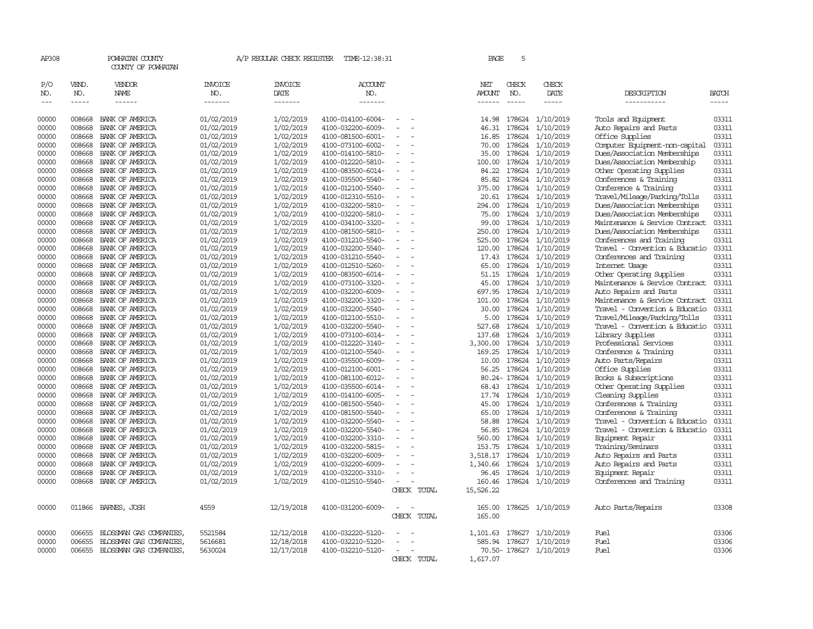| AP308 |        | POWHATAN COUNTY<br>COUNTY OF POWHATAN |            | A/P REGULAR CHECK REGISTER | TIME-12:38:31     |                          | PAGE          | 5             |                        |                                |              |
|-------|--------|---------------------------------------|------------|----------------------------|-------------------|--------------------------|---------------|---------------|------------------------|--------------------------------|--------------|
| P/O   | VEND.  | VENDOR                                | INVOICE    | <b>INVOICE</b>             | <b>ACCOUNT</b>    |                          | NET           | CHECK         | CHECK                  |                                |              |
| NO.   | NO.    | NAME                                  | NO.        | DATE                       | NO.               |                          | AMOUNT        | NO.           | DATE                   | DESCRIPTION                    | <b>BATCH</b> |
| $---$ | -----  | $- - - - - -$                         | -------    | -------                    | -------           |                          | $- - - - - -$ | $\frac{1}{2}$ | -----                  | -----------                    | $- - - - -$  |
| 00000 | 008668 | BANK OF AMERICA                       | 01/02/2019 | 1/02/2019                  | 4100-014100-6004- | $\equiv$                 | 14.98         | 178624        | 1/10/2019              | Tools and Equipment            | 03311        |
|       |        |                                       | 01/02/2019 | 1/02/2019                  | 4100-032200-6009- |                          |               | 178624        | 1/10/2019              | Auto Repairs and Parts         | 03311        |
| 00000 | 008668 | BANK OF AMERICA                       |            |                            |                   |                          | 46.31         |               |                        |                                |              |
| 00000 | 008668 | BANK OF AMERICA                       | 01/02/2019 | 1/02/2019                  | 4100-081500-6001- |                          | 16.85         | 178624        | 1/10/2019              | Office Supplies                | 03311        |
| 00000 | 008668 | BANK OF AMERICA                       | 01/02/2019 | 1/02/2019                  | 4100-073100-6002- |                          | 70.00         | 178624        | 1/10/2019              | Computer Equipment-non-capital | 03311        |
| 00000 | 008668 | BANK OF AMERICA                       | 01/02/2019 | 1/02/2019                  | 4100-014100-5810- | $\overline{\phantom{a}}$ | 35.00         | 178624        | 1/10/2019              | Dues/Association Memberships   | 03311        |
| 00000 | 008668 | BANK OF AMERICA                       | 01/02/2019 | 1/02/2019                  | 4100-012220-5810- |                          | 100.00        | 178624        | 1/10/2019              | Dues/Association Membership    | 03311        |
| 00000 | 008668 | BANK OF AMERICA                       | 01/02/2019 | 1/02/2019                  | 4100-083500-6014- |                          | 84.22         | 178624        | 1/10/2019              | Other Operating Supplies       | 03311        |
| 00000 | 008668 | BANK OF AMERICA                       | 01/02/2019 | 1/02/2019                  | 4100-035500-5540- |                          | 85.82         | 178624        | 1/10/2019              | Conferences & Training         | 03311        |
| 00000 | 008668 | BANK OF AMERICA                       | 01/02/2019 | 1/02/2019                  | 4100-012100-5540- |                          | 375.00        | 178624        | 1/10/2019              | Conference & Training          | 03311        |
| 00000 | 008668 | BANK OF AMERICA                       | 01/02/2019 | 1/02/2019                  | 4100-012310-5510- |                          | 20.61         | 178624        | 1/10/2019              | Travel/Mileage/Parking/Tolls   | 03311        |
| 00000 | 008668 | BANK OF AMERICA                       | 01/02/2019 | 1/02/2019                  | 4100-032200-5810- |                          | 294.00        | 178624        | 1/10/2019              | Dues/Association Memberships   | 03311        |
| 00000 | 008668 | BANK OF AMERICA                       | 01/02/2019 | 1/02/2019                  | 4100-032200-5810- | $\equiv$                 | 75.00         | 178624        | 1/10/2019              | Dues/Association Memberships   | 03311        |
| 00000 | 008668 | BANK OF AMERICA                       | 01/02/2019 | 1/02/2019                  | 4100-034100-3320- |                          | 99.00         | 178624        | 1/10/2019              | Maintenance & Service Contract | 03311        |
| 00000 | 008668 | BANK OF AMERICA                       | 01/02/2019 | 1/02/2019                  | 4100-081500-5810- |                          | 250.00        | 178624        | 1/10/2019              | Dues/Association Memberships   | 03311        |
| 00000 | 008668 | BANK OF AMERICA                       | 01/02/2019 | 1/02/2019                  | 4100-031210-5540- |                          | 525.00        | 178624        | 1/10/2019              | Conferences and Training       | 03311        |
| 00000 | 008668 | BANK OF AMERICA                       | 01/02/2019 | 1/02/2019                  | 4100-032200-5540- | $\equiv$                 | 120.00        | 178624        | 1/10/2019              | Travel - Convention & Educatio | 03311        |
| 00000 | 008668 | BANK OF AMERICA                       | 01/02/2019 | 1/02/2019                  | 4100-031210-5540- | $\equiv$                 | 17.43         | 178624        | 1/10/2019              | Conferences and Training       | 03311        |
| 00000 | 008668 | BANK OF AMERICA                       | 01/02/2019 | 1/02/2019                  | 4100-012510-5260- |                          | 65.00         | 178624        | 1/10/2019              | Internet Usage                 | 03311        |
| 00000 | 008668 | BANK OF AMERICA                       | 01/02/2019 | 1/02/2019                  | 4100-083500-6014- | $\equiv$                 | 51.15         | 178624        | 1/10/2019              | Other Operating Supplies       | 03311        |
| 00000 | 008668 | BANK OF AMERICA                       | 01/02/2019 | 1/02/2019                  | 4100-073100-3320- |                          | 45.00         | 178624        | 1/10/2019              | Maintenance & Service Contract | 03311        |
| 00000 | 008668 | BANK OF AMERICA                       | 01/02/2019 | 1/02/2019                  | 4100-032200-6009- |                          | 697.95        | 178624        | 1/10/2019              | Auto Repairs and Parts         | 03311        |
| 00000 | 008668 | BANK OF AMERICA                       | 01/02/2019 | 1/02/2019                  | 4100-032200-3320- |                          | 101.00        | 178624        | 1/10/2019              | Maintenance & Service Contract | 03311        |
| 00000 | 008668 | BANK OF AMERICA                       | 01/02/2019 | 1/02/2019                  | 4100-032200-5540- | $\equiv$                 | 30.00         | 178624        | 1/10/2019              | Travel - Convention & Educatio | 03311        |
| 00000 | 008668 | BANK OF AMERICA                       | 01/02/2019 | 1/02/2019                  | 4100-012100-5510- |                          | 5.00          | 178624        | 1/10/2019              | Travel/Mileage/Parking/Tolls   | 03311        |
| 00000 | 008668 | BANK OF AMERICA                       | 01/02/2019 | 1/02/2019                  | 4100-032200-5540- |                          | 527.68        | 178624        | 1/10/2019              | Travel - Convention & Educatio | 03311        |
| 00000 | 008668 | BANK OF AMERICA                       | 01/02/2019 | 1/02/2019                  | 4100-073100-6014- |                          | 137.68        | 178624        | 1/10/2019              | Library Supplies               | 03311        |
| 00000 | 008668 | BANK OF AMERICA                       | 01/02/2019 | 1/02/2019                  | 4100-012220-3140- | $\sim$                   | 3,300.00      | 178624        | 1/10/2019              | Professional Services          | 03311        |
| 00000 | 008668 | BANK OF AMERICA                       | 01/02/2019 | 1/02/2019                  | 4100-012100-5540- |                          | 169.25        | 178624        | 1/10/2019              | Conference & Training          | 03311        |
| 00000 | 008668 | BANK OF AMERICA                       | 01/02/2019 | 1/02/2019                  | 4100-035500-6009- |                          | 10.00         | 178624        | 1/10/2019              | Auto Parts/Repairs             | 03311        |
| 00000 | 008668 | BANK OF AMERICA                       | 01/02/2019 | 1/02/2019                  | 4100-012100-6001- |                          | 56.25         | 178624        | 1/10/2019              | Office Supplies                | 03311        |
| 00000 | 008668 | BANK OF AMERICA                       | 01/02/2019 | 1/02/2019                  | 4100-081100-6012- |                          |               | 80.24- 178624 | 1/10/2019              | Books & Subscriptions          | 03311        |
| 00000 | 008668 | BANK OF AMERICA                       | 01/02/2019 | 1/02/2019                  | 4100-035500-6014- |                          | 68.43         | 178624        | 1/10/2019              | Other Operating Supplies       | 03311        |
| 00000 | 008668 | BANK OF AMERICA                       | 01/02/2019 | 1/02/2019                  | 4100-014100-6005- |                          | 17.74         | 178624        | 1/10/2019              | Cleaning Supplies              | 03311        |
| 00000 | 008668 | BANK OF AMERICA                       | 01/02/2019 | 1/02/2019                  | 4100-081500-5540- | $\overline{\phantom{a}}$ | 45.00         | 178624        | 1/10/2019              | Conferences & Training         | 03311        |
| 00000 | 008668 | BANK OF AMERICA                       | 01/02/2019 | 1/02/2019                  | 4100-081500-5540- |                          | 65.00         | 178624        | 1/10/2019              | Conferences & Training         | 03311        |
| 00000 | 008668 | BANK OF AMERICA                       | 01/02/2019 | 1/02/2019                  | 4100-032200-5540- |                          | 58.88         | 178624        | 1/10/2019              | Travel - Convention & Educatio | 03311        |
| 00000 | 008668 | BANK OF AMERICA                       | 01/02/2019 | 1/02/2019                  | 4100-032200-5540- |                          | 56.85         | 178624        | 1/10/2019              | Travel - Convention & Educatio | 03311        |
| 00000 | 008668 | BANK OF AMERICA                       | 01/02/2019 | 1/02/2019                  | 4100-032200-3310- | $\overline{\phantom{a}}$ | 560.00        | 178624        | 1/10/2019              | Equipment Repair               | 03311        |
| 00000 | 008668 | BANK OF AMERICA                       | 01/02/2019 | 1/02/2019                  | 4100-032200-5815- |                          | 153.75        | 178624        | 1/10/2019              | Training/Seminars              | 03311        |
| 00000 | 008668 | BANK OF AMERICA                       | 01/02/2019 | 1/02/2019                  | 4100-032200-6009- |                          | 3,518.17      | 178624        | 1/10/2019              | Auto Repairs and Parts         | 03311        |
| 00000 | 008668 | BANK OF AMERICA                       | 01/02/2019 | 1/02/2019                  | 4100-032200-6009- |                          | 1,340.66      | 178624        | 1/10/2019              | Auto Repairs and Parts         | 03311        |
| 00000 | 008668 | BANK OF AMERICA                       | 01/02/2019 | 1/02/2019                  | 4100-032200-3310- |                          | 96.45         | 178624        | 1/10/2019              | Equipment Repair               | 03311        |
| 00000 | 008668 | BANK OF AMERICA                       | 01/02/2019 | 1/02/2019                  | 4100-012510-5540- | $\sim$                   | 160.46        |               | 178624 1/10/2019       | Conferences and Training       | 03311        |
|       |        |                                       |            |                            |                   | CHECK TOTAL              | 15,526.22     |               |                        |                                |              |
| 00000 |        | 011866 BARNES, JOSH                   | 4559       | 12/19/2018                 | 4100-031200-6009- |                          | 165.00        |               | 178625 1/10/2019       | Auto Parts/Repairs             | 03308        |
|       |        |                                       |            |                            |                   | CHECK TOTAL              | 165.00        |               |                        |                                |              |
| 00000 | 006655 | BLOSSMAN GAS COMPANIES                | 5521584    | 12/12/2018                 | 4100-032220-5120- |                          | 1,101.63      | 178627        | 1/10/2019              | Fuel                           | 03306        |
| 00000 | 006655 | BLOSSMAN GAS COMPANIES,               | 5616681    | 12/18/2018                 | 4100-032210-5120- |                          | 585.94        | 178627        | 1/10/2019              | Fuel                           | 03306        |
| 00000 |        | 006655 BLOSSMAN GAS COMPANIES,        | 5630024    | 12/17/2018                 | 4100-032210-5120- | $\overline{\phantom{a}}$ |               |               | 70.50-178627 1/10/2019 | Fuel                           | 03306        |
|       |        |                                       |            |                            |                   | CHECK TOTAL              | 1,617.07      |               |                        |                                |              |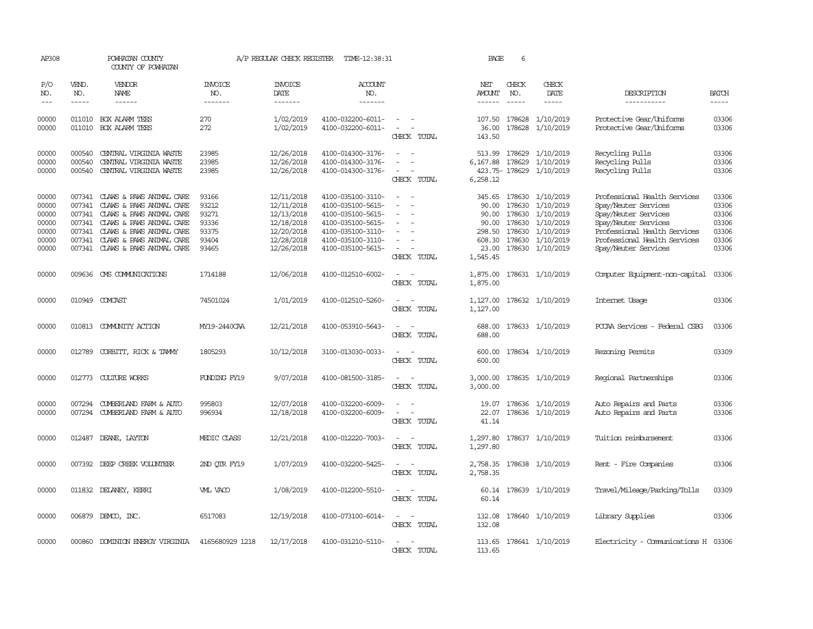| AP308                                                       |                            | POWHATAN COUNTY<br>COUNTY OF POWHATAN                                                                                                                                                                                                                                                                                                                                                                                                                                      |                                                             | A/P REGULAR CHECK REGISTER                                                                     | TIME-12:38:31                                                                                                                                   |                                                                                                                             | PAGE                                                             | 6             |                                                                                                                                                 |                                                                                                                                                                                              |                                                             |
|-------------------------------------------------------------|----------------------------|----------------------------------------------------------------------------------------------------------------------------------------------------------------------------------------------------------------------------------------------------------------------------------------------------------------------------------------------------------------------------------------------------------------------------------------------------------------------------|-------------------------------------------------------------|------------------------------------------------------------------------------------------------|-------------------------------------------------------------------------------------------------------------------------------------------------|-----------------------------------------------------------------------------------------------------------------------------|------------------------------------------------------------------|---------------|-------------------------------------------------------------------------------------------------------------------------------------------------|----------------------------------------------------------------------------------------------------------------------------------------------------------------------------------------------|-------------------------------------------------------------|
| P/O<br>NO.                                                  | VEND.<br>NO.               | VENDOR<br>NAME                                                                                                                                                                                                                                                                                                                                                                                                                                                             | <b>INVOICE</b><br>NO.                                       | <b>INVOICE</b><br>DATE                                                                         | <b>ACCOUNT</b><br>NO.                                                                                                                           |                                                                                                                             | NET<br>AMOUNT                                                    | CHECK<br>NO.  | CHECK<br>DATE                                                                                                                                   | DESCRIPTION                                                                                                                                                                                  | <b>BATCH</b>                                                |
| $---$                                                       | $- - - - -$                | $\frac{1}{2} \left( \frac{1}{2} \right) \left( \frac{1}{2} \right) \left( \frac{1}{2} \right) \left( \frac{1}{2} \right) \left( \frac{1}{2} \right) \left( \frac{1}{2} \right) \left( \frac{1}{2} \right) \left( \frac{1}{2} \right) \left( \frac{1}{2} \right) \left( \frac{1}{2} \right) \left( \frac{1}{2} \right) \left( \frac{1}{2} \right) \left( \frac{1}{2} \right) \left( \frac{1}{2} \right) \left( \frac{1}{2} \right) \left( \frac{1}{2} \right) \left( \frac$ | -------                                                     | -------                                                                                        | -------                                                                                                                                         |                                                                                                                             | ------                                                           | $\frac{1}{2}$ | -----                                                                                                                                           | -----------                                                                                                                                                                                  | -----                                                       |
| 00000<br>00000                                              |                            | 011010 BOX ALARM TEES<br>011010 BOX ALARM TEES                                                                                                                                                                                                                                                                                                                                                                                                                             | 270<br>272                                                  | 1/02/2019<br>1/02/2019                                                                         | 4100-032200-6011-<br>4100-032200-6011-                                                                                                          | $\sim$<br>$\overline{\phantom{a}}$<br>CHECK TOTAL                                                                           | 107.50<br>36.00<br>143.50                                        | 178628        | 1/10/2019<br>178628 1/10/2019                                                                                                                   | Protective Gear/Uniforms<br>Protective Gear/Uniforms                                                                                                                                         | 03306<br>03306                                              |
| 00000<br>00000<br>00000                                     | 000540<br>000540<br>000540 | CENTRAL VIRGINIA WASTE<br>CENTRAL VIRGINIA WASTE<br>CENTRAL VIRGINIA WASTE                                                                                                                                                                                                                                                                                                                                                                                                 | 23985<br>23985<br>23985                                     | 12/26/2018<br>12/26/2018<br>12/26/2018                                                         | 4100-014300-3176-<br>4100-014300-3176-<br>4100-014300-3176-                                                                                     | $\overline{\phantom{a}}$<br>CHECK TOTAL                                                                                     | 513.99<br>6,167.88<br>6,258.12                                   | 178629        | 1/10/2019<br>178629 1/10/2019<br>423.75-178629 1/10/2019                                                                                        | Recycling Pulls<br>Recycling Pulls<br>Recycling Pulls                                                                                                                                        | 03306<br>03306<br>03306                                     |
| 00000<br>00000<br>00000<br>00000<br>00000<br>00000<br>00000 | 007341<br>007341<br>007341 | 007341 CLAWS & PAWS ANIMAL CARE<br>CLAWS & PAWS ANIMAL CARE<br>CLAWS & PAWS ANIMAL CARE<br>007341 CLAWS & PAWS ANIMAL CARE<br>CLAWS & PAWS ANIMAL CARE<br>007341 CLAWS & PAWS ANIMAL CARE<br>007341 CLAWS & PAWS ANIMAL CARE                                                                                                                                                                                                                                               | 93166<br>93212<br>93271<br>93336<br>93375<br>93404<br>93465 | 12/11/2018<br>12/11/2018<br>12/13/2018<br>12/18/2018<br>12/20/2018<br>12/28/2018<br>12/26/2018 | 4100-035100-3110-<br>4100-035100-5615-<br>4100-035100-5615-<br>4100-035100-5615-<br>4100-035100-3110-<br>4100-035100-3110-<br>4100-035100-5615- | $\sim$<br>$\sim$<br>÷.<br>$\equiv$<br>$\sim$<br>CHECK TOTAL                                                                 | 90.00<br>90.00<br>90.00<br>298.50<br>608.30<br>23.00<br>1,545.45 |               | 345.65 178630 1/10/2019<br>178630 1/10/2019<br>178630 1/10/2019<br>178630 1/10/2019<br>178630 1/10/2019<br>178630 1/10/2019<br>178630 1/10/2019 | Professional Health Services<br>Spay/Neuter Services<br>Spay/Neuter Services<br>Spay/Neuter Services<br>Professional Health Services<br>Professional Health Services<br>Spay/Neuter Services | 03306<br>03306<br>03306<br>03306<br>03306<br>03306<br>03306 |
| 00000                                                       |                            | 009636 CMS COMMUNICATIONS                                                                                                                                                                                                                                                                                                                                                                                                                                                  | 1714188                                                     | 12/06/2018                                                                                     | 4100-012510-6002-                                                                                                                               | $\sim$<br>$\overline{\phantom{a}}$<br>CHECK TOTAL                                                                           | 1,875.00<br>1,875.00                                             |               | 178631 1/10/2019                                                                                                                                | Computer Equipment-non-capital                                                                                                                                                               | 03306                                                       |
| 00000                                                       |                            | 010949 COMCAST                                                                                                                                                                                                                                                                                                                                                                                                                                                             | 74501024                                                    | 1/01/2019                                                                                      | 4100-012510-5260-                                                                                                                               | CHECK TOTAL                                                                                                                 | 1,127.00<br>1,127.00                                             |               | 178632 1/10/2019                                                                                                                                | Internet Usage                                                                                                                                                                               | 03306                                                       |
| 00000                                                       |                            | 010813 COMUNITY ACTION                                                                                                                                                                                                                                                                                                                                                                                                                                                     | MY19-2440CAA                                                | 12/21/2018                                                                                     | 4100-053910-5643-                                                                                                                               | $\sim$<br>CHECK TOTAL                                                                                                       | 688.00<br>688.00                                                 |               | 178633 1/10/2019                                                                                                                                | PCCAA Services - Federal CSBG                                                                                                                                                                | 03306                                                       |
| 00000                                                       | 012789                     | CORBITT, RICK & TAMMY                                                                                                                                                                                                                                                                                                                                                                                                                                                      | 1805293                                                     | 10/12/2018                                                                                     | 3100-013030-0033-                                                                                                                               | $\sim$<br>CHECK TOTAL                                                                                                       | 600.00<br>600.00                                                 |               | 178634 1/10/2019                                                                                                                                | Rezoning Permits                                                                                                                                                                             | 03309                                                       |
| 00000                                                       |                            | 012773 CULTURE WORKS                                                                                                                                                                                                                                                                                                                                                                                                                                                       | FUNDING FY19                                                | 9/07/2018                                                                                      | 4100-081500-3185-                                                                                                                               | $\equiv$<br>CHECK TOTAL                                                                                                     | 3,000.00<br>3,000.00                                             |               | 178635 1/10/2019                                                                                                                                | Regional Partnerships                                                                                                                                                                        | 03306                                                       |
| 00000<br>00000                                              | 007294<br>007294           | CUMBERLAND FARM & AUTO<br>CUMBERLAND FARM & AUTO                                                                                                                                                                                                                                                                                                                                                                                                                           | 995803<br>996934                                            | 12/07/2018<br>12/18/2018                                                                       | 4100-032200-6009-<br>4100-032200-6009-                                                                                                          | CHECK TOTAL                                                                                                                 | 19.07<br>22.07<br>41.14                                          |               | 178636 1/10/2019<br>178636 1/10/2019                                                                                                            | Auto Repairs and Parts<br>Auto Repairs and Parts                                                                                                                                             | 03306<br>03306                                              |
| 00000                                                       |                            | 012487 DEANE, LAYTON                                                                                                                                                                                                                                                                                                                                                                                                                                                       | MEDIC CLASS                                                 | 12/21/2018                                                                                     | 4100-012220-7003-                                                                                                                               | $\overline{\phantom{a}}$<br>CHECK TOTAL                                                                                     | 1,297.80<br>1,297.80                                             |               | 178637 1/10/2019                                                                                                                                | Tuition reimbursement                                                                                                                                                                        | 03306                                                       |
| 00000                                                       |                            | 007392 DEEP CREEK VOLUNTEER                                                                                                                                                                                                                                                                                                                                                                                                                                                | 2ND OTR FY19                                                | 1/07/2019                                                                                      | 4100-032200-5425-                                                                                                                               | CHECK TOTAL                                                                                                                 | 2,758.35<br>2,758.35                                             |               | 178638 1/10/2019                                                                                                                                | Rent - Fire Companies                                                                                                                                                                        | 03306                                                       |
| 00000                                                       |                            | 011832 DELANEY, KERRI                                                                                                                                                                                                                                                                                                                                                                                                                                                      | VML VACO                                                    | 1/08/2019                                                                                      | 4100-012200-5510-                                                                                                                               | CHECK TOTAL                                                                                                                 | 60.14                                                            |               | 60.14 178639 1/10/2019                                                                                                                          | Travel/Mileage/Parking/Tolls                                                                                                                                                                 | 03309                                                       |
| 00000                                                       |                            | 006879 DEMCO, INC.                                                                                                                                                                                                                                                                                                                                                                                                                                                         | 6517083                                                     | 12/19/2018                                                                                     | 4100-073100-6014-                                                                                                                               | $\frac{1}{2} \left( \frac{1}{2} \right) \left( \frac{1}{2} \right) = \frac{1}{2} \left( \frac{1}{2} \right)$<br>CHECK TOTAL | 132.08<br>132.08                                                 |               | 178640 1/10/2019                                                                                                                                | Library Supplies                                                                                                                                                                             | 03306                                                       |
| 00000                                                       |                            | 000860 DOMINION ENERGY VIRGINIA                                                                                                                                                                                                                                                                                                                                                                                                                                            | 4165680929 1218                                             | 12/17/2018                                                                                     | 4100-031210-5110-                                                                                                                               | CHECK<br><b>TOTAL</b>                                                                                                       | 113.65                                                           |               | 113.65 178641 1/10/2019                                                                                                                         | Electricity - Comunications H 03306                                                                                                                                                          |                                                             |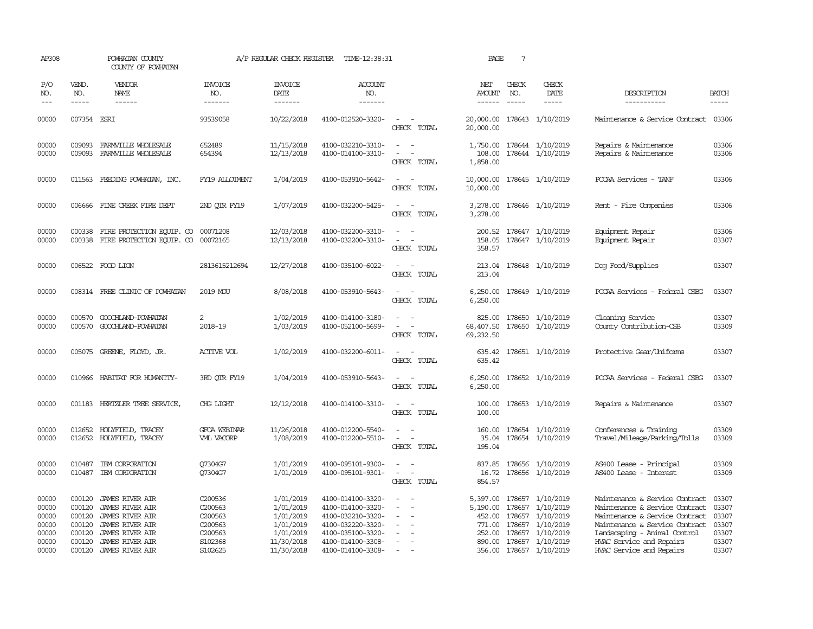| AP308                                                       |                                                                    | POWHATAN COUNTY<br>COUNTY OF POWHATAN                                                                                                                                                                                                                                                                                                                                                                                                                                                               |                                                                                       | A/P REGULAR CHECK REGISTER                                                                | TIME-12:38:31                                                                                                                                   |                                                                                                                             | PAGE                                               | $7\phantom{.0}$               |                                                                                                                                                        |                                                                                                                                                                                                                              |                                                             |
|-------------------------------------------------------------|--------------------------------------------------------------------|-----------------------------------------------------------------------------------------------------------------------------------------------------------------------------------------------------------------------------------------------------------------------------------------------------------------------------------------------------------------------------------------------------------------------------------------------------------------------------------------------------|---------------------------------------------------------------------------------------|-------------------------------------------------------------------------------------------|-------------------------------------------------------------------------------------------------------------------------------------------------|-----------------------------------------------------------------------------------------------------------------------------|----------------------------------------------------|-------------------------------|--------------------------------------------------------------------------------------------------------------------------------------------------------|------------------------------------------------------------------------------------------------------------------------------------------------------------------------------------------------------------------------------|-------------------------------------------------------------|
| P/O<br>NO.<br>$---$                                         | VEND.<br>NO.<br>$\frac{1}{2}$                                      | <b>VENDOR</b><br>NAME<br>$\frac{1}{2} \left( \frac{1}{2} \right) \left( \frac{1}{2} \right) \left( \frac{1}{2} \right) \left( \frac{1}{2} \right) \left( \frac{1}{2} \right) \left( \frac{1}{2} \right) \left( \frac{1}{2} \right) \left( \frac{1}{2} \right) \left( \frac{1}{2} \right) \left( \frac{1}{2} \right) \left( \frac{1}{2} \right) \left( \frac{1}{2} \right) \left( \frac{1}{2} \right) \left( \frac{1}{2} \right) \left( \frac{1}{2} \right) \left( \frac{1}{2} \right) \left( \frac$ | <b>INVOICE</b><br>NO.<br>--------                                                     | <b>INVOICE</b><br>DATE<br>--------                                                        | <b>ACCOUNT</b><br>NO.<br>-------                                                                                                                |                                                                                                                             | NET<br>AMOUNT<br>------                            | CHECK<br>NO.<br>$\frac{1}{2}$ | CHECK<br>DATE<br>$\frac{1}{2}$                                                                                                                         | DESCRIPTION<br>-----------                                                                                                                                                                                                   | <b>BATCH</b><br>$- - - - -$                                 |
| 00000                                                       | 007354 ESRI                                                        |                                                                                                                                                                                                                                                                                                                                                                                                                                                                                                     | 93539058                                                                              | 10/22/2018                                                                                | 4100-012520-3320-                                                                                                                               | $\overline{\phantom{a}}$<br>CHECK TOTAL                                                                                     | 20,000.00<br>20,000.00                             |                               | 178643 1/10/2019                                                                                                                                       | Maintenance & Service Contract                                                                                                                                                                                               | 03306                                                       |
| 00000<br>00000                                              | 009093<br>009093                                                   | FARMVILLE WHOLESALE<br>FARMVILLE WHOLESALE                                                                                                                                                                                                                                                                                                                                                                                                                                                          | 652489<br>654394                                                                      | 11/15/2018<br>12/13/2018                                                                  | 4100-032210-3310-<br>4100-014100-3310-                                                                                                          | $\sim$ $\sim$<br>$\overline{\phantom{a}}$<br>CHECK TOTAL                                                                    | 1,750.00<br>108.00<br>1,858.00                     |                               | 178644 1/10/2019<br>178644 1/10/2019                                                                                                                   | Repairs & Maintenance<br>Repairs & Maintenance                                                                                                                                                                               | 03306<br>03306                                              |
| 00000                                                       |                                                                    | 011563 FEEDING POWHATAN, INC.                                                                                                                                                                                                                                                                                                                                                                                                                                                                       | FY19 ALLOIMENT                                                                        | 1/04/2019                                                                                 | 4100-053910-5642-                                                                                                                               | $\equiv$<br>CHECK TOTAL                                                                                                     | 10,000.00<br>10,000.00                             |                               | 178645 1/10/2019                                                                                                                                       | PCCAA Services - TANF                                                                                                                                                                                                        | 03306                                                       |
| 00000                                                       |                                                                    | 006666 FINE CREEK FIRE DEPT                                                                                                                                                                                                                                                                                                                                                                                                                                                                         | 2ND QTR FY19                                                                          | 1/07/2019                                                                                 | 4100-032200-5425-                                                                                                                               | $\sim$<br>CHECK TOTAL                                                                                                       | 3,278.00<br>3,278.00                               |                               | 178646 1/10/2019                                                                                                                                       | Rent - Fire Companies                                                                                                                                                                                                        | 03306                                                       |
| 00000<br>00000                                              | 000338<br>000338                                                   | FIRE PROTECTION EQUIP. CO<br>FIRE PROTECTION EQUIP. CO                                                                                                                                                                                                                                                                                                                                                                                                                                              | 00071208<br>00072165                                                                  | 12/03/2018<br>12/13/2018                                                                  | 4100-032200-3310-<br>4100-032200-3310-                                                                                                          | $\equiv$<br>CHECK TOTAL                                                                                                     | 158.05<br>358.57                                   |                               | 200.52 178647 1/10/2019<br>178647 1/10/2019                                                                                                            | Equipment Repair<br>Equipment Repair                                                                                                                                                                                         | 03306<br>03307                                              |
| 00000                                                       |                                                                    | 006522 FOOD LION                                                                                                                                                                                                                                                                                                                                                                                                                                                                                    | 2813615212694                                                                         | 12/27/2018                                                                                | 4100-035100-6022-                                                                                                                               | $\sim$<br>CHECK TOTAL                                                                                                       | 213.04<br>213.04                                   |                               | 178648 1/10/2019                                                                                                                                       | Dog Food/Supplies                                                                                                                                                                                                            | 03307                                                       |
| 00000                                                       |                                                                    | 008314 FREE CLINIC OF POWHATAN                                                                                                                                                                                                                                                                                                                                                                                                                                                                      | 2019 MOU                                                                              | 8/08/2018                                                                                 | 4100-053910-5643-                                                                                                                               | $\sim$<br>CHECK TOTAL                                                                                                       | 6,250.00<br>6,250.00                               |                               | 178649 1/10/2019                                                                                                                                       | PCCAA Services - Federal CSBG                                                                                                                                                                                                | 03307                                                       |
| 00000<br>00000                                              | 000570                                                             | 000570 GOOCHLAND-POWHATAN<br>GOOCHLAND-POWHATAN                                                                                                                                                                                                                                                                                                                                                                                                                                                     | 2<br>2018-19                                                                          | 1/02/2019<br>1/03/2019                                                                    | 4100-014100-3180-<br>4100-052100-5699-                                                                                                          | $\overline{\phantom{a}}$<br>CHECK TOTAL                                                                                     | 825.00<br>68,407.50<br>69,232.50                   |                               | 178650 1/10/2019<br>178650 1/10/2019                                                                                                                   | Cleaning Service<br>County Contribution-CSB                                                                                                                                                                                  | 03307<br>03309                                              |
| 00000                                                       |                                                                    | 005075 GREENE, FLOYD, JR.                                                                                                                                                                                                                                                                                                                                                                                                                                                                           | <b>ACTIVE VOL</b>                                                                     | 1/02/2019                                                                                 | 4100-032200-6011-                                                                                                                               | $ -$<br>CHECK TOTAL                                                                                                         | 635.42                                             |                               | 635.42 178651 1/10/2019                                                                                                                                | Protective Gear/Uniforms                                                                                                                                                                                                     | 03307                                                       |
| 00000                                                       |                                                                    | 010966 HABITAT FOR HUMANITY-                                                                                                                                                                                                                                                                                                                                                                                                                                                                        | 3RD OTR FY19                                                                          | 1/04/2019                                                                                 | 4100-053910-5643-                                                                                                                               | $\overline{\phantom{a}}$<br>CHECK TOTAL                                                                                     | 6,250.00<br>6,250.00                               |                               | 178652 1/10/2019                                                                                                                                       | PCCAA Services - Federal CSBG                                                                                                                                                                                                | 03307                                                       |
| 00000                                                       |                                                                    | 001183 HERTZLER TREE SERVICE,                                                                                                                                                                                                                                                                                                                                                                                                                                                                       | CHG LIGHT                                                                             | 12/12/2018                                                                                | 4100-014100-3310-                                                                                                                               | $\frac{1}{2} \left( \frac{1}{2} \right) \left( \frac{1}{2} \right) = \frac{1}{2} \left( \frac{1}{2} \right)$<br>CHECK TOTAL | 100.00<br>100.00                                   |                               | 178653 1/10/2019                                                                                                                                       | Repairs & Maintenance                                                                                                                                                                                                        | 03307                                                       |
| 00000<br>00000                                              | 012652                                                             | HOLYFIELD, TRACEY<br>012652 HOLYFIELD, TRACEY                                                                                                                                                                                                                                                                                                                                                                                                                                                       | <b>GFOA WEBINAR</b><br><b>WILL VACORP</b>                                             | 11/26/2018<br>1/08/2019                                                                   | 4100-012200-5540-<br>4100-012200-5510-                                                                                                          | $\sim$<br>CHECK TOTAL                                                                                                       | 160.00<br>35.04<br>195.04                          |                               | 178654 1/10/2019<br>178654 1/10/2019                                                                                                                   | Conferences & Training<br>Travel/Mileage/Parking/Tolls                                                                                                                                                                       | 03309<br>03309                                              |
| 00000<br>00000                                              | 010487<br>010487                                                   | IBM CORPORATION<br>IBM CORPORATION                                                                                                                                                                                                                                                                                                                                                                                                                                                                  | Q7304G7<br>Q7304G7                                                                    | 1/01/2019<br>1/01/2019                                                                    | 4100-095101-9300-<br>4100-095101-9301-                                                                                                          | $\sim$<br>$\overline{\phantom{a}}$<br>CHECK TOTAL                                                                           | 837.85<br>16.72<br>854.57                          |                               | 178656 1/10/2019<br>178656 1/10/2019                                                                                                                   | AS400 Lease - Principal<br>AS400 Lease - Interest                                                                                                                                                                            | 03309<br>03309                                              |
| 00000<br>00000<br>00000<br>00000<br>00000<br>00000<br>00000 | 000120<br>000120<br>000120<br>000120<br>000120<br>000120<br>000120 | JAMES RIVER AIR<br><b>JAMES RIVER AIR</b><br><b>JAMES RIVER AIR</b><br><b>JAMES RIVER AIR</b><br>JAMES RIVER AIR<br>JAMES RIVER AIR<br>JAMES RIVER AIR                                                                                                                                                                                                                                                                                                                                              | C200536<br>C200563<br>C200563<br>C200563<br>C <sub>200563</sub><br>S102368<br>S102625 | 1/01/2019<br>1/01/2019<br>1/01/2019<br>1/01/2019<br>1/01/2019<br>11/30/2018<br>11/30/2018 | 4100-014100-3320-<br>4100-014100-3320-<br>4100-032210-3320-<br>4100-032220-3320-<br>4100-035100-3320-<br>4100-014100-3308-<br>4100-014100-3308- | $\sim$<br>$\equiv$<br>$\sim$                                                                                                | 5,397.00<br>5,190.00<br>771.00<br>252.00<br>890.00 |                               | 178657 1/10/2019<br>178657 1/10/2019<br>452.00 178657 1/10/2019<br>178657 1/10/2019<br>178657 1/10/2019<br>178657 1/10/2019<br>356.00 178657 1/10/2019 | Maintenance & Service Contract<br>Maintenance & Service Contract<br>Maintenance & Service Contract<br>Maintenance & Service Contract<br>Landscaping - Animal Control<br>HVAC Service and Repairs<br>HVAC Service and Repairs | 03307<br>03307<br>03307<br>03307<br>03307<br>03307<br>03307 |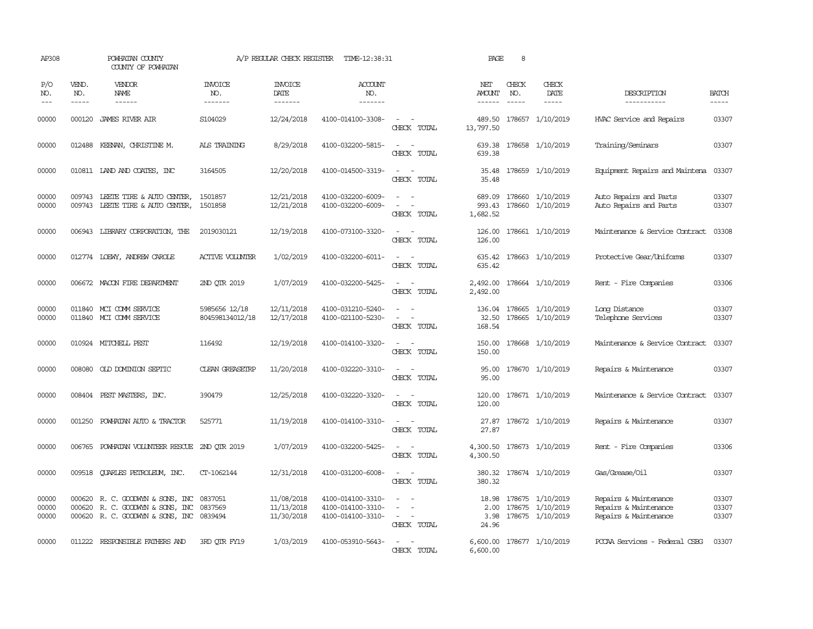| AP308                   |                             | POWHATAN COUNTY<br>COUNTY OF POWHATAN                                                                            |                                  | A/P REGULAR CHECK REGISTER               | TIME-12:38:31                                               |                                                                                                                             | PAGE                                  | 8            |                                                          |                                                                         |                         |
|-------------------------|-----------------------------|------------------------------------------------------------------------------------------------------------------|----------------------------------|------------------------------------------|-------------------------------------------------------------|-----------------------------------------------------------------------------------------------------------------------------|---------------------------------------|--------------|----------------------------------------------------------|-------------------------------------------------------------------------|-------------------------|
| P/O<br>NO.<br>$---$     | VEND.<br>NO.<br>$- - - - -$ | VENDOR<br>NAME<br>$- - - - - -$                                                                                  | <b>INVOICE</b><br>NO.<br>------- | <b>INVOICE</b><br><b>DATE</b><br>------- | <b>ACCOUNT</b><br>NO.<br>-------                            |                                                                                                                             | NET<br><b>AMOUNT</b><br>$- - - - - -$ | CHECK<br>NO. | CHECK<br>DATE<br>-----                                   | DESCRIPTION<br>-----------                                              | <b>BATCH</b><br>-----   |
| 00000                   | 000120                      | JAMES RIVER AIR                                                                                                  | S104029                          | 12/24/2018                               | 4100-014100-3308-                                           | $\sim$<br>CHECK TOTAL                                                                                                       | 489.50<br>13,797.50                   |              | 178657 1/10/2019                                         | HVAC Service and Repairs                                                | 03307                   |
| 00000                   |                             | 012488 KEENAN, CHRISTINE M.                                                                                      | ALS TRAINING                     | 8/29/2018                                | 4100-032200-5815-                                           | $\sim$<br>$\overline{\phantom{a}}$<br>CHECK TOTAL                                                                           | 639.38<br>639.38                      |              | 178658 1/10/2019                                         | Training/Seminars                                                       | 03307                   |
| 00000                   |                             | 010811 IAND AND COATES, INC                                                                                      | 3164505                          | 12/20/2018                               | 4100-014500-3319-                                           | CHECK TOTAL                                                                                                                 | 35.48<br>35.48                        |              | 178659 1/10/2019                                         | Equipment Repairs and Maintena                                          | 03307                   |
| 00000<br>00000          |                             | 009743 LEETE TIRE & AUTO CENTER,<br>009743 LEETE TIRE & AUTO CENTER,                                             | 1501857<br>1501858               | 12/21/2018<br>12/21/2018                 | 4100-032200-6009-<br>4100-032200-6009-                      | CHECK TOTAL                                                                                                                 | 689.09<br>993.43<br>1,682.52          |              | 178660 1/10/2019<br>178660 1/10/2019                     | Auto Repairs and Parts<br>Auto Repairs and Parts                        | 03307<br>03307          |
| 00000                   |                             | 006943 LIBRARY CORPORATION, THE                                                                                  | 2019030121                       | 12/19/2018                               | 4100-073100-3320-                                           | CHECK TOTAL                                                                                                                 | 126.00<br>126.00                      |              | 178661 1/10/2019                                         | Maintenance & Service Contract                                          | 03308                   |
| 00000                   |                             | 012774 LOEWY, ANDREW CAROLE                                                                                      | <b>ACTIVE VOLUNIER</b>           | 1/02/2019                                | 4100-032200-6011-                                           | $ -$<br>CHECK TOTAL                                                                                                         | 635.42<br>635.42                      |              | 178663 1/10/2019                                         | Protective Gear/Uniforms                                                | 03307                   |
| 00000                   |                             | 006672 MACON FIRE DEPARTMENT                                                                                     | 2ND OTR 2019                     | 1/07/2019                                | 4100-032200-5425-                                           | $\sim$<br>CHECK TOTAL                                                                                                       | 2,492.00<br>2,492.00                  |              | 178664 1/10/2019                                         | Rent - Fire Companies                                                   | 03306                   |
| 00000<br>00000          |                             | 011840 MCI COMM SERVICE<br>011840 MCI COMM SERVICE                                                               | 5985656 12/18<br>804598134012/18 | 12/11/2018<br>12/17/2018                 | 4100-031210-5240-<br>4100-021100-5230-                      | $\sim$<br>$\overline{\phantom{a}}$<br>CHECK TOTAL                                                                           | 32.50<br>168.54                       |              | 136.04 178665 1/10/2019<br>178665 1/10/2019              | Long Distance<br>Telephone Services                                     | 03307<br>03307          |
| 00000                   |                             | 010924 MITCHELL PEST                                                                                             | 116492                           | 12/19/2018                               | 4100-014100-3320-                                           | $\frac{1}{2} \left( \frac{1}{2} \right) \left( \frac{1}{2} \right) = \frac{1}{2} \left( \frac{1}{2} \right)$<br>CHECK TOTAL | 150.00<br>150.00                      |              | 178668 1/10/2019                                         | Maintenance & Service Contract                                          | 03307                   |
| 00000                   |                             | 008080 OLD DOMINION SEPTIC                                                                                       | <b>CLEAN GREASEIRP</b>           | 11/20/2018                               | 4100-032220-3310-                                           | $\sim$<br>$\overline{\phantom{a}}$<br>CHECK TOTAL                                                                           | 95.00<br>95.00                        |              | 178670 1/10/2019                                         | Repairs & Maintenance                                                   | 03307                   |
| 00000                   |                             | 008404 PEST MASTERS, INC.                                                                                        | 390479                           | 12/25/2018                               | 4100-032220-3320-                                           | CHECK TOTAL                                                                                                                 | 120.00<br>120.00                      |              | 178671 1/10/2019                                         | Maintenance & Service Contract                                          | 03307                   |
| 00000                   | 001250                      | POWHATAN AUTO & TRACTOR                                                                                          | 525771                           | 11/19/2018                               | 4100-014100-3310-                                           | $\overline{\phantom{a}}$<br>CHECK TOTAL                                                                                     | 27.87<br>27.87                        |              | 178672 1/10/2019                                         | Repairs & Maintenance                                                   | 03307                   |
| 00000                   | 006765                      | POWHATAN VOLUNTEER RESCUE                                                                                        | 2ND OTR 2019                     | 1/07/2019                                | 4100-032200-5425-                                           | $\equiv$<br>$\sim$<br>CHECK TOTAL                                                                                           | 4,300.50<br>4,300.50                  |              | 178673 1/10/2019                                         | Rent - Fire Companies                                                   | 03306                   |
| 00000                   |                             | 009518 QUARLES PETROLEUM, INC.                                                                                   | CT-1062144                       | 12/31/2018                               | 4100-031200-6008-                                           | $\sim$<br>$\sim$<br>CHECK TOTAL                                                                                             | 380.32                                |              | 380.32 178674 1/10/2019                                  | Gas/Grease/Oil                                                          | 03307                   |
| 00000<br>00000<br>00000 |                             | 000620 R. C. GOODWYN & SONS, INC<br>000620 R. C. GOODWYN & SONS, INC<br>000620 R. C. GOODWYN & SONS, INC 0839494 | 0837051<br>0837569               | 11/08/2018<br>11/13/2018<br>11/30/2018   | 4100-014100-3310-<br>4100-014100-3310-<br>4100-014100-3310- | $\equiv$<br>$\sim$<br>CHECK TOTAL                                                                                           | 18.98<br>2.00<br>3.98<br>24.96        |              | 178675 1/10/2019<br>178675 1/10/2019<br>178675 1/10/2019 | Repairs & Maintenance<br>Repairs & Maintenance<br>Repairs & Maintenance | 03307<br>03307<br>03307 |
| 00000                   |                             | 011222 RESPONSIBLE FAIHERS AND                                                                                   | 3RD OTR FY19                     | 1/03/2019                                | 4100-053910-5643-                                           | CHECK TOTAL                                                                                                                 | 6,600.00<br>6,600.00                  |              | 178677 1/10/2019                                         | PCCAA Services - Federal CSBG                                           | 03307                   |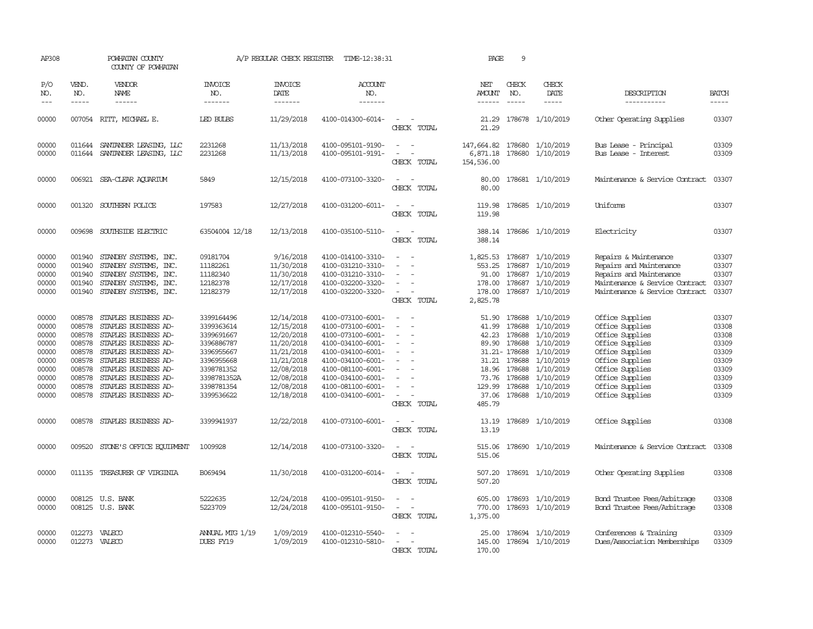| AP308                                                                                  | POWHATAN COUNTY                                                                        | COUNTY OF POWHATAN                                                                                                                                                                                                                                  | A/P REGULAR CHECK REGISTER<br>TIME-12:38:31                                                                                               |                                                                                                                                          |                                                                                                                                                                                                                |                                                                             | PAGE                                                                   | 9                                                                                                   |                                                                                                                                             |                                                                                                                                                                                            |                                                                                        |
|----------------------------------------------------------------------------------------|----------------------------------------------------------------------------------------|-----------------------------------------------------------------------------------------------------------------------------------------------------------------------------------------------------------------------------------------------------|-------------------------------------------------------------------------------------------------------------------------------------------|------------------------------------------------------------------------------------------------------------------------------------------|----------------------------------------------------------------------------------------------------------------------------------------------------------------------------------------------------------------|-----------------------------------------------------------------------------|------------------------------------------------------------------------|-----------------------------------------------------------------------------------------------------|---------------------------------------------------------------------------------------------------------------------------------------------|--------------------------------------------------------------------------------------------------------------------------------------------------------------------------------------------|----------------------------------------------------------------------------------------|
| P/O<br>NO.<br>$---$                                                                    | VEND.<br>NO.                                                                           | VENDOR<br>NAME<br>$- - - - - -$                                                                                                                                                                                                                     | INVOICE<br>NO.<br>-------                                                                                                                 | <b>INVOICE</b><br>DATE<br>$- - - - - - -$                                                                                                | ACCOUNT<br>NO.<br>-------                                                                                                                                                                                      |                                                                             | NET<br>AMOUNT<br>$- - - - - -$                                         | CHECK<br>NO.<br>$\frac{1}{2}$                                                                       | CHECK<br>DATE<br>$- - - - -$                                                                                                                | DESCRIPTION<br>-----------                                                                                                                                                                 | <b>BATCH</b><br>-----                                                                  |
| 00000                                                                                  |                                                                                        | 007054 RITT, MICHAEL E.                                                                                                                                                                                                                             | <b>LED BULBS</b>                                                                                                                          | 11/29/2018                                                                                                                               | 4100-014300-6014-                                                                                                                                                                                              | $\sim$<br>CHECK TOTAL                                                       | 21.29<br>21.29                                                         |                                                                                                     | 178678 1/10/2019                                                                                                                            | Other Operating Supplies                                                                                                                                                                   | 03307                                                                                  |
| 00000<br>00000                                                                         | 011644                                                                                 | SANTANDER LEASING, LLC<br>011644 SANTANDER LEASING, LLC                                                                                                                                                                                             | 2231268<br>2231268                                                                                                                        | 11/13/2018<br>11/13/2018                                                                                                                 | 4100-095101-9190-<br>4100-095101-9191-                                                                                                                                                                         | $\overline{\phantom{a}}$<br>$\overline{\phantom{a}}$<br>CHECK TOTAL         | 147,664.82<br>6,871.18<br>154,536.00                                   | 178680                                                                                              | 178680 1/10/2019<br>1/10/2019                                                                                                               | Bus Lease - Principal<br>Bus Lease - Interest                                                                                                                                              | 03309<br>03309                                                                         |
| 00000                                                                                  |                                                                                        | 006921 SEA-CLEAR AQUARIUM                                                                                                                                                                                                                           | 5849                                                                                                                                      | 12/15/2018                                                                                                                               | 4100-073100-3320-                                                                                                                                                                                              | CHECK TOTAL                                                                 | 80.00<br>80.00                                                         |                                                                                                     | 178681 1/10/2019                                                                                                                            | Maintenance & Service Contract                                                                                                                                                             | 03307                                                                                  |
| 00000                                                                                  |                                                                                        | 001320 SOUTHERN POLICE                                                                                                                                                                                                                              | 197583                                                                                                                                    | 12/27/2018                                                                                                                               | 4100-031200-6011-                                                                                                                                                                                              | $\overline{\phantom{a}}$<br>CHECK TOTAL                                     | 119.98<br>119.98                                                       |                                                                                                     | 178685 1/10/2019                                                                                                                            | Uniforms                                                                                                                                                                                   | 03307                                                                                  |
| 00000                                                                                  | 009698                                                                                 | SOUTHSIDE ELECTRIC                                                                                                                                                                                                                                  | 63504004 12/18                                                                                                                            | 12/13/2018                                                                                                                               | 4100-035100-5110-                                                                                                                                                                                              | CHECK TOTAL                                                                 | 388.14                                                                 |                                                                                                     | 388.14 178686 1/10/2019                                                                                                                     | Electricity                                                                                                                                                                                | 03307                                                                                  |
| 00000<br>00000<br>00000<br>00000<br>00000                                              | 001940<br>001940<br>001940<br>001940                                                   | STANDBY SYSTEMS, INC.<br>STANDBY SYSTEMS, INC.<br>STANDBY SYSTEMS, INC.<br>STANDBY SYSTEMS, INC.<br>001940 STANDBY SYSTEMS, INC.                                                                                                                    | 09181704<br>11182261<br>11182340<br>12182378<br>12182379                                                                                  | 9/16/2018<br>11/30/2018<br>11/30/2018<br>12/17/2018<br>12/17/2018                                                                        | 4100-014100-3310-<br>4100-031210-3310-<br>4100-031210-3310-<br>4100-032200-3320-<br>4100-032200-3320-                                                                                                          | $\sim$<br>CHECK TOTAL                                                       | 553.25<br>91.00<br>178.00<br>178.00<br>2,825.78                        | 178687<br>178687<br>178687                                                                          | 1,825.53 178687 1/10/2019<br>1/10/2019<br>1/10/2019<br>1/10/2019<br>178687 1/10/2019                                                        | Repairs & Maintenance<br>Repairs and Maintenance<br>Repairs and Maintenance<br>Maintenance & Service Contract<br>Maintenance & Service Contract                                            | 03307<br>03307<br>03307<br>03307<br>03307                                              |
| 00000<br>00000<br>00000<br>00000<br>00000<br>00000<br>00000<br>00000<br>00000<br>00000 | 008578<br>008578<br>008578<br>008578<br>008578<br>008578<br>008578<br>008578<br>008578 | STAPLES BUSINESS AD-<br>STAPLES BUSINESS AD-<br>STAPLES BUSINESS AD-<br>STAPLES BUSINESS AD-<br>STAPLES BUSINESS AD-<br>STAPLES BUSINESS AD-<br>STAPLES BUSINESS AD-<br>STAPLES BUSINESS AD-<br>STAPLES BUSINESS AD-<br>008578 STAPLES BUSINESS AD- | 3399164496<br>3399363614<br>3399691667<br>3396886787<br>3396955667<br>3396955668<br>3398781352<br>3398781352A<br>3398781354<br>3399536622 | 12/14/2018<br>12/15/2018<br>12/20/2018<br>11/20/2018<br>11/21/2018<br>11/21/2018<br>12/08/2018<br>12/08/2018<br>12/08/2018<br>12/18/2018 | 4100-073100-6001-<br>4100-073100-6001-<br>4100-073100-6001-<br>4100-034100-6001-<br>4100-034100-6001-<br>4100-034100-6001-<br>4100-081100-6001-<br>4100-034100-6001-<br>4100-081100-6001-<br>4100-034100-6001- | $\equiv$<br>$\equiv$<br>$\equiv$<br>$\overline{\phantom{a}}$<br>CHECK TOTAL | 51.90<br>41.99<br>42.23<br>89.90<br>18.96<br>73.76<br>129.99<br>485.79 | 178688<br>178688<br>178688<br>178688<br>31.21- 178688<br>31.21 178688<br>178688<br>178688<br>178688 | 1/10/2019<br>1/10/2019<br>1/10/2019<br>1/10/2019<br>1/10/2019<br>1/10/2019<br>1/10/2019<br>1/10/2019<br>1/10/2019<br>37.06 178688 1/10/2019 | Office Supplies<br>Office Supplies<br>Office Supplies<br>Office Supplies<br>Office Supplies<br>Office Supplies<br>Office Supplies<br>Office Supplies<br>Office Supplies<br>Office Supplies | 03307<br>03308<br>03308<br>03309<br>03309<br>03309<br>03309<br>03309<br>03309<br>03309 |
| 00000                                                                                  |                                                                                        | 008578 STAPLES BUSINESS AD-                                                                                                                                                                                                                         | 3399941937                                                                                                                                | 12/22/2018                                                                                                                               | 4100-073100-6001-                                                                                                                                                                                              | CHECK TOTAL                                                                 | 13.19<br>13.19                                                         |                                                                                                     | 178689 1/10/2019                                                                                                                            | Office Supplies                                                                                                                                                                            | 03308                                                                                  |
| 00000                                                                                  | 009520                                                                                 | STONE'S OFFICE EQUIPMENT                                                                                                                                                                                                                            | 1009928                                                                                                                                   | 12/14/2018                                                                                                                               | 4100-073100-3320-                                                                                                                                                                                              | CHECK TOTAL                                                                 | 515.06<br>515.06                                                       |                                                                                                     | 178690 1/10/2019                                                                                                                            | Maintenance & Service Contract                                                                                                                                                             | 03308                                                                                  |
| 00000                                                                                  | 011135                                                                                 | TREASURER OF VIRGINIA                                                                                                                                                                                                                               | B069494                                                                                                                                   | 11/30/2018                                                                                                                               | 4100-031200-6014-                                                                                                                                                                                              | CHECK TOTAL                                                                 | 507.20<br>507.20                                                       |                                                                                                     | 178691 1/10/2019                                                                                                                            | Other Operating Supplies                                                                                                                                                                   | 03308                                                                                  |
| 00000<br>00000                                                                         |                                                                                        | 008125 U.S. BANK<br>008125 U.S. BANK                                                                                                                                                                                                                | 5222635<br>5223709                                                                                                                        | 12/24/2018<br>12/24/2018                                                                                                                 | 4100-095101-9150-<br>4100-095101-9150-                                                                                                                                                                         | $\sim$ 100 $\mu$<br>$\overline{\phantom{a}}$<br>CHECK TOTAL                 | 605.00<br>770.00<br>1,375.00                                           |                                                                                                     | 178693 1/10/2019<br>178693 1/10/2019                                                                                                        | Bond Trustee Fees/Arbitrage<br>Bond Trustee Fees/Arbitrage                                                                                                                                 | 03308<br>03308                                                                         |
| 00000<br>00000                                                                         |                                                                                        | 012273 VALECO<br>012273 VALECO                                                                                                                                                                                                                      | ANNUAL MTG 1/19<br>DUES FY19                                                                                                              | 1/09/2019<br>1/09/2019                                                                                                                   | 4100-012310-5540-<br>4100-012310-5810-                                                                                                                                                                         | CHECK TOTAL                                                                 | 25.00<br>145.00<br>170.00                                              |                                                                                                     | 178694 1/10/2019<br>178694 1/10/2019                                                                                                        | Conferences & Training<br>Dues/Association Memberships                                                                                                                                     | 03309<br>03309                                                                         |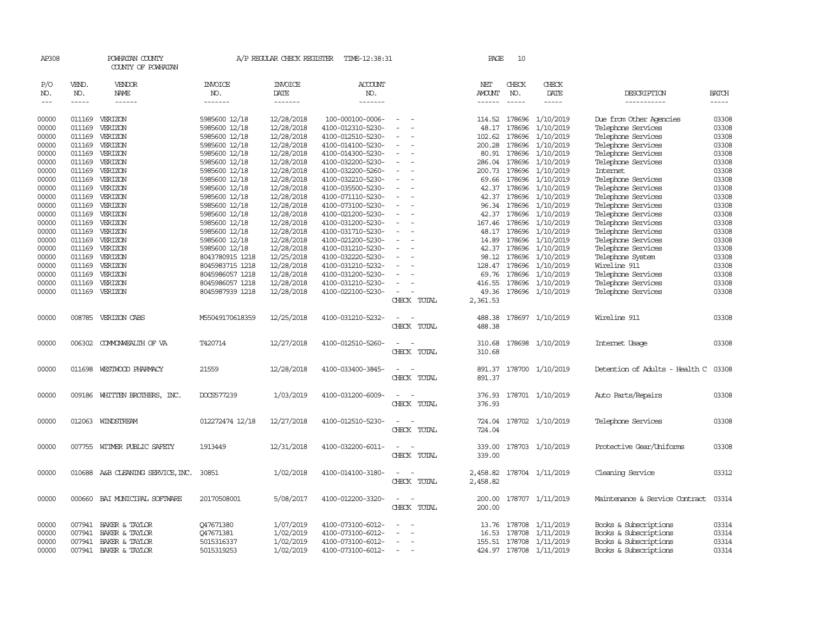| AP308          |                  | POWHATAN COUNTY<br>COUNTY OF POWHATAN   |                         | A/P REGULAR CHECK REGISTER | TIME-12:38:31                          |                          |             | PAGE             | 10            |                                      |                                                |                |
|----------------|------------------|-----------------------------------------|-------------------------|----------------------------|----------------------------------------|--------------------------|-------------|------------------|---------------|--------------------------------------|------------------------------------------------|----------------|
| P/O<br>NO.     | VEND.<br>NO.     | VENDOR<br>NAME                          | <b>INVOICE</b><br>NO.   | <b>INVOICE</b><br>DATE     | <b>ACCOUNT</b><br>NO.                  |                          |             | NET<br>AMOUNT    | CHECK<br>NO.  | CHECK<br>DATE                        | DESCRIPTION                                    | <b>BATCH</b>   |
| $---$          | $- - - - -$      | ------                                  | -------                 | -------                    | -------                                |                          |             | ------           | -----         | -----                                | -----------                                    | $- - - - -$    |
| 00000          |                  | 011169 VERIZON                          | 5985600 12/18           | 12/28/2018                 | 100-000100-0006-                       |                          |             | 114.52           | 178696        | 1/10/2019                            | Due from Other Agencies                        | 03308          |
| 00000          | 011169           | VERIZON                                 | 5985600 12/18           | 12/28/2018                 | 4100-012310-5230-                      |                          |             | 48.17            | 178696        | 1/10/2019                            | Telephone Services                             | 03308          |
| 00000          | 011169           | VERIZON                                 | 5985600 12/18           | 12/28/2018                 | 4100-012510-5230-                      |                          |             | 102.62           | 178696        | 1/10/2019                            | Telephone Services                             | 03308          |
| 00000          | 011169           | VERIZON                                 | 5985600 12/18           | 12/28/2018                 | 4100-014100-5230-                      |                          |             | 200.28           | 178696        | 1/10/2019                            | Telephone Services                             | 03308          |
| 00000          | 011169           | VERIZON                                 | 5985600 12/18           | 12/28/2018                 | 4100-014300-5230-                      |                          |             | 80.91            | 178696        | 1/10/2019                            | Telephone Services                             | 03308          |
| 00000          | 011169           | VERIZON                                 | 5985600 12/18           | 12/28/2018                 | 4100-032200-5230-                      |                          |             | 286.04           | 178696        | 1/10/2019                            | Telephone Services                             | 03308          |
| 00000          | 011169           | VERIZON                                 | 5985600 12/18           | 12/28/2018                 | 4100-032200-5260-                      |                          |             | 200.73           | 178696        | 1/10/2019                            | Internet                                       | 03308          |
| 00000          |                  | 011169 VERIZON                          | 5985600 12/18           | 12/28/2018                 | 4100-032210-5230-                      |                          |             |                  | 69.66 178696  | 1/10/2019                            | Telephone Services                             | 03308          |
| 00000          | 011169           | VERIZON                                 | 5985600 12/18           | 12/28/2018                 | 4100-035500-5230-                      |                          |             | 42.37            | 178696        | 1/10/2019                            | Telephone Services                             | 03308          |
| 00000          | 011169           | VERIZON                                 | 5985600 12/18           | 12/28/2018                 | 4100-071110-5230-                      |                          |             | 42.37            | 178696        | 1/10/2019                            | Telephone Services                             | 03308          |
| 00000          | 011169           | VERIZON                                 | 5985600 12/18           | 12/28/2018                 | 4100-073100-5230-                      |                          |             | 96.34            | 178696        | 1/10/2019                            | Telephone Services                             | 03308          |
| 00000          | 011169           | VERIZON                                 | 5985600 12/18           | 12/28/2018                 | 4100-021200-5230-                      |                          |             | 42.37            | 178696        | 1/10/2019                            | Telephone Services                             | 03308          |
| 00000          | 011169           | VERIZON                                 | 5985600 12/18           | 12/28/2018                 | 4100-031200-5230-                      |                          |             |                  | 167.46 178696 | 1/10/2019                            | Telephone Services                             | 03308          |
| 00000          | 011169           | VERIZON                                 | 5985600 12/18           | 12/28/2018                 | 4100-031710-5230-                      |                          |             | 48.17            | 178696        | 1/10/2019                            | Telephone Services                             | 03308          |
| 00000          |                  | 011169 VERIZON                          | 5985600 12/18           | 12/28/2018                 | 4100-021200-5230-                      |                          |             | 14.89            | 178696        | 1/10/2019                            | Telephone Services                             | 03308          |
| 00000          | 011169           | VERIZON                                 | 5985600 12/18           | 12/28/2018                 | 4100-031210-5230-                      |                          |             | 42.37            | 178696        | 1/10/2019                            | Telephone Services                             | 03308          |
| 00000          | 011169           | VERIZON                                 | 8043780915 1218         | 12/25/2018                 | 4100-032220-5230-                      |                          |             | 98.12            | 178696        | 1/10/2019                            | Telephone System                               | 03308          |
| 00000          |                  | 011169 VERIZON                          | 8045983715 1218         | 12/28/2018                 | 4100-031210-5232-                      |                          |             | 128.47           | 178696        | 1/10/2019                            | Wireline 911                                   | 03308          |
| 00000          | 011169           | VERIZON                                 | 8045986057 1218         | 12/28/2018                 | 4100-031200-5230-                      |                          |             | 69.76            | 178696        | 1/10/2019                            | Telephone Services                             | 03308          |
| 00000          | 011169           | VERIZON                                 | 8045986057 1218         | 12/28/2018                 | 4100-031210-5230-                      |                          |             |                  |               | 416.55 178696 1/10/2019              | Telephone Services                             | 03308          |
| 00000          |                  | 011169 VERIZON                          | 8045987939 1218         | 12/28/2018                 | 4100-022100-5230-                      |                          |             | 49.36            |               | 178696 1/10/2019                     | Telephone Services                             | 03308          |
|                |                  |                                         |                         |                            |                                        |                          | CHECK TOTAL | 2,361.53         |               |                                      |                                                |                |
| 00000          |                  | 008785 VERIZON CABS                     | M55049170618359         | 12/25/2018                 | 4100-031210-5232-                      |                          |             | 488.38           |               | 178697 1/10/2019                     | Wireline 911                                   | 03308          |
|                |                  |                                         |                         |                            |                                        |                          | CHECK TOTAL | 488.38           |               |                                      |                                                |                |
| 00000          | 006302           | COMMONWEALTH OF VA                      | T420714                 | 12/27/2018                 | 4100-012510-5260-                      |                          |             | 310.68           |               | 178698 1/10/2019                     | Internet Usage                                 | 03308          |
|                |                  |                                         |                         |                            |                                        |                          | CHECK TOTAL | 310.68           |               |                                      |                                                |                |
| 00000          | 011698           | WESTWOOD PHARMACY                       | 21559                   | 12/28/2018                 | 4100-033400-3845-                      |                          |             | 891.37           |               | 178700 1/10/2019                     | Detention of Adults - Health C                 | 03308          |
|                |                  |                                         |                         |                            |                                        |                          | CHECK TOTAL | 891.37           |               |                                      |                                                |                |
|                |                  |                                         |                         |                            |                                        |                          |             |                  |               |                                      |                                                |                |
| 00000          | 009186           | WHITTEN BROTHERS, INC.                  | DOCS577239              | 1/03/2019                  | 4100-031200-6009-                      |                          |             | 376.93           |               | 178701 1/10/2019                     | Auto Parts/Repairs                             | 03308          |
|                |                  |                                         |                         |                            |                                        |                          | CHECK TOTAL | 376.93           |               |                                      |                                                |                |
| 00000          |                  | 012063 WINDSTREAM                       | 012272474 12/18         | 12/27/2018                 | 4100-012510-5230-                      |                          |             | 724.04           |               | 178702 1/10/2019                     | Telephone Services                             | 03308          |
|                |                  |                                         |                         |                            |                                        |                          | CHECK TOTAL | 724.04           |               |                                      |                                                |                |
|                |                  |                                         |                         |                            |                                        |                          |             |                  |               |                                      |                                                |                |
| 00000          |                  | 007755 WITMER PUBLIC SAFETY             | 1913449                 | 12/31/2018                 | 4100-032200-6011-                      | $\overline{\phantom{a}}$ | CHECK TOTAL | 339.00<br>339.00 |               | 178703 1/10/2019                     | Protective Gear/Uniforms                       | 03308          |
|                |                  |                                         |                         |                            |                                        |                          |             |                  |               |                                      |                                                |                |
| 00000          |                  | 010688 A&B CLEANING SERVICE, INC.       | 30851                   | 1/02/2018                  | 4100-014100-3180-                      |                          |             | 2,458.82         |               | 178704 1/11/2019                     | Cleaning Service                               | 03312          |
|                |                  |                                         |                         |                            |                                        |                          | CHECK TOTAL | 2,458.82         |               |                                      |                                                |                |
| 00000          |                  | 000660 BAI MUNICIPAL SOFTWARE           | 20170508001             | 5/08/2017                  | 4100-012200-3320-                      |                          |             | 200.00           |               | 178707 1/11/2019                     | Maintenance & Service Contract                 | 03314          |
|                |                  |                                         |                         |                            |                                        |                          | CHECK TOTAL | 200.00           |               |                                      |                                                |                |
|                |                  |                                         |                         |                            |                                        |                          |             |                  |               |                                      |                                                |                |
| 00000          | 007941<br>007941 | BAKER & TAYLOR                          | Q47671380               | 1/07/2019<br>1/02/2019     | 4100-073100-6012-                      |                          |             | 13.76<br>16.53   |               | 178708 1/11/2019                     | Books & Subscriptions                          | 03314<br>03314 |
| 00000<br>00000 |                  | BAKER & TAYLOR<br>007941 BAKER & TAYLOR | Q47671381<br>5015316337 | 1/02/2019                  | 4100-073100-6012-<br>4100-073100-6012- |                          |             | 155.51           |               | 178708 1/11/2019<br>178708 1/11/2019 | Books & Subscriptions<br>Books & Subscriptions | 03314          |
| 00000          | 007941           | BAKER & TAYLOR                          | 5015319253              | 1/02/2019                  | 4100-073100-6012-                      | $\sim$                   |             |                  |               | 424.97 178708 1/11/2019              | Books & Subscriptions                          | 03314          |
|                |                  |                                         |                         |                            |                                        |                          |             |                  |               |                                      |                                                |                |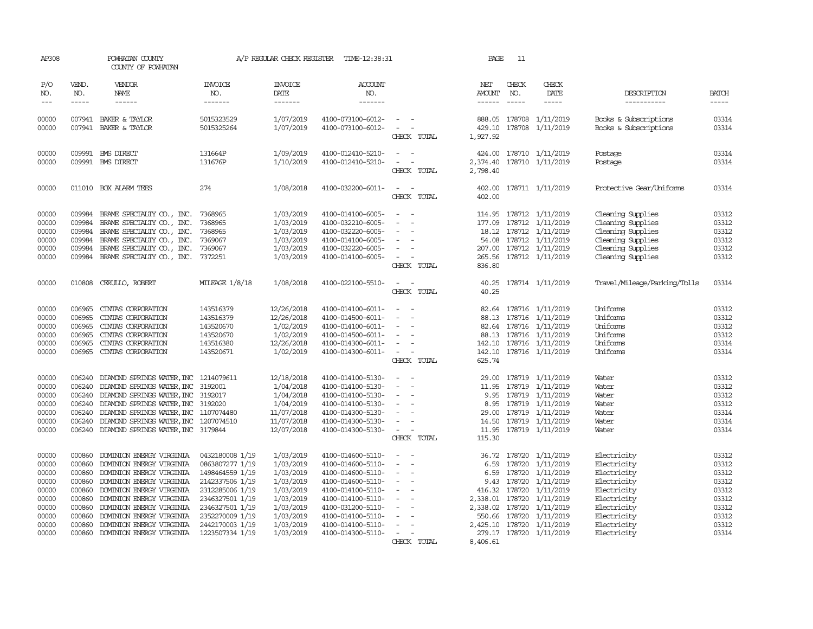| AP308               |                                        | POWHATAN COUNTY<br>COUNTY OF POWHATAN                                                                                                                                                                                                                                                                                                                                                                                                                                                                        |                                  | A/P REGULAR CHECK REGISTER        | TIME-12:38:31                          |                                                                      | PAGE                    | 11           |                                                                                                                                                                                                                                                                                                                                                                                                                                                                         |                                                |                       |
|---------------------|----------------------------------------|--------------------------------------------------------------------------------------------------------------------------------------------------------------------------------------------------------------------------------------------------------------------------------------------------------------------------------------------------------------------------------------------------------------------------------------------------------------------------------------------------------------|----------------------------------|-----------------------------------|----------------------------------------|----------------------------------------------------------------------|-------------------------|--------------|-------------------------------------------------------------------------------------------------------------------------------------------------------------------------------------------------------------------------------------------------------------------------------------------------------------------------------------------------------------------------------------------------------------------------------------------------------------------------|------------------------------------------------|-----------------------|
| P/O<br>NO.<br>$---$ | VEND.<br>NO.<br>$\cdots \cdots \cdots$ | <b>VENDOR</b><br>NAME<br>$\begin{tabular}{ccccc} \multicolumn{2}{c}{} & \multicolumn{2}{c}{} & \multicolumn{2}{c}{} & \multicolumn{2}{c}{} & \multicolumn{2}{c}{} & \multicolumn{2}{c}{} & \multicolumn{2}{c}{} & \multicolumn{2}{c}{} & \multicolumn{2}{c}{} & \multicolumn{2}{c}{} & \multicolumn{2}{c}{} & \multicolumn{2}{c}{} & \multicolumn{2}{c}{} & \multicolumn{2}{c}{} & \multicolumn{2}{c}{} & \multicolumn{2}{c}{} & \multicolumn{2}{c}{} & \multicolumn{2}{c}{} & \multicolumn{2}{c}{} & \mult$ | <b>INVOICE</b><br>NO.<br>------- | <b>INVOICE</b><br>DATE<br>------- | <b>ACCOUNT</b><br>NO.                  |                                                                      | NET<br>AMOUNT<br>------ | CHECK<br>NO. | CHECK<br>DATE<br>$\begin{tabular}{ccccc} \multicolumn{2}{c }{\multicolumn{2}{c }{\multicolumn{2}{c }{\multicolumn{2}{c}}{\hspace{-2.2cm}}}} \multicolumn{2}{c }{\multicolumn{2}{c }{\hspace{-2.2cm}}\hline} \multicolumn{2}{c }{\hspace{-2.2cm}} \multicolumn{2}{c }{\hspace{-2.2cm}}\hline} \multicolumn{2}{c }{\hspace{-2.2cm}} \multicolumn{2}{c }{\hspace{-2.2cm}}\hline} \multicolumn{2}{c }{\hspace{-2.2cm}} \multicolumn{2}{c }{\hspace{-2.2cm}}\hline} \multic$ | DESCRIPTION<br>-----------                     | <b>BATCH</b><br>----- |
| 00000<br>00000      |                                        | 007941 BAKER & TAYLOR<br>007941 BAKER & TAYLOR                                                                                                                                                                                                                                                                                                                                                                                                                                                               | 5015323529<br>5015325264         | 1/07/2019<br>1/07/2019            | 4100-073100-6012-<br>4100-073100-6012- | $\sim$<br>$\omega_{\rm{max}}$ and $\omega_{\rm{max}}$<br>CHECK TOTAL | 1,927.92                |              | 888.05 178708 1/11/2019<br>429.10 178708 1/11/2019                                                                                                                                                                                                                                                                                                                                                                                                                      | Books & Subscriptions<br>Books & Subscriptions | 03314<br>03314        |
| 00000               |                                        | 009991 BMS DIRECT                                                                                                                                                                                                                                                                                                                                                                                                                                                                                            | 131664P                          | 1/09/2019                         | 4100-012410-5210-                      |                                                                      |                         |              | 424.00 178710 1/11/2019                                                                                                                                                                                                                                                                                                                                                                                                                                                 | Postage                                        | 03314                 |
| 00000               |                                        | 009991 BMS DIRECT                                                                                                                                                                                                                                                                                                                                                                                                                                                                                            | 131676P                          | 1/10/2019                         | 4100-012410-5210-                      | $\sim$<br>$\sim$<br>CHECK TOTAL                                      | 2,798.40                |              | 2,374.40 178710 1/11/2019                                                                                                                                                                                                                                                                                                                                                                                                                                               | Postage                                        | 03314                 |
| 00000               |                                        | 011010 BOX ALARM TEES                                                                                                                                                                                                                                                                                                                                                                                                                                                                                        | 274                              | 1/08/2018                         | 4100-032200-6011-                      | $\sim$<br>CHECK TOTAL                                                | 402.00                  |              | 402.00 178711 1/11/2019                                                                                                                                                                                                                                                                                                                                                                                                                                                 | Protective Gear/Uniforms                       | 03314                 |
| 00000               | 009984                                 | BRAME SPECIALITY CO., INC.                                                                                                                                                                                                                                                                                                                                                                                                                                                                                   | 7368965                          | 1/03/2019                         | 4100-014100-6005-                      | $\sim$<br>$\sim$                                                     |                         |              | 114.95 178712 1/11/2019                                                                                                                                                                                                                                                                                                                                                                                                                                                 | Cleaning Supplies                              | 03312                 |
| 00000               |                                        | 009984 BRAME SPECIALITY CO., INC.                                                                                                                                                                                                                                                                                                                                                                                                                                                                            | 7368965                          | 1/03/2019                         | 4100-032210-6005-                      | $\sim$                                                               |                         |              | 177.09 178712 1/11/2019                                                                                                                                                                                                                                                                                                                                                                                                                                                 | Cleaning Supplies                              | 03312                 |
| 00000               | 009984                                 | BRAME SPECIALITY CO., INC.                                                                                                                                                                                                                                                                                                                                                                                                                                                                                   | 7368965                          | 1/03/2019                         | 4100-032220-6005-                      | $\sim$                                                               |                         |              | 18.12 178712 1/11/2019                                                                                                                                                                                                                                                                                                                                                                                                                                                  | Cleaning Supplies                              | 03312                 |
| 00000               | 009984                                 | BRAME SPECIALITY CO., INC.                                                                                                                                                                                                                                                                                                                                                                                                                                                                                   | 7369067                          | 1/03/2019                         | 4100-014100-6005-                      | $\sim$                                                               |                         |              | 54.08 178712 1/11/2019                                                                                                                                                                                                                                                                                                                                                                                                                                                  | Cleaning Supplies                              | 03312                 |
| 00000               |                                        | 009984 BRAME SPECIALITY CO., INC.                                                                                                                                                                                                                                                                                                                                                                                                                                                                            | 7369067                          | 1/03/2019                         | 4100-032220-6005-                      | $\sim$                                                               |                         |              | 207.00 178712 1/11/2019                                                                                                                                                                                                                                                                                                                                                                                                                                                 | Cleaning Supplies                              | 03312                 |
| 00000               |                                        | 009984 BRAME SPECIALITY CO., INC.                                                                                                                                                                                                                                                                                                                                                                                                                                                                            | 7372251                          | 1/03/2019                         | 4100-014100-6005-                      | $\alpha = 1, \ldots, \alpha$                                         |                         |              | 265.56 178712 1/11/2019                                                                                                                                                                                                                                                                                                                                                                                                                                                 | Cleaning Supplies                              | 03312                 |
|                     |                                        |                                                                                                                                                                                                                                                                                                                                                                                                                                                                                                              |                                  |                                   |                                        | CHECK TOTAL                                                          | 836.80                  |              |                                                                                                                                                                                                                                                                                                                                                                                                                                                                         |                                                |                       |
| 00000               |                                        | 010808 CERULLO, ROBERT                                                                                                                                                                                                                                                                                                                                                                                                                                                                                       | MILEAGE 1/8/18                   | 1/08/2018                         | 4100-022100-5510-                      | $\sim$<br>$\sim$<br>CHECK TOTAL                                      | 40.25<br>40.25          |              | 178714 1/11/2019                                                                                                                                                                                                                                                                                                                                                                                                                                                        | Travel/Mileage/Parking/Tolls                   | 03314                 |
|                     |                                        |                                                                                                                                                                                                                                                                                                                                                                                                                                                                                                              |                                  |                                   |                                        |                                                                      |                         |              |                                                                                                                                                                                                                                                                                                                                                                                                                                                                         |                                                |                       |
| 00000               | 006965                                 | CINIAS CORPORATION                                                                                                                                                                                                                                                                                                                                                                                                                                                                                           | 143516379                        | 12/26/2018                        | 4100-014100-6011-                      |                                                                      |                         |              | 82.64 178716 1/11/2019                                                                                                                                                                                                                                                                                                                                                                                                                                                  | Uniforms                                       | 03312                 |
| 00000               | 006965                                 | CINIAS CORPORATION                                                                                                                                                                                                                                                                                                                                                                                                                                                                                           | 143516379                        | 12/26/2018                        | 4100-014500-6011-                      |                                                                      |                         |              | 88.13 178716 1/11/2019                                                                                                                                                                                                                                                                                                                                                                                                                                                  | Uniforms                                       | 03312                 |
| 00000               | 006965                                 | CINIAS CORPORATION                                                                                                                                                                                                                                                                                                                                                                                                                                                                                           | 143520670                        | 1/02/2019                         | 4100-014100-6011-                      | $\sim$                                                               |                         |              | 82.64 178716 1/11/2019                                                                                                                                                                                                                                                                                                                                                                                                                                                  | Uniforms                                       | 03312                 |
| 00000               |                                        | 006965 CINIAS CORPORATION                                                                                                                                                                                                                                                                                                                                                                                                                                                                                    | 143520670                        | 1/02/2019                         | 4100-014500-6011-                      | $\sim$                                                               |                         |              | 88.13 178716 1/11/2019                                                                                                                                                                                                                                                                                                                                                                                                                                                  | Uniforms                                       | 03312                 |
| 00000               |                                        | 006965 CINIAS CORPORATION                                                                                                                                                                                                                                                                                                                                                                                                                                                                                    | 143516380                        | 12/26/2018                        | 4100-014300-6011-                      | $\sim$                                                               |                         |              | 142.10 178716 1/11/2019                                                                                                                                                                                                                                                                                                                                                                                                                                                 | Uniforms                                       | 03314                 |
| 00000               |                                        | 006965 CINIAS CORPORATION                                                                                                                                                                                                                                                                                                                                                                                                                                                                                    | 143520671                        | 1/02/2019                         | 4100-014300-6011-                      | $\sim$ $ -$                                                          |                         |              | 142.10 178716 1/11/2019                                                                                                                                                                                                                                                                                                                                                                                                                                                 | Uniforms                                       | 03314                 |
|                     |                                        |                                                                                                                                                                                                                                                                                                                                                                                                                                                                                                              |                                  |                                   |                                        | CHECK TOTAL                                                          | 625.74                  |              |                                                                                                                                                                                                                                                                                                                                                                                                                                                                         |                                                |                       |
|                     |                                        |                                                                                                                                                                                                                                                                                                                                                                                                                                                                                                              |                                  |                                   |                                        | $\sim$ $\sim$                                                        |                         |              |                                                                                                                                                                                                                                                                                                                                                                                                                                                                         |                                                |                       |
| 00000               |                                        | 006240 DIAMOND SPRINGS WATER, INC 1214079611                                                                                                                                                                                                                                                                                                                                                                                                                                                                 |                                  | 12/18/2018                        | 4100-014100-5130-                      |                                                                      |                         |              | 29.00 178719 1/11/2019                                                                                                                                                                                                                                                                                                                                                                                                                                                  | Water                                          | 03312                 |
| 00000               |                                        | 006240 DIAMOND SPRINGS WATER, INC 3192001                                                                                                                                                                                                                                                                                                                                                                                                                                                                    |                                  | 1/04/2018                         | 4100-014100-5130-                      | $\sim$<br>$\overline{\phantom{a}}$                                   | 11.95                   |              | 178719 1/11/2019                                                                                                                                                                                                                                                                                                                                                                                                                                                        | Water                                          | 03312                 |
| 00000               |                                        | 006240 DIAMOND SPRINGS WATER, INC 3192017                                                                                                                                                                                                                                                                                                                                                                                                                                                                    |                                  | 1/04/2018                         | 4100-014100-5130-                      | $\sim$                                                               | 9.95                    |              | 178719 1/11/2019                                                                                                                                                                                                                                                                                                                                                                                                                                                        | Water                                          | 03312                 |
| 00000               |                                        | 006240 DIAMOND SPRINGS WATER, INC 3192020                                                                                                                                                                                                                                                                                                                                                                                                                                                                    |                                  | 1/04/2019                         | 4100-014100-5130-                      | $\sim$                                                               |                         |              | 8.95 178719 1/11/2019                                                                                                                                                                                                                                                                                                                                                                                                                                                   | Water                                          | 03312                 |
| 00000               |                                        | 006240 DIAMOND SPRINGS WATER, INC 1107074480                                                                                                                                                                                                                                                                                                                                                                                                                                                                 |                                  | 11/07/2018                        | 4100-014300-5130-                      | $\sim$<br>$\sim$                                                     |                         |              | 29.00 178719 1/11/2019                                                                                                                                                                                                                                                                                                                                                                                                                                                  | Water                                          | 03314                 |
| 00000               |                                        | 006240 DIAMOND SPRINGS WATER, INC 1207074510                                                                                                                                                                                                                                                                                                                                                                                                                                                                 |                                  | 11/07/2018                        | 4100-014300-5130-                      | $\sim$                                                               | 14.50                   |              | 178719 1/11/2019                                                                                                                                                                                                                                                                                                                                                                                                                                                        | Water                                          | 03314                 |
| 00000               |                                        | 006240 DIAMOND SPRINGS WATER, INC 3179844                                                                                                                                                                                                                                                                                                                                                                                                                                                                    |                                  | 12/07/2018                        | 4100-014300-5130-                      | $\sim$ $  -$                                                         |                         |              | 11.95 178719 1/11/2019                                                                                                                                                                                                                                                                                                                                                                                                                                                  | Water                                          | 03314                 |
|                     |                                        |                                                                                                                                                                                                                                                                                                                                                                                                                                                                                                              |                                  |                                   |                                        | CHECK TOTAL                                                          | 115.30                  |              |                                                                                                                                                                                                                                                                                                                                                                                                                                                                         |                                                |                       |
| 00000               |                                        | 000860 DOMINION ENERGY VIRGINIA                                                                                                                                                                                                                                                                                                                                                                                                                                                                              | 0432180008 1/19                  | 1/03/2019                         | 4100-014600-5110-                      | $\overline{\phantom{a}}$                                             |                         |              | 36.72 178720 1/11/2019                                                                                                                                                                                                                                                                                                                                                                                                                                                  | Electricity                                    | 03312                 |
| 00000               | 000860                                 | DOMINION ENERGY VIRGINIA                                                                                                                                                                                                                                                                                                                                                                                                                                                                                     | 0863807277 1/19                  | 1/03/2019                         | 4100-014600-5110-                      | $\sim$                                                               | 6.59                    |              | 178720 1/11/2019                                                                                                                                                                                                                                                                                                                                                                                                                                                        | Electricity                                    | 03312                 |
| 00000               |                                        | 000860 DOMINION ENERGY VIRGINIA                                                                                                                                                                                                                                                                                                                                                                                                                                                                              | 1498464559 1/19                  | 1/03/2019                         | 4100-014600-5110-                      | $\sim$                                                               | 6.59                    |              | 178720 1/11/2019                                                                                                                                                                                                                                                                                                                                                                                                                                                        | Electricity                                    | 03312                 |
| 00000               |                                        | 000860 DOMINION ENERGY VIRGINIA                                                                                                                                                                                                                                                                                                                                                                                                                                                                              | 2142337506 1/19                  | 1/03/2019                         | 4100-014600-5110-                      | $\sim$                                                               |                         |              | 9.43 178720 1/11/2019                                                                                                                                                                                                                                                                                                                                                                                                                                                   | Electricity                                    | 03312                 |
| 00000               |                                        | 000860 DOMINION ENERGY VIRGINIA                                                                                                                                                                                                                                                                                                                                                                                                                                                                              | 2312285006 1/19                  | 1/03/2019                         | 4100-014100-5110-                      | $\sim$                                                               | 416.32                  |              | 178720 1/11/2019                                                                                                                                                                                                                                                                                                                                                                                                                                                        | Electricity                                    | 03312                 |
| 00000               |                                        | 000860 DOMINION ENERGY VIRGINIA                                                                                                                                                                                                                                                                                                                                                                                                                                                                              | 2346327501 1/19                  | 1/03/2019                         | 4100-014100-5110-                      | $\sim$                                                               |                         |              | 2,338.01 178720 1/11/2019                                                                                                                                                                                                                                                                                                                                                                                                                                               | Electricity                                    | 03312                 |
| 00000               |                                        | 000860 DOMINION ENERGY VIRGINIA                                                                                                                                                                                                                                                                                                                                                                                                                                                                              | 2346327501 1/19                  | 1/03/2019                         | 4100-031200-5110-                      | $\sim$                                                               |                         |              | 2,338.02 178720 1/11/2019                                                                                                                                                                                                                                                                                                                                                                                                                                               | Electricity                                    | 03312                 |
|                     |                                        |                                                                                                                                                                                                                                                                                                                                                                                                                                                                                                              |                                  |                                   |                                        |                                                                      |                         |              |                                                                                                                                                                                                                                                                                                                                                                                                                                                                         |                                                | 03312                 |
| 00000               | 000860                                 | DOMINION ENERGY VIRGINIA                                                                                                                                                                                                                                                                                                                                                                                                                                                                                     | 2352270009 1/19                  | 1/03/2019                         | 4100-014100-5110-                      | $\sim$                                                               |                         |              | 550.66 178720 1/11/2019                                                                                                                                                                                                                                                                                                                                                                                                                                                 | Electricity                                    |                       |
| 00000               | 000860                                 | DOMINION ENERGY VIRGINIA                                                                                                                                                                                                                                                                                                                                                                                                                                                                                     | 2442170003 1/19                  | 1/03/2019                         | 4100-014100-5110-                      | $\sim$<br>$\sim$                                                     |                         |              | 2,425.10 178720 1/11/2019                                                                                                                                                                                                                                                                                                                                                                                                                                               | Electricity                                    | 03312                 |
| 00000               |                                        | 000860 DOMINION ENERGY VIRGINIA                                                                                                                                                                                                                                                                                                                                                                                                                                                                              | 1223507334 1/19                  | 1/03/2019                         | 4100-014300-5110-                      | $\sim$<br>$\sim$                                                     |                         |              | 279.17 178720 1/11/2019                                                                                                                                                                                                                                                                                                                                                                                                                                                 | Electricity                                    | 03314                 |
|                     |                                        |                                                                                                                                                                                                                                                                                                                                                                                                                                                                                                              |                                  |                                   |                                        | CHECK TOTAL                                                          | 8,406.61                |              |                                                                                                                                                                                                                                                                                                                                                                                                                                                                         |                                                |                       |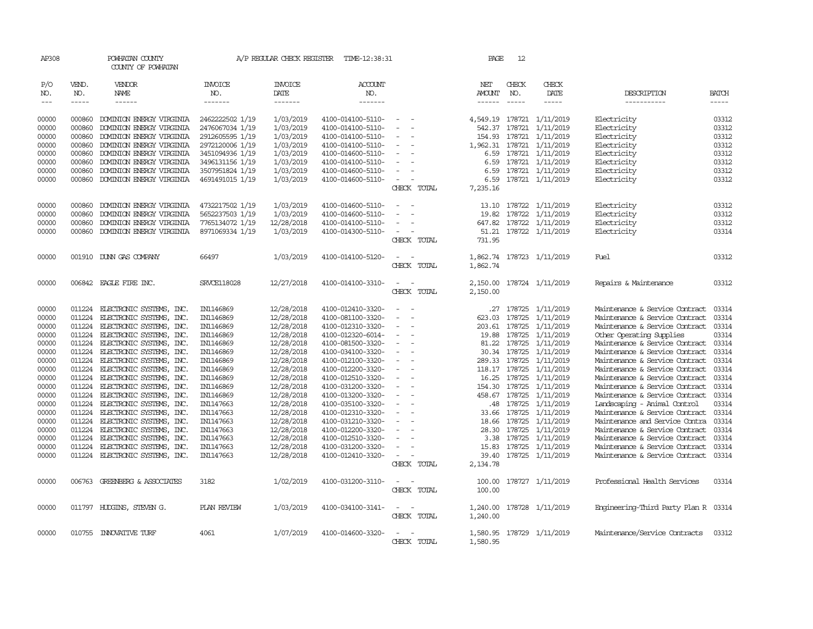| AP308      |              | POWHATAN COUNTY<br>COUNTY OF POWHATAN |                    | A/P REGULAR CHECK REGISTER | TIME-12:38:31     |                          | PAGE          | 12            |                  |                                      |              |
|------------|--------------|---------------------------------------|--------------------|----------------------------|-------------------|--------------------------|---------------|---------------|------------------|--------------------------------------|--------------|
| P/O<br>NO. | VEND.<br>NO. | VENDOR<br>NAME                        | INVOICE<br>NO.     | <b>INVOICE</b><br>DATE     | ACCOUNT<br>NO.    |                          | NET<br>AMOUNT | CHECK<br>NO.  | CHECK<br>DATE    | DESCRIPTION                          | <b>BATCH</b> |
| $---$      | -----        | $- - - - - -$                         | -------            | -------                    | -------           |                          | $- - - - - -$ | $- - - - -$   | -----            | -----------                          | -----        |
| 00000      | 000860       | DOMINION ENERGY VIRGINIA              | 2462222502 1/19    | 1/03/2019                  | 4100-014100-5110- |                          | 4,549.19      |               | 178721 1/11/2019 | Electricity                          | 03312        |
| 00000      | 000860       | DOMINION ENERGY VIRGINIA              | 2476067034 1/19    | 1/03/2019                  | 4100-014100-5110- |                          | 542.37        | 178721        | 1/11/2019        | Electricity                          | 03312        |
| 00000      | 000860       | DOMINION ENERGY VIRGINIA              | 2912605595 1/19    | 1/03/2019                  | 4100-014100-5110- |                          | 154.93        |               | 178721 1/11/2019 | Electricity                          | 03312        |
| 00000      | 000860       | DOMINION ENERGY VIRGINIA              | 2972120006 1/19    | 1/03/2019                  | 4100-014100-5110- | $\overline{\phantom{a}}$ | 1,962.31      |               | 178721 1/11/2019 | Electricity                          | 03312        |
| 00000      | 000860       | DOMINION ENERGY VIRGINIA              | 3451094936 1/19    | 1/03/2019                  | 4100-014600-5110- |                          | 6.59          | 178721        | 1/11/2019        | Electricity                          | 03312        |
| 00000      | 000860       | DOMINION ENERGY VIRGINIA              | 3496131156 1/19    | 1/03/2019                  | 4100-014100-5110- |                          | 6.59          |               | 178721 1/11/2019 | Electricity                          | 03312        |
| 00000      | 000860       | DOMINION ENERGY VIRGINIA              | 3507951824 1/19    | 1/03/2019                  | 4100-014600-5110- | $\sim$                   | 6.59          |               | 178721 1/11/2019 | Electricity                          | 03312        |
| 00000      | 000860       | DOMINION ENERGY VIRGINIA              | 4691491015 1/19    | 1/03/2019                  | 4100-014600-5110- | $\overline{\phantom{a}}$ | 6.59          |               | 178721 1/11/2019 | Electricity                          | 03312        |
|            |              |                                       |                    |                            |                   | CHECK TOTAL              | 7,235.16      |               |                  |                                      |              |
|            |              |                                       |                    |                            |                   |                          |               |               |                  |                                      |              |
| 00000      | 000860       | DOMINION ENERGY VIRGINIA              | 4732217502 1/19    | 1/03/2019                  | 4100-014600-5110- |                          | 13.10         | 178722        | 1/11/2019        | Electricity                          | 03312        |
| 00000      | 000860       | DOMINION ENERGY VIRGINIA              | 5652237503 1/19    | 1/03/2019                  | 4100-014600-5110- |                          | 19.82         |               | 178722 1/11/2019 | Electricity                          | 03312        |
| 00000      | 000860       | DOMINION ENERGY VIRGINIA              | 7765134072 1/19    | 12/28/2018                 | 4100-014100-5110- |                          | 647.82        |               | 178722 1/11/2019 | Electricity                          | 03312        |
| 00000      | 000860       | DOMINION ENERGY VIRGINIA              | 8971069334 1/19    | 1/03/2019                  | 4100-014300-5110- |                          | 51.21         |               | 178722 1/11/2019 | Electricity                          | 03314        |
|            |              |                                       |                    |                            |                   | CHECK TOTAL              | 731.95        |               |                  |                                      |              |
| 00000      |              | 001910 DUNN GAS COMPANY               | 66497              | 1/03/2019                  | 4100-014100-5120- |                          | 1,862.74      |               | 178723 1/11/2019 | Fuel                                 | 03312        |
|            |              |                                       |                    |                            |                   | CHECK TOTAL              | 1,862.74      |               |                  |                                      |              |
| 00000      |              | 006842 EAGLE FIRE INC.                | <b>SRVCE118028</b> | 12/27/2018                 | 4100-014100-3310- |                          | 2,150.00      |               | 178724 1/11/2019 | Repairs & Maintenance                | 03312        |
|            |              |                                       |                    |                            |                   | CHECK TOTAL              | 2,150.00      |               |                  |                                      |              |
|            |              |                                       |                    |                            |                   |                          |               |               |                  |                                      |              |
| 00000      | 011224       | ELECTRONIC SYSTEMS, INC.              | IN1146869          | 12/28/2018                 | 4100-012410-3320- |                          | .27           |               | 178725 1/11/2019 | Maintenance & Service Contract       | 03314        |
| 00000      | 011224       | ELECTRONIC SYSTEMS, INC.              | IN1146869          | 12/28/2018                 | 4100-081100-3320- |                          | 623.03        | 178725        | 1/11/2019        | Maintenance & Service Contract       | 03314        |
| 00000      | 011224       | ELECTRONIC SYSTEMS, INC.              | IN1146869          | 12/28/2018                 | 4100-012310-3320- |                          | 203.61        | 178725        | 1/11/2019        | Maintenance & Service Contract       | 03314        |
| 00000      | 011224       | ELECTRONIC SYSTEMS, INC.              | IN1146869          | 12/28/2018                 | 4100-012320-6014- | $\overline{\phantom{a}}$ | 19.88         | 178725        | 1/11/2019        | Other Operating Supplies             | 03314        |
| 00000      | 011224       | ELECTRONIC SYSTEMS, INC.              | IN1146869          | 12/28/2018                 | 4100-081500-3320- |                          | 81.22         | 178725        | 1/11/2019        | Maintenance & Service Contract       | 03314        |
| 00000      | 011224       | ELECTRONIC SYSTEMS, INC.              | IN1146869          | 12/28/2018                 | 4100-034100-3320- |                          | 30.34         | 178725        | 1/11/2019        | Maintenance & Service Contract       | 03314        |
| 00000      | 011224       | ELECTRONIC SYSTEMS, INC.              | IN1146869          | 12/28/2018                 | 4100-012100-3320- | $\equiv$                 | 289.33        | 178725        | 1/11/2019        | Maintenance & Service Contract       | 03314        |
| 00000      | 011224       | ELECTRONIC SYSTEMS, INC.              | IN1146869          | 12/28/2018                 | 4100-012200-3320- |                          |               | 118.17 178725 | 1/11/2019        | Maintenance & Service Contract       | 03314        |
| 00000      | 011224       | ELECTRONIC SYSTEMS, INC.              | IN1146869          | 12/28/2018                 | 4100-012510-3320- |                          | 16.25         | 178725        | 1/11/2019        | Maintenance & Service Contract       | 03314        |
| 00000      | 011224       | ELECTRONIC SYSTEMS, INC.              | IN1146869          | 12/28/2018                 | 4100-031200-3320- |                          | 154.30        |               | 178725 1/11/2019 | Maintenance & Service Contract       | 03314        |
| 00000      | 011224       | ELECTRONIC SYSTEMS, INC.              | IN1146869          | 12/28/2018                 | 4100-013200-3320- |                          | 458.67        | 178725        | 1/11/2019        | Maintenance & Service Contract       | 03314        |
| 00000      | 011224       | ELECTRONIC SYSTEMS, INC.              | IN1147663          | 12/28/2018                 | 4100-035100-3320- |                          | .48           | 178725        | 1/11/2019        | Landscaping - Animal Control         | 03314        |
| 00000      | 011224       | ELECTRONIC SYSTEMS, INC.              | IN1147663          | 12/28/2018                 | 4100-012310-3320- |                          | 33.66         | 178725        | 1/11/2019        | Maintenance & Service Contract       | 03314        |
| 00000      | 011224       | ELECTRONIC SYSTEMS, INC.              | IN1147663          | 12/28/2018                 | 4100-031210-3320- |                          | 18.66         | 178725        | 1/11/2019        | Maintenance and Service Contra       | 03314        |
| 00000      | 011224       | ELECTRONIC SYSTEMS, INC.              | IN1147663          | 12/28/2018                 | 4100-012200-3320- |                          | 28.30         | 178725        | 1/11/2019        | Maintenance & Service Contract       | 03314        |
| 00000      | 011224       | ELECTRONIC SYSTEMS, INC.              | IN1147663          | 12/28/2018                 | 4100-012510-3320- |                          | 3.38          | 178725        | 1/11/2019        | Maintenance & Service Contract       | 03314        |
| 00000      | 011224       | ELECTRONIC SYSTEMS, INC.              | IN1147663          | 12/28/2018                 | 4100-031200-3320- |                          | 15.83         | 178725        | 1/11/2019        | Maintenance & Service Contract       | 03314        |
| 00000      | 011224       | ELECTRONIC SYSTEMS, INC.              | IN1147663          | 12/28/2018                 | 4100-012410-3320- |                          | 39.40         |               | 178725 1/11/2019 | Maintenance & Service Contract       | 03314        |
|            |              |                                       |                    |                            |                   | CHECK TOTAL              | 2,134.78      |               |                  |                                      |              |
| 00000      | 006763       | GREENBERG & ASSOCIATES                | 3182               | 1/02/2019                  | 4100-031200-3110- |                          | 100.00        |               | 178727 1/11/2019 | Professional Health Services         | 03314        |
|            |              |                                       |                    |                            |                   | CHECK TOTAL              | 100.00        |               |                  |                                      |              |
| 00000      |              | 011797 HUDGINS, STEVEN G.             | PLAN REVIEW        | 1/03/2019                  | 4100-034100-3141- |                          | 1,240.00      |               | 178728 1/11/2019 | Engineering-Third Party Plan R 03314 |              |
|            |              |                                       |                    |                            |                   | CHECK TOTAL              | 1,240.00      |               |                  |                                      |              |
|            |              |                                       |                    |                            |                   |                          |               |               |                  |                                      |              |
| 00000      |              | 010755 INNOVATIVE TURF                | 4061               | 1/07/2019                  | 4100-014600-3320- |                          | 1,580.95      |               | 178729 1/11/2019 | Maintenance/Service Contracts        | 03312        |
|            |              |                                       |                    |                            |                   | CHECK TOTAL              | 1,580.95      |               |                  |                                      |              |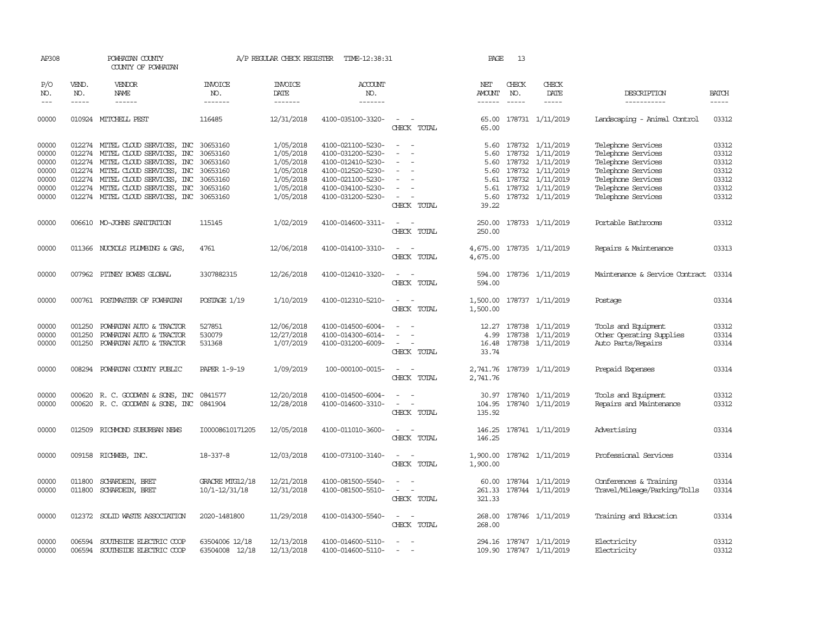| AP308                                                       |                             | POWHATAN COUNTY<br>COUNTY OF POWHATAN                                                                                                                                                                                                             |                                                                                  | A/P REGULAR CHECK REGISTER                                                              | TIME-12:38:31                                                                                                                                   |                                                                                                                     | PAGE                                                          | 13                                                                 |                                                                                         |                                                                                                                                                        |                                                             |
|-------------------------------------------------------------|-----------------------------|---------------------------------------------------------------------------------------------------------------------------------------------------------------------------------------------------------------------------------------------------|----------------------------------------------------------------------------------|-----------------------------------------------------------------------------------------|-------------------------------------------------------------------------------------------------------------------------------------------------|---------------------------------------------------------------------------------------------------------------------|---------------------------------------------------------------|--------------------------------------------------------------------|-----------------------------------------------------------------------------------------|--------------------------------------------------------------------------------------------------------------------------------------------------------|-------------------------------------------------------------|
| P/O<br>NO.<br>$---$                                         | VEND.<br>NO.<br>$- - - - -$ | VENDOR<br>NAME<br>$- - - - - -$                                                                                                                                                                                                                   | <b>INVOICE</b><br>NO.<br>-------                                                 | <b>INVOICE</b><br>DATE<br>-------                                                       | <b>ACCOUNT</b><br>NO.<br>-------                                                                                                                |                                                                                                                     | NET<br>AMOUNT<br>$- - - - - -$                                | CHECK<br>NO.<br>$\frac{1}{2}$                                      | CHECK<br>DATE<br>$- - - - -$                                                            | DESCRIPTION<br>-----------                                                                                                                             | <b>BATCH</b><br>$- - - - -$                                 |
| 00000                                                       |                             | 010924 MITCHELL PEST                                                                                                                                                                                                                              | 116485                                                                           | 12/31/2018                                                                              | 4100-035100-3320-                                                                                                                               | $\sim$<br>CHECK TOTAL                                                                                               | 65.00                                                         |                                                                    | 65.00 178731 1/11/2019                                                                  | Landscaping - Animal Control                                                                                                                           | 03312                                                       |
| 00000<br>00000<br>00000<br>00000<br>00000<br>00000<br>00000 | 012274                      | 012274 MITEL CLOUD SERVICES, INC<br>012274 MITEL CLOUD SERVICES, INC<br>012274 MITEL CLOUD SERVICES, INC<br>012274 MITEL CLOUD SERVICES, INC<br>MITEL CLOUD SERVICES, INC<br>012274 MITEL CLOUD SERVICES, INC<br>012274 MITEL CLOUD SERVICES, INC | 30653160<br>30653160<br>30653160<br>30653160<br>30653160<br>30653160<br>30653160 | 1/05/2018<br>1/05/2018<br>1/05/2018<br>1/05/2018<br>1/05/2018<br>1/05/2018<br>1/05/2018 | 4100-021100-5230-<br>4100-031200-5230-<br>4100-012410-5230-<br>4100-012520-5230-<br>4100-021100-5230-<br>4100-034100-5230-<br>4100-031200-5230- | $\overline{\phantom{a}}$<br>$\overline{\phantom{a}}$<br>$\sim$<br>$\sim$<br>$\overline{\phantom{a}}$<br>CHECK TOTAL | 5.60<br>5.60<br>5.60<br>5.60<br>5.61<br>5.61<br>5.60<br>39.22 | 178732<br>178732<br>178732<br>178732<br>178732<br>178732<br>178732 | 1/11/2019<br>1/11/2019<br>1/11/2019<br>1/11/2019<br>1/11/2019<br>1/11/2019<br>1/11/2019 | Telephone Services<br>Telephone Services<br>Telephone Services<br>Telephone Services<br>Telephone Services<br>Telephone Services<br>Telephone Services | 03312<br>03312<br>03312<br>03312<br>03312<br>03312<br>03312 |
| 00000                                                       |                             | 006610 MO-JOHNS SANITATION                                                                                                                                                                                                                        | 115145                                                                           | 1/02/2019                                                                               | 4100-014600-3311-                                                                                                                               | $\sim$<br>$\sim$<br>CHECK TOTAL                                                                                     | 250.00<br>250.00                                              |                                                                    | 178733 1/11/2019                                                                        | Portable Bathrooms                                                                                                                                     | 03312                                                       |
| 00000                                                       |                             | 011366 NUCKOLS PLUMBING & GAS                                                                                                                                                                                                                     | 4761                                                                             | 12/06/2018                                                                              | 4100-014100-3310-                                                                                                                               | $\overline{\phantom{a}}$<br>$\overline{\phantom{a}}$<br>CHECK TOTAL                                                 | 4,675.00<br>4,675.00                                          |                                                                    | 178735 1/11/2019                                                                        | Repairs & Maintenance                                                                                                                                  | 03313                                                       |
| 00000                                                       |                             | 007962 PITNEY BOWES GLOBAL                                                                                                                                                                                                                        | 3307882315                                                                       | 12/26/2018                                                                              | 4100-012410-3320-                                                                                                                               | CHECK TOTAL                                                                                                         | 594.00                                                        |                                                                    | 594.00 178736 1/11/2019                                                                 | Maintenance & Service Contract                                                                                                                         | 03314                                                       |
| 00000                                                       |                             | 000761 POSTMASTER OF POWHATAN                                                                                                                                                                                                                     | POSTAGE 1/19                                                                     | 1/10/2019                                                                               | 4100-012310-5210-                                                                                                                               | $\sim$ $ \sim$<br>CHECK TOTAL                                                                                       | 1,500.00                                                      |                                                                    | 1,500.00 178737 1/11/2019                                                               | Postage                                                                                                                                                | 03314                                                       |
| 00000<br>00000<br>00000                                     | 001250<br>001250            | POWHATAN AUTO & TRACTOR<br>POWHATAN AUTO & TRACTOR<br>001250 POWHATAN AUTO & TRACTOR                                                                                                                                                              | 527851<br>530079<br>531368                                                       | 12/06/2018<br>12/27/2018<br>1/07/2019                                                   | 4100-014500-6004-<br>4100-014300-6014-<br>4100-031200-6009-                                                                                     | $\overline{\phantom{a}}$<br>$\sim$<br>CHECK TOTAL                                                                   | 12.27<br>4.99<br>16.48<br>33.74                               |                                                                    | 178738 1/11/2019<br>178738 1/11/2019<br>178738 1/11/2019                                | Tools and Equipment<br>Other Operating Supplies<br>Auto Parts/Repairs                                                                                  | 03312<br>03314<br>03314                                     |
| 00000                                                       |                             | 008294 POWHATAN COUNTY PUBLIC                                                                                                                                                                                                                     | <b>PAPER 1-9-19</b>                                                              | 1/09/2019                                                                               | 100-000100-0015-                                                                                                                                | $\sim$<br>$\sim$<br>CHECK TOTAL                                                                                     | 2,741.76                                                      |                                                                    | 2,741.76 178739 1/11/2019                                                               | Prepaid Expenses                                                                                                                                       | 03314                                                       |
| 00000<br>00000                                              |                             | 000620 R. C. GOODWYN & SONS, INC<br>000620 R. C. GOODWYN & SONS, INC                                                                                                                                                                              | 0841577<br>0841904                                                               | 12/20/2018<br>12/28/2018                                                                | 4100-014500-6004-<br>4100-014600-3310-                                                                                                          | $\sim$<br>$\overline{\phantom{a}}$<br>$\sim$<br>CHECK TOTAL                                                         | 30.97<br>104.95<br>135.92                                     | 178740                                                             | 178740 1/11/2019<br>1/11/2019                                                           | Tools and Equipment<br>Repairs and Maintenance                                                                                                         | 03312<br>03312                                              |
| 00000                                                       |                             | 012509 RICHMOND SUBURBAN NEWS                                                                                                                                                                                                                     | I00008610171205                                                                  | 12/05/2018                                                                              | 4100-011010-3600-                                                                                                                               | $\sim$<br>$\overline{\phantom{a}}$<br>CHECK TOTAL                                                                   | 146.25                                                        |                                                                    | 146.25 178741 1/11/2019                                                                 | Advertising                                                                                                                                            | 03314                                                       |
| 00000                                                       |                             | 009158 RICHWEB, INC.                                                                                                                                                                                                                              | 18-337-8                                                                         | 12/03/2018                                                                              | 4100-073100-3140-                                                                                                                               | $\sim$<br>$\sim$<br>CHECK TOTAL                                                                                     | 1,900.00                                                      |                                                                    | 1,900.00 178742 1/11/2019                                                               | Professional Services                                                                                                                                  | 03314                                                       |
| 00000<br>00000                                              |                             | 011800 SCHARDEIN, BRET<br>011800 SCHARDEIN, BRET                                                                                                                                                                                                  | GRACRE MIG12/18<br>$10/1 - 12/31/18$                                             | 12/21/2018<br>12/31/2018                                                                | 4100-081500-5540-<br>4100-081500-5510-                                                                                                          | $\sim$<br>$\sim$<br>CHECK TOTAL                                                                                     | 60.00<br>321.33                                               |                                                                    | 178744 1/11/2019<br>261.33 178744 1/11/2019                                             | Conferences & Training<br>Travel/Mileage/Parking/Tolls                                                                                                 | 03314<br>03314                                              |
| 00000                                                       | 012372                      | SOLID WASTE ASSOCIATION                                                                                                                                                                                                                           | 2020-1481800                                                                     | 11/29/2018                                                                              | 4100-014300-5540-                                                                                                                               | $\sim$ $\sim$<br>CHECK TOTAL                                                                                        | 268.00                                                        |                                                                    | 268.00 178746 1/11/2019                                                                 | Training and Education                                                                                                                                 | 03314                                                       |
| 00000<br>00000                                              | 006594                      | SOUTHSIDE ELECTRIC COOP<br>006594 SOUTHSIDE ELECTRIC COOP                                                                                                                                                                                         | 63504006 12/18<br>63504008 12/18                                                 | 12/13/2018<br>12/13/2018                                                                | 4100-014600-5110-<br>4100-014600-5110-                                                                                                          | $\sim$<br>$\overline{\phantom{a}}$                                                                                  |                                                               |                                                                    | 294.16 178747 1/11/2019<br>109.90 178747 1/11/2019                                      | Electricity<br>Electricity                                                                                                                             | 03312<br>03312                                              |
|                                                             |                             |                                                                                                                                                                                                                                                   |                                                                                  |                                                                                         |                                                                                                                                                 |                                                                                                                     |                                                               |                                                                    |                                                                                         |                                                                                                                                                        |                                                             |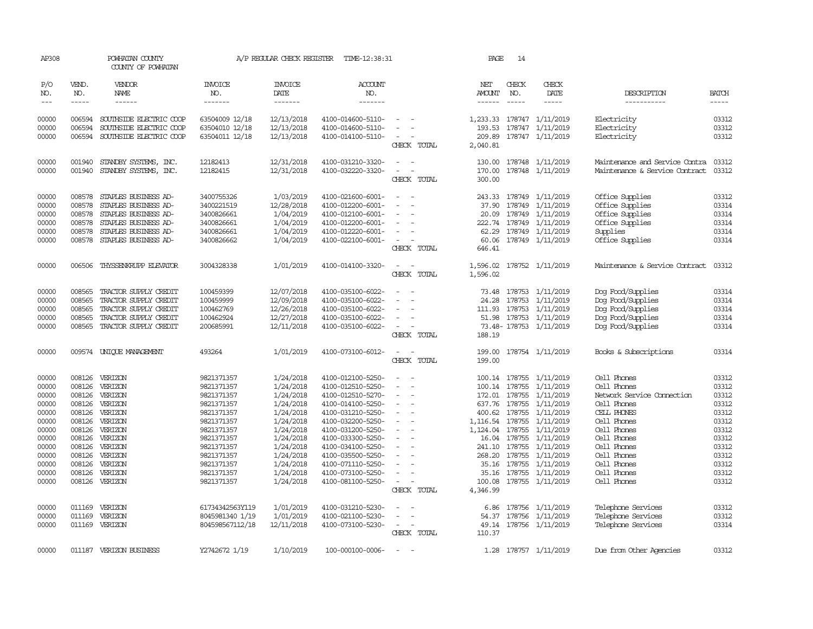| AP308               |                                                                                                                                                                                                                                                                                                                                                                                                                                                                         | POWHATAN COUNTY<br>COUNTY OF POWHATAN |                                  | A/P REGULAR CHECK REGISTER        | TIME-12:38:31                          |                                                      | PAGE                 | 14                            |                                     |                                |                       |
|---------------------|-------------------------------------------------------------------------------------------------------------------------------------------------------------------------------------------------------------------------------------------------------------------------------------------------------------------------------------------------------------------------------------------------------------------------------------------------------------------------|---------------------------------------|----------------------------------|-----------------------------------|----------------------------------------|------------------------------------------------------|----------------------|-------------------------------|-------------------------------------|--------------------------------|-----------------------|
| P/O<br>NO.<br>$---$ | VEND.<br>NO.<br>$\begin{tabular}{ccccc} \multicolumn{2}{c }{\multicolumn{2}{c }{\multicolumn{2}{c }{\multicolumn{2}{c}}{\hspace{-2.2cm}}}} \multicolumn{2}{c }{\multicolumn{2}{c }{\hspace{-2.2cm}}\hline} \multicolumn{2}{c }{\hspace{-2.2cm}}\hline \multicolumn{2}{c }{\hspace{-2.2cm}}\hline \multicolumn{2}{c }{\hspace{-2.2cm}}\hline \multicolumn{2}{c }{\hspace{-2.2cm}}\hline \multicolumn{2}{c }{\hspace{-2.2cm}}\hline \multicolumn{2}{c }{\hspace{-2.2cm}}$ | VENDOR<br>NAME                        | <b>INVOICE</b><br>NO.<br>------- | <b>INVOICE</b><br>DATE<br>------- | <b>ACCOUNT</b><br>NO.<br>-------       |                                                      | NET<br><b>AMOUNT</b> | CHECK<br>NO.<br>$\frac{1}{2}$ | CHECK<br>DATE<br>$- - - - -$        | DESCRIPTION<br>-----------     | <b>BATCH</b><br>----- |
|                     |                                                                                                                                                                                                                                                                                                                                                                                                                                                                         |                                       |                                  |                                   |                                        |                                                      |                      |                               |                                     |                                |                       |
| 00000               | 006594                                                                                                                                                                                                                                                                                                                                                                                                                                                                  | SOUTHSIDE ELECTRIC COOP               | 63504009 12/18                   | 12/13/2018                        | 4100-014600-5110-                      | $\sim$                                               |                      |                               | 1,233.33 178747 1/11/2019           | Electricity                    | 03312                 |
| 00000               | 006594                                                                                                                                                                                                                                                                                                                                                                                                                                                                  | SOUTHSIDE ELECTRIC COOP               | 63504010 12/18                   | 12/13/2018                        | 4100-014600-5110-                      |                                                      |                      |                               | 193.53 178747 1/11/2019             | Electricity                    | 03312                 |
| 00000               |                                                                                                                                                                                                                                                                                                                                                                                                                                                                         | 006594 SOUTHSIDE ELECTRIC COOP        | 63504011 12/18                   | 12/13/2018                        | 4100-014100-5110-                      | $\overline{\phantom{a}}$                             | 209.89               |                               | 178747 1/11/2019                    | Electricity                    | 03312                 |
|                     |                                                                                                                                                                                                                                                                                                                                                                                                                                                                         |                                       |                                  |                                   |                                        | CHECK TOTAL                                          | 2,040.81             |                               |                                     |                                |                       |
| 00000               | 001940                                                                                                                                                                                                                                                                                                                                                                                                                                                                  | STANDBY SYSTEMS, INC.                 | 12182413                         | 12/31/2018                        | 4100-031210-3320-                      | $\equiv$                                             | 130.00               |                               | 178748 1/11/2019                    | Maintenance and Service Contra | 03312                 |
| 00000               |                                                                                                                                                                                                                                                                                                                                                                                                                                                                         | 001940 STANDBY SYSTEMS, INC.          | 12182415                         | 12/31/2018                        | 4100-032220-3320-                      | $\sim$                                               | 170.00               |                               | 178748 1/11/2019                    | Maintenance & Service Contract | 03312                 |
|                     |                                                                                                                                                                                                                                                                                                                                                                                                                                                                         |                                       |                                  |                                   |                                        | CHECK TOTAL                                          | 300.00               |                               |                                     |                                |                       |
| 00000               | 008578                                                                                                                                                                                                                                                                                                                                                                                                                                                                  | STAPLES BUSINESS AD-                  | 3400755326                       | 1/03/2019                         | 4100-021600-6001-                      | $\overline{\phantom{a}}$                             |                      |                               | 243.33 178749 1/11/2019             | Office Supplies                | 03312                 |
| 00000               | 008578                                                                                                                                                                                                                                                                                                                                                                                                                                                                  | STAPLES BUSINESS AD-                  | 3400221519                       | 12/28/2018                        | 4100-012200-6001-                      |                                                      | 37.90                |                               | 178749 1/11/2019                    | Office Supplies                | 03314                 |
| 00000               | 008578                                                                                                                                                                                                                                                                                                                                                                                                                                                                  | STAPLES BUSINESS AD-                  | 3400826661                       | 1/04/2019                         | 4100-012100-6001-                      | $\overline{\phantom{a}}$                             | 20.09                |                               | 178749 1/11/2019                    | Office Supplies                | 03314                 |
| 00000               | 008578                                                                                                                                                                                                                                                                                                                                                                                                                                                                  | STAPLES BUSINESS AD-                  | 3400826661                       | 1/04/2019                         | 4100-012200-6001-                      |                                                      |                      |                               | 222.74 178749 1/11/2019             | Office Supplies                | 03314                 |
| 00000               | 008578                                                                                                                                                                                                                                                                                                                                                                                                                                                                  | STAPLES BUSINESS AD-                  | 3400826661                       | 1/04/2019                         | 4100-012220-6001-                      | $\overline{\phantom{a}}$                             |                      |                               | 62.29 178749 1/11/2019              | Supplies                       | 03314                 |
| 00000               |                                                                                                                                                                                                                                                                                                                                                                                                                                                                         | 008578 STAPLES BUSINESS AD-           | 3400826662                       | 1/04/2019                         | 4100-022100-6001-                      | $\overline{\phantom{a}}$                             | 60.06                |                               | 178749 1/11/2019                    | Office Supplies                | 03314                 |
|                     |                                                                                                                                                                                                                                                                                                                                                                                                                                                                         |                                       |                                  |                                   |                                        | CHECK TOTAL                                          | 646.41               |                               |                                     |                                |                       |
| 00000               | 006506                                                                                                                                                                                                                                                                                                                                                                                                                                                                  | THYSSENKRUPP ELEVATOR                 | 3004328338                       | 1/01/2019                         | 4100-014100-3320-                      | $\overline{\phantom{a}}$                             | 1,596.02             |                               | 178752 1/11/2019                    | Maintenance & Service Contract | 03312                 |
|                     |                                                                                                                                                                                                                                                                                                                                                                                                                                                                         |                                       |                                  |                                   |                                        | CHECK TOTAL                                          | 1,596.02             |                               |                                     |                                |                       |
| 00000               | 008565                                                                                                                                                                                                                                                                                                                                                                                                                                                                  | TRACTOR SUPPLY CREDIT                 | 100459399                        | 12/07/2018                        | 4100-035100-6022-                      | $\sim$                                               |                      |                               | 73.48 178753 1/11/2019              | Dog Food/Supplies              | 03314                 |
| 00000               | 008565                                                                                                                                                                                                                                                                                                                                                                                                                                                                  | TRACTOR SUPPLY CREDIT                 | 100459999                        | 12/09/2018                        | 4100-035100-6022-                      |                                                      | 24.28                |                               | 178753 1/11/2019                    | Dog Food/Supplies              | 03314                 |
| 00000               | 008565                                                                                                                                                                                                                                                                                                                                                                                                                                                                  | TRACTOR SUPPLY CREDIT                 | 100462769                        | 12/26/2018                        | 4100-035100-6022-                      |                                                      |                      |                               | 111.93 178753 1/11/2019             | Dog Food/Supplies              | 03314                 |
| 00000               | 008565                                                                                                                                                                                                                                                                                                                                                                                                                                                                  | TRACTOR SUPPLY CREDIT                 | 100462924                        | 12/27/2018                        | 4100-035100-6022-                      | $\overline{\phantom{a}}$                             |                      |                               | 51.98 178753 1/11/2019              | Dog Food/Supplies              | 03314                 |
| 00000               | 008565                                                                                                                                                                                                                                                                                                                                                                                                                                                                  | TRACTOR SUPPLY CREDIT                 | 200685991                        | 12/11/2018                        | 4100-035100-6022-                      | $\overline{\phantom{a}}$                             |                      |                               | 73.48-178753 1/11/2019              | Dog Food/Supplies              | 03314                 |
|                     |                                                                                                                                                                                                                                                                                                                                                                                                                                                                         |                                       |                                  |                                   |                                        | CHECK TOTAL                                          | 188.19               |                               |                                     |                                |                       |
| 00000               |                                                                                                                                                                                                                                                                                                                                                                                                                                                                         | 009574 UNIOUE MANAGEMENT              | 493264                           | 1/01/2019                         | 4100-073100-6012-                      | $\sim$                                               | 199.00               |                               | 178754 1/11/2019                    | Books & Subscriptions          | 03314                 |
|                     |                                                                                                                                                                                                                                                                                                                                                                                                                                                                         |                                       |                                  |                                   |                                        | CHECK TOTAL                                          | 199.00               |                               |                                     |                                |                       |
| 00000               |                                                                                                                                                                                                                                                                                                                                                                                                                                                                         | 008126 VERIZON                        | 9821371357                       | 1/24/2018                         | 4100-012100-5250-                      | $\overline{\phantom{a}}$                             |                      |                               | 100.14 178755 1/11/2019             | Cell Phones                    | 03312                 |
| 00000               |                                                                                                                                                                                                                                                                                                                                                                                                                                                                         | 008126 VERIZON                        | 9821371357                       | 1/24/2018                         | 4100-012510-5250-                      | $\sim$                                               |                      |                               | 100.14 178755 1/11/2019             | Cell Phones                    | 03312                 |
| 00000               |                                                                                                                                                                                                                                                                                                                                                                                                                                                                         | 008126 VERIZON                        | 9821371357                       | 1/24/2018                         | 4100-012510-5270-                      | $\overline{\phantom{a}}$                             |                      |                               | 172.01 178755 1/11/2019             | Network Service Connection     | 03312                 |
| 00000               |                                                                                                                                                                                                                                                                                                                                                                                                                                                                         | 008126 VERIZON                        | 9821371357                       | 1/24/2018                         | 4100-014100-5250-                      | $\overline{\phantom{a}}$                             |                      |                               | 637.76 178755 1/11/2019             | Cell Phones                    | 03312                 |
| 00000               |                                                                                                                                                                                                                                                                                                                                                                                                                                                                         | 008126 VERIZON                        | 9821371357                       | 1/24/2018                         | 4100-031210-5250-                      | $\overline{\phantom{a}}$                             | 400.62               |                               | 178755 1/11/2019                    | CELL PHONES                    | 03312                 |
| 00000               |                                                                                                                                                                                                                                                                                                                                                                                                                                                                         | 008126 VERIZON                        | 9821371357                       | 1/24/2018                         | 4100-032200-5250-                      | $\overline{\phantom{a}}$                             |                      |                               | 1, 116.54 178755 1/11/2019          | Cell Phones                    | 03312                 |
| 00000               |                                                                                                                                                                                                                                                                                                                                                                                                                                                                         | 008126 VERIZON                        | 9821371357                       | 1/24/2018                         | 4100-031200-5250-                      |                                                      |                      |                               | 1, 124.04 178755 1/11/2019          | Cell Phones                    | 03312                 |
| 00000<br>00000      |                                                                                                                                                                                                                                                                                                                                                                                                                                                                         | 008126 VERIZON<br>008126 VERIZON      | 9821371357<br>9821371357         | 1/24/2018<br>1/24/2018            | 4100-033300-5250-<br>4100-034100-5250- | $\overline{\phantom{a}}$<br>$\overline{\phantom{a}}$ | 241.10               | 178755                        | 16.04 178755 1/11/2019<br>1/11/2019 | Cell Phones<br>Cell Phones     | 03312<br>03312        |
| 00000               |                                                                                                                                                                                                                                                                                                                                                                                                                                                                         | 008126 VERIZON                        | 9821371357                       | 1/24/2018                         | 4100-035500-5250-                      |                                                      |                      |                               | 268.20 178755 1/11/2019             | Cell Phones                    | 03312                 |
| 00000               |                                                                                                                                                                                                                                                                                                                                                                                                                                                                         | 008126 VERIZON                        | 9821371357                       | 1/24/2018                         | 4100-071110-5250-                      |                                                      |                      |                               | 35.16 178755 1/11/2019              | Cell Phones                    | 03312                 |
| 00000               | 008126                                                                                                                                                                                                                                                                                                                                                                                                                                                                  | VERIZON                               | 9821371357                       | 1/24/2018                         | 4100-073100-5250-                      | $\overline{\phantom{a}}$                             | 35.16                |                               | 178755 1/11/2019                    | Cell Phones                    | 03312                 |
| 00000               |                                                                                                                                                                                                                                                                                                                                                                                                                                                                         | 008126 VERIZON                        | 9821371357                       | 1/24/2018                         | 4100-081100-5250-                      | $\sim$                                               | 100.08               |                               | 178755 1/11/2019                    | Cell Phones                    | 03312                 |
|                     |                                                                                                                                                                                                                                                                                                                                                                                                                                                                         |                                       |                                  |                                   |                                        | CHECK TOTAL                                          | 4,346.99             |                               |                                     |                                |                       |
| 00000               | 011169                                                                                                                                                                                                                                                                                                                                                                                                                                                                  | VERIZON                               | 61734342563Y119                  | 1/01/2019                         | 4100-031210-5230-                      |                                                      | 6.86                 |                               | 178756 1/11/2019                    | Telephone Services             | 03312                 |
| 00000               | 011169                                                                                                                                                                                                                                                                                                                                                                                                                                                                  | VERIZON                               | 8045981340 1/19                  | 1/01/2019                         | 4100-021100-5230-                      |                                                      | 54.37                |                               | 178756 1/11/2019                    | Telephone Services             | 03312                 |
| 00000               |                                                                                                                                                                                                                                                                                                                                                                                                                                                                         | 011169 VERIZON                        | 804598567112/18                  | 12/11/2018                        | 4100-073100-5230-                      | $\sim$                                               |                      |                               | 49.14 178756 1/11/2019              | Telephone Services             | 03314                 |
|                     |                                                                                                                                                                                                                                                                                                                                                                                                                                                                         |                                       |                                  |                                   |                                        | CHECK TOTAL                                          | 110.37               |                               |                                     |                                |                       |
| 00000               |                                                                                                                                                                                                                                                                                                                                                                                                                                                                         | 011187 VERIZON BUSINESS               | Y2742672 1/19                    | 1/10/2019                         | 100-000100-0006-                       | $\overline{a}$                                       |                      |                               | 1.28 178757 1/11/2019               | Due from Other Agencies        | 03312                 |
|                     |                                                                                                                                                                                                                                                                                                                                                                                                                                                                         |                                       |                                  |                                   |                                        |                                                      |                      |                               |                                     |                                |                       |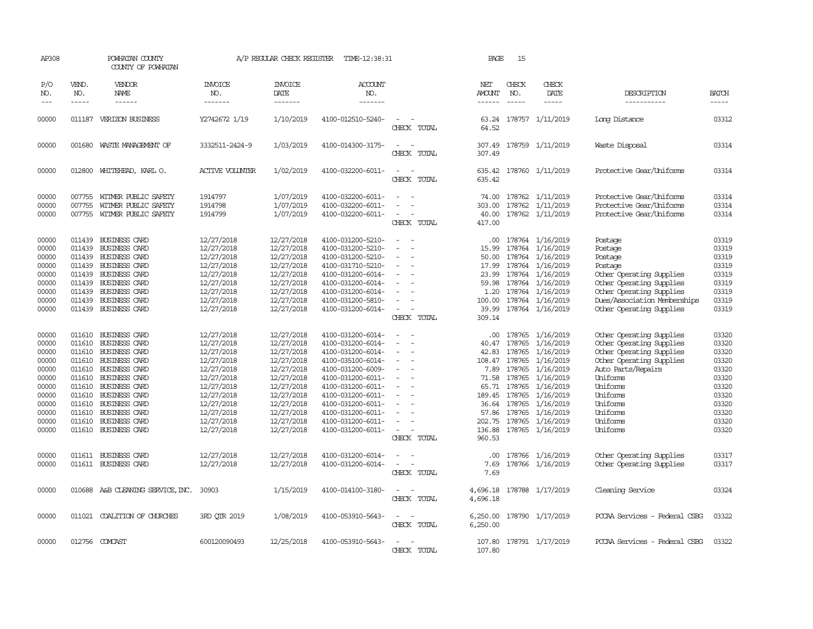| AP308                                                                                                    |                             | POWHATAN COUNTY<br>COUNTY OF POWHATAN                                                                                                                                                                                                                                                        |                                                                                                                                                                      | A/P REGULAR CHECK REGISTER                                                                                                                                           | TIME-12:38:31                                                                                                                                                                                                                                            |                                                   | PAGE                                                                                  | 15                                                                                                              |                                                                                                                                                                                          |                                                                                                                                                                                                                        |                                                                                                          |
|----------------------------------------------------------------------------------------------------------|-----------------------------|----------------------------------------------------------------------------------------------------------------------------------------------------------------------------------------------------------------------------------------------------------------------------------------------|----------------------------------------------------------------------------------------------------------------------------------------------------------------------|----------------------------------------------------------------------------------------------------------------------------------------------------------------------|----------------------------------------------------------------------------------------------------------------------------------------------------------------------------------------------------------------------------------------------------------|---------------------------------------------------|---------------------------------------------------------------------------------------|-----------------------------------------------------------------------------------------------------------------|------------------------------------------------------------------------------------------------------------------------------------------------------------------------------------------|------------------------------------------------------------------------------------------------------------------------------------------------------------------------------------------------------------------------|----------------------------------------------------------------------------------------------------------|
| P/O<br>NO.<br>$---$                                                                                      | VEND.<br>NO.<br>$- - - - -$ | VENDOR<br>NAME                                                                                                                                                                                                                                                                               | <b>INVOICE</b><br>NO.<br>-------                                                                                                                                     | <b>INVOICE</b><br>DATE<br>-------                                                                                                                                    | <b>ACCOUNT</b><br>NO.<br>-------                                                                                                                                                                                                                         |                                                   | NET<br>AMOUNT<br>------                                                               | CHECK<br>NO.<br>$- - - - -$                                                                                     | CHECK<br>DATE<br>-----                                                                                                                                                                   | DESCRIPTION<br>-----------                                                                                                                                                                                             | <b>BATCH</b><br>-----                                                                                    |
| 00000                                                                                                    | 011187                      | VERIZON BUSINESS                                                                                                                                                                                                                                                                             | Y2742672 1/19                                                                                                                                                        | 1/10/2019                                                                                                                                                            | 4100-012510-5240-                                                                                                                                                                                                                                        | $\equiv$<br>CHECK TOTAL                           | 63.24<br>64.52                                                                        |                                                                                                                 | 178757 1/11/2019                                                                                                                                                                         | Long Distance                                                                                                                                                                                                          | 03312                                                                                                    |
| 00000                                                                                                    |                             | 001680 WASTE MANAGEMENT OF                                                                                                                                                                                                                                                                   | 3332511-2424-9                                                                                                                                                       | 1/03/2019                                                                                                                                                            | 4100-014300-3175-                                                                                                                                                                                                                                        | $\equiv$<br>$\sim$<br>CHECK TOTAL                 | 307.49<br>307.49                                                                      |                                                                                                                 | 178759 1/11/2019                                                                                                                                                                         | Waste Disposal                                                                                                                                                                                                         | 03314                                                                                                    |
| 00000                                                                                                    |                             | 012800 WHITEHEAD, KARL O.                                                                                                                                                                                                                                                                    | <b>ACTIVE VOLUNTER</b>                                                                                                                                               | 1/02/2019                                                                                                                                                            | 4100-032200-6011-                                                                                                                                                                                                                                        | $\equiv$<br>$\sim$<br>CHECK TOTAL                 | 635.42                                                                                |                                                                                                                 | 635.42 178760 1/11/2019                                                                                                                                                                  | Protective Gear/Uniforms                                                                                                                                                                                               | 03314                                                                                                    |
| 00000<br>00000<br>00000                                                                                  | 007755<br>007755<br>007755  | WITMER PUBLIC SAFETY<br>WITMER PUBLIC SAFETY<br>WITMER PUBLIC SAFETY                                                                                                                                                                                                                         | 1914797<br>1914798<br>1914799                                                                                                                                        | 1/07/2019<br>1/07/2019<br>1/07/2019                                                                                                                                  | 4100-032200-6011-<br>4100-032200-6011-<br>4100-032200-6011-                                                                                                                                                                                              | $\sim$<br>$\sim$<br>CHECK TOTAL                   | 74.00<br>303.00<br>40.00<br>417.00                                                    |                                                                                                                 | 178762 1/11/2019<br>178762 1/11/2019<br>178762 1/11/2019                                                                                                                                 | Protective Gear/Uniforms<br>Protective Gear/Uniforms<br>Protective Gear/Uniforms                                                                                                                                       | 03314<br>03314<br>03314                                                                                  |
| 00000<br>00000<br>00000<br>00000<br>00000<br>00000<br>00000<br>00000<br>00000                            |                             | 011439 BUSINESS CARD<br>011439 BUSINESS CARD<br>011439 BUSINESS CARD<br>011439 BUSINESS CARD<br>011439 BUSINESS CARD<br>011439 BUSINESS CARD<br>011439 BUSINESS CARD<br>011439 BUSINESS CARD<br>011439 BUSINESS CARD                                                                         | 12/27/2018<br>12/27/2018<br>12/27/2018<br>12/27/2018<br>12/27/2018<br>12/27/2018<br>12/27/2018<br>12/27/2018<br>12/27/2018                                           | 12/27/2018<br>12/27/2018<br>12/27/2018<br>12/27/2018<br>12/27/2018<br>12/27/2018<br>12/27/2018<br>12/27/2018<br>12/27/2018                                           | 4100-031200-5210-<br>4100-031200-5210-<br>4100-031200-5210-<br>4100-031710-5210-<br>4100-031200-6014-<br>4100-031200-6014-<br>4100-031200-6014-<br>4100-031200-5810-<br>4100-031200-6014-                                                                | $\equiv$<br>CHECK TOTAL                           | .00<br>15.99<br>50.00<br>17.99<br>23.99<br>59.98<br>1.20<br>100.00<br>39.99<br>309.14 |                                                                                                                 | 178764 1/16/2019<br>178764 1/16/2019<br>178764 1/16/2019<br>178764 1/16/2019<br>178764 1/16/2019<br>178764 1/16/2019<br>178764 1/16/2019<br>178764 1/16/2019<br>178764 1/16/2019         | Postage<br>Postage<br>Postage<br>Postage<br>Other Operating Supplies<br>Other Operating Supplies<br>Other Operating Supplies<br>Dues/Association Memberships<br>Other Operating Supplies                               | 03319<br>03319<br>03319<br>03319<br>03319<br>03319<br>03319<br>03319<br>03319                            |
| 00000<br>00000<br>00000<br>00000<br>00000<br>00000<br>00000<br>00000<br>00000<br>00000<br>00000<br>00000 |                             | 011610 BUSINESS CARD<br>011610 BUSINESS CARD<br>011610 BUSINESS CARD<br>011610 BUSINESS CARD<br>011610 BUSINESS CARD<br>011610 BUSINESS CARD<br>011610 BUSINESS CARD<br>011610 BUSINESS CARD<br>011610 BUSINESS CARD<br>011610 BUSINESS CARD<br>011610 BUSINESS CARD<br>011610 BUSINESS CARD | 12/27/2018<br>12/27/2018<br>12/27/2018<br>12/27/2018<br>12/27/2018<br>12/27/2018<br>12/27/2018<br>12/27/2018<br>12/27/2018<br>12/27/2018<br>12/27/2018<br>12/27/2018 | 12/27/2018<br>12/27/2018<br>12/27/2018<br>12/27/2018<br>12/27/2018<br>12/27/2018<br>12/27/2018<br>12/27/2018<br>12/27/2018<br>12/27/2018<br>12/27/2018<br>12/27/2018 | 4100-031200-6014-<br>4100-031200-6014-<br>4100-031200-6014-<br>4100-035100-6014-<br>4100-031200-6009-<br>4100-031200-6011-<br>4100-031200-6011-<br>4100-031200-6011-<br>4100-031200-6011-<br>4100-031200-6011-<br>4100-031200-6011-<br>4100-031200-6011- | $\overline{\phantom{a}}$<br>$\sim$<br>CHECK TOTAL | 40.47<br>42.83<br>108.47<br>7.89<br>57.86<br>136.88<br>960.53                         | 178765<br>178765<br>178765<br>178765<br>71.58 178765<br>65.71 178765<br>36.64 178765<br>178765<br>202.75 178765 | .00 178765 1/16/2019<br>1/16/2019<br>1/16/2019<br>1/16/2019<br>1/16/2019<br>1/16/2019<br>1/16/2019<br>189.45 178765 1/16/2019<br>1/16/2019<br>1/16/2019<br>1/16/2019<br>178765 1/16/2019 | Other Operating Supplies<br>Other Operating Supplies<br>Other Operating Supplies<br>Other Operating Supplies<br>Auto Parts/Repairs<br>Uniforms<br>Uniforms<br>Uniforms<br>Uniforms<br>Uniforms<br>Uniforms<br>Uniforms | 03320<br>03320<br>03320<br>03320<br>03320<br>03320<br>03320<br>03320<br>03320<br>03320<br>03320<br>03320 |
| 00000<br>00000                                                                                           |                             | 011611 BUSINESS CARD<br>011611 BUSINESS CARD                                                                                                                                                                                                                                                 | 12/27/2018<br>12/27/2018                                                                                                                                             | 12/27/2018<br>12/27/2018                                                                                                                                             | 4100-031200-6014-<br>4100-031200-6014-                                                                                                                                                                                                                   | $\overline{\phantom{a}}$<br>CHECK TOTAL           | $.00 \cdot$<br>7.69<br>7.69                                                           |                                                                                                                 | 178766 1/16/2019<br>178766 1/16/2019                                                                                                                                                     | Other Operating Supplies<br>Other Operating Supplies                                                                                                                                                                   | 03317<br>03317                                                                                           |
| 00000                                                                                                    |                             | 010688 A&B CLEANING SERVICE, INC. 30903                                                                                                                                                                                                                                                      |                                                                                                                                                                      | 1/15/2019                                                                                                                                                            | 4100-014100-3180-                                                                                                                                                                                                                                        | CHECK TOTAL                                       | 4,696.18                                                                              |                                                                                                                 | 4,696.18 178788 1/17/2019                                                                                                                                                                | Cleaning Service                                                                                                                                                                                                       | 03324                                                                                                    |
| 00000                                                                                                    |                             | 011021 COALITION OF CHURCHES                                                                                                                                                                                                                                                                 | 3RD OTR 2019                                                                                                                                                         | 1/08/2019                                                                                                                                                            | 4100-053910-5643-                                                                                                                                                                                                                                        | $\sim$<br>CHECK TOTAL                             | 6,250.00                                                                              |                                                                                                                 | 6,250.00 178790 1/17/2019                                                                                                                                                                | PCCAA Services - Federal CSBG                                                                                                                                                                                          | 03322                                                                                                    |
| 00000                                                                                                    |                             | 012756 COMCAST                                                                                                                                                                                                                                                                               | 600120090493                                                                                                                                                         | 12/25/2018                                                                                                                                                           | 4100-053910-5643-                                                                                                                                                                                                                                        | CHECK TOTAL                                       | 107.80                                                                                |                                                                                                                 | 107.80 178791 1/17/2019                                                                                                                                                                  | PCCAA Services - Federal CSBG                                                                                                                                                                                          | 03322                                                                                                    |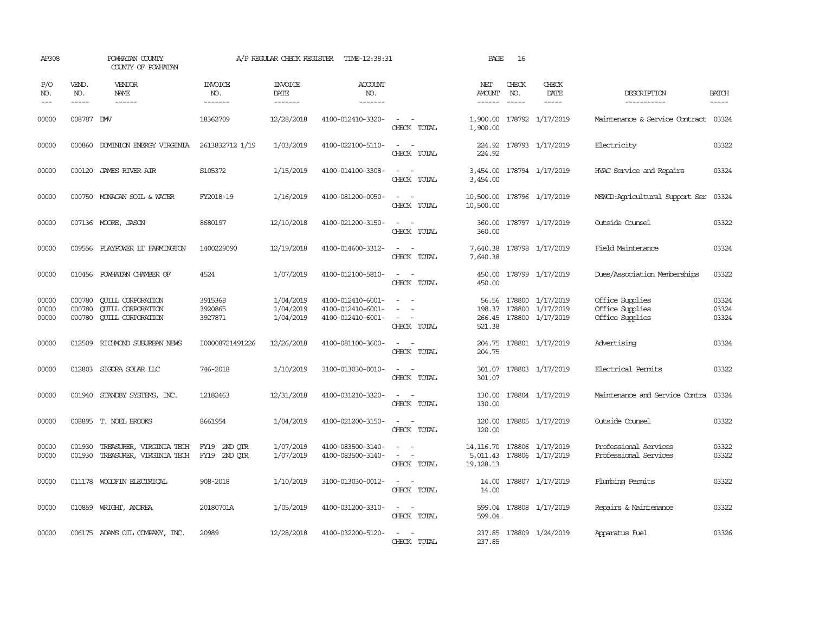| AP308                   |                             | POWHATAN COUNTY<br>COUNTY OF POWHATAN                                            |                                  | A/P REGULAR CHECK REGISTER          | TIME-12:38:31                                               |                                                                                                                                          | PAGE                                 | 16                          |                                                                              |                                                       |                             |
|-------------------------|-----------------------------|----------------------------------------------------------------------------------|----------------------------------|-------------------------------------|-------------------------------------------------------------|------------------------------------------------------------------------------------------------------------------------------------------|--------------------------------------|-----------------------------|------------------------------------------------------------------------------|-------------------------------------------------------|-----------------------------|
| P/O<br>NO.<br>$---$     | VEND.<br>NO.<br>$- - - - -$ | VENDOR<br><b>NAME</b><br>$- - - - - -$                                           | <b>INVOICE</b><br>NO.<br>------- | <b>INVOICE</b><br>DATE<br>--------  | <b>ACCOUNT</b><br>NO.<br>-------                            |                                                                                                                                          | NET<br>AMOUNT<br>$- - - - - -$       | CHECK<br>NO.<br>$- - - - -$ | CHECK<br>DATE<br>$- - - - -$                                                 | DESCRIPTION<br>-----------                            | <b>BATCH</b><br>$- - - - -$ |
| 00000                   | 008787 DMV                  |                                                                                  | 18362709                         | 12/28/2018                          | 4100-012410-3320-                                           | $\overline{\phantom{a}}$<br>CHECK TOTAL                                                                                                  | 1,900.00                             |                             | 1,900.00 178792 1/17/2019                                                    | Maintenance & Service Contract                        | 03324                       |
| 00000                   | 000860                      | DOMINION ENERGY VIRGINIA                                                         | 2613832712 1/19                  | 1/03/2019                           | 4100-022100-5110-                                           | $\sim$<br>$\sim$<br>CHECK TOTAL                                                                                                          | 224.92<br>224.92                     |                             | 178793 1/17/2019                                                             | Electricity                                           | 03322                       |
| 00000                   |                             | 000120 JAMES RIVER AIR                                                           | S105372                          | 1/15/2019                           | 4100-014100-3308-                                           | $\sim$ $ \sim$<br>CHECK TOTAL                                                                                                            | 3,454.00<br>3,454.00                 |                             | 178794 1/17/2019                                                             | HVAC Service and Repairs                              | 03324                       |
| 00000                   |                             | 000750 MONACAN SOIL & WATER                                                      | FY2018-19                        | 1/16/2019                           | 4100-081200-0050-                                           | $\sim$<br>$\sim$<br>CHECK TOTAL                                                                                                          | 10,500.00                            |                             | 10,500.00 178796 1/17/2019                                                   | MSWCD:Agricultural Support Ser                        | 03324                       |
| 00000                   |                             | 007136 MOORE, JASON                                                              | 8680197                          | 12/10/2018                          | 4100-021200-3150-                                           | $\sim$ $ \sim$<br>CHECK TOTAL                                                                                                            | 360.00<br>360.00                     |                             | 178797 1/17/2019                                                             | Outside Counsel                                       | 03322                       |
| 00000                   |                             | 009556 PLAYPOWER LT FARMINGTON                                                   | 1400229090                       | 12/19/2018                          | 4100-014600-3312-                                           | $\frac{1}{2} \left( \frac{1}{2} \right) \left( \frac{1}{2} \right) \left( \frac{1}{2} \right) \left( \frac{1}{2} \right)$<br>CHECK TOTAL | 7,640.38                             |                             | 7,640.38 178798 1/17/2019                                                    | Field Maintenance                                     | 03324                       |
| 00000                   |                             | 010456 POWHATAN CHAMBER OF                                                       | 4524                             | 1/07/2019                           | 4100-012100-5810-                                           | $ -$<br>CHECK TOTAL                                                                                                                      | 450.00                               |                             | 450.00 178799 1/17/2019                                                      | Dues/Association Memberships                          | 03322                       |
| 00000<br>00000<br>00000 | 000780<br>000780<br>000780  | <b>CUILL CORPORATION</b><br><b>CUILL CORPORATION</b><br><b>CUILL CORPORATION</b> | 3915368<br>3920865<br>3927871    | 1/04/2019<br>1/04/2019<br>1/04/2019 | 4100-012410-6001-<br>4100-012410-6001-<br>4100-012410-6001- | $\sim$<br>$\sim$ $-$<br>CHECK TOTAL                                                                                                      | 521.38                               |                             | 56.56 178800 1/17/2019<br>198.37 178800 1/17/2019<br>266.45 178800 1/17/2019 | Office Supplies<br>Office Supplies<br>Office Supplies | 03324<br>03324<br>03324     |
| 00000                   | 012509                      | RICHMOND SUBURBAN NEWS                                                           | I00008721491226                  | 12/26/2018                          | 4100-081100-3600-                                           | CHECK TOTAL                                                                                                                              | 204.75<br>204.75                     |                             | 178801 1/17/2019                                                             | Advertising                                           | 03324                       |
| 00000                   | 012803                      | SIGORA SOLAR LLC                                                                 | 746-2018                         | 1/10/2019                           | 3100-013030-0010-                                           | $\equiv$<br>CHECK TOTAL                                                                                                                  | 301.07<br>301.07                     |                             | 178803 1/17/2019                                                             | Electrical Permits                                    | 03322                       |
| 00000                   | 001940                      | STANDBY SYSTEMS, INC.                                                            | 12182463                         | 12/31/2018                          | 4100-031210-3320-                                           | $\overline{\phantom{a}}$<br>CHECK TOTAL                                                                                                  | 130.00<br>130.00                     |                             | 178804 1/17/2019                                                             | Maintenance and Service Contra                        | 03324                       |
| 00000                   |                             | 008895 T. NOEL BROOKS                                                            | 8661954                          | 1/04/2019                           | 4100-021200-3150-                                           | $\sim$<br>$\sim$<br>CHECK TOTAL                                                                                                          | 120.00<br>120.00                     |                             | 178805 1/17/2019                                                             | Outside Counsel                                       | 03322                       |
| 00000<br>00000          | 001930                      | TREASURER, VIRGINIA TECH<br>001930 TREASURER, VIRGINIA TECH                      | FY19 2ND OTR<br>FY19 2ND QTR     | 1/07/2019<br>1/07/2019              | 4100-083500-3140-<br>4100-083500-3140-                      | $\sim$ $ -$<br>$\sim$ $  -$<br>CHECK TOTAL                                                                                               | 14,116.70<br>5,011.43<br>19, 128. 13 |                             | 178806 1/17/2019<br>178806 1/17/2019                                         | Professional Services<br>Professional Services        | 03322<br>03322              |
| 00000                   |                             | 011178 WOODFIN ELECTRICAL                                                        | 908-2018                         | 1/10/2019                           | 3100-013030-0012-                                           | $\sim$<br>CHECK TOTAL                                                                                                                    | 14.00<br>14.00                       |                             | 178807 1/17/2019                                                             | Plumbing Permits                                      | 03322                       |
| 00000                   |                             | 010859 WRIGHT, ANDREA                                                            | 20180701A                        | 1/05/2019                           | 4100-031200-3310-                                           | $\sim$ $ \sim$<br>CHECK TOTAL                                                                                                            | 599.04<br>599.04                     |                             | 178808 1/17/2019                                                             | Repairs & Maintenance                                 | 03322                       |
| 00000                   |                             | 006175 ADAMS OIL COMPANY, INC.                                                   | 20989                            | 12/28/2018                          | 4100-032200-5120-                                           | $\sim$ $\sim$<br>CHECK TOTAL                                                                                                             | 237.85<br>237.85                     |                             | 178809 1/24/2019                                                             | Apparatus Fuel                                        | 03326                       |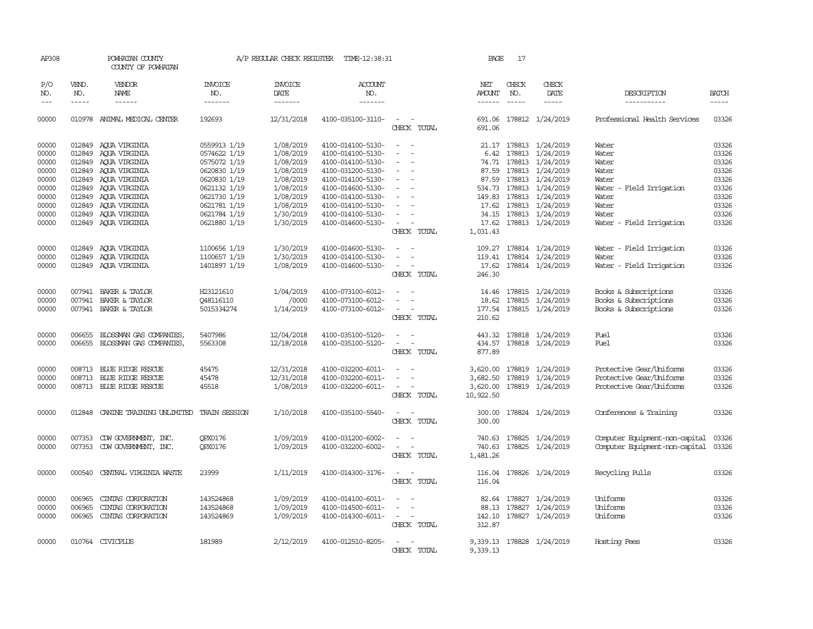| AP308          |                  | POWHATAN COUNTY<br>COUNTY OF POWHATAN    |                        | A/P REGULAR CHECK REGISTER | TIME-12:38:31                          |                                                                                                                             | PAGE             | 17           |                                      |                                |                |
|----------------|------------------|------------------------------------------|------------------------|----------------------------|----------------------------------------|-----------------------------------------------------------------------------------------------------------------------------|------------------|--------------|--------------------------------------|--------------------------------|----------------|
| P/O<br>NO.     | VEND.<br>NO.     | <b>VENDOR</b><br>NAME                    | <b>INVOICE</b><br>NO.  | <b>INVOICE</b><br>DATE     | <b>ACCOUNT</b><br>NO.                  |                                                                                                                             | NET<br>AMOUNT    | CHECK<br>NO. | CHECK<br>DATE                        | DESCRIPTION                    | <b>BATCH</b>   |
| $---$          | $- - - - -$      | $- - - - - -$                            | -------                | -------                    | -------                                |                                                                                                                             | $- - - - - -$    | $- - - - -$  | -----                                | -----------                    | $- - - - -$    |
| 00000          |                  | 010978 ANIMAL MEDICAL CENTER             | 192693                 | 12/31/2018                 | 4100-035100-3110-                      | $\frac{1}{2} \left( \frac{1}{2} \right) \left( \frac{1}{2} \right) = \frac{1}{2} \left( \frac{1}{2} \right)$<br>CHECK TOTAL | 691.06           |              | 691.06 178812 1/24/2019              | Professional Health Services   | 03326          |
| 00000          |                  | 012849 AQUA VIRGINIA                     | 0559913 1/19           | 1/08/2019                  | 4100-014100-5130-                      | $\sim$<br>$\sim$                                                                                                            |                  |              | 21.17 178813 1/24/2019               | Water                          | 03326          |
| 00000          |                  | 012849 AQUA VIRGINIA                     | 0574622 1/19           | 1/08/2019                  | 4100-014100-5130-                      | $\overline{\phantom{a}}$<br>$\overline{\phantom{a}}$                                                                        | 6.42             |              | 178813 1/24/2019                     | Water                          | 03326          |
| 00000          |                  | 012849 AQUA VIRGINIA                     | 0575072 1/19           | 1/08/2019                  | 4100-014100-5130-                      | $\overline{\phantom{a}}$                                                                                                    |                  |              | 74.71 178813 1/24/2019               | Water                          | 03326          |
| 00000          |                  | 012849 AQUA VIRGINIA                     | 0620830 1/19           | 1/08/2019                  | 4100-031200-5130-                      | $\equiv$                                                                                                                    |                  |              | 87.59 178813 1/24/2019               | Water                          | 03326          |
| 00000          |                  | 012849 AQUA VIRGINIA                     | 0620830 1/19           | 1/08/2019                  | 4100-014100-5130-                      | $\sim$                                                                                                                      |                  |              | 87.59 178813 1/24/2019               | Water                          | 03326          |
| 00000          |                  | 012849 AQUA VIRGINIA                     | 0621132 1/19           | 1/08/2019                  | 4100-014600-5130-                      | $\overline{\phantom{a}}$                                                                                                    | 534.73           |              | 178813 1/24/2019                     | Water - Field Irrigation       | 03326          |
| 00000          |                  | 012849 AQUA VIRGINIA                     | 0621730 1/19           | 1/08/2019                  | 4100-014100-5130-                      |                                                                                                                             |                  |              | 149.83 178813 1/24/2019              | Water                          | 03326          |
| 00000          |                  | 012849 AQUA VIRGINIA                     | 0621781 1/19           | 1/08/2019                  | 4100-014100-5130-                      | $\overline{\phantom{a}}$                                                                                                    |                  |              | 17.62 178813 1/24/2019               | Water                          | 03326          |
| 00000          |                  | 012849 AQUA VIRGINIA                     | 0621784 1/19           | 1/30/2019                  | 4100-014100-5130-                      | $\overline{\phantom{a}}$                                                                                                    |                  |              | 34.15 178813 1/24/2019               | Water                          | 03326          |
| 00000          |                  | 012849 AQUA VIRGINIA                     | 0621880 1/19           | 1/30/2019                  | 4100-014600-5130-                      | $\sim$ $ \sim$<br>CHECK TOTAL                                                                                               | 1,031.43         |              | 17.62 178813 1/24/2019               | Water - Field Irrigation       | 03326          |
|                |                  |                                          |                        |                            |                                        |                                                                                                                             |                  |              |                                      |                                |                |
| 00000          | 012849           | AQUA VIRGINIA                            | 1100656 1/19           | 1/30/2019                  | 4100-014600-5130-                      | $\overline{\phantom{a}}$                                                                                                    | 109.27           |              | 178814 1/24/2019                     | Water - Field Irrigation       | 03326          |
| 00000          |                  | 012849 AQUA VIRGINIA                     | 1100657 1/19           | 1/30/2019                  | 4100-014100-5130-                      |                                                                                                                             |                  |              | 119.41 178814 1/24/2019              | Water                          | 03326          |
| 00000          |                  | 012849 AQUA VIRGINIA                     | 1401897 1/19           | 1/08/2019                  | 4100-014600-5130-                      | $\sim$                                                                                                                      |                  |              | 17.62 178814 1/24/2019               | Water - Field Irrigation       | 03326          |
|                |                  |                                          |                        |                            |                                        | CHECK TOTAL                                                                                                                 | 246.30           |              |                                      |                                |                |
| 00000          |                  | 007941 BAKER & TAYLOR                    | H23121610              | 1/04/2019                  | 4100-073100-6012-                      |                                                                                                                             |                  |              | 14.46 178815 1/24/2019               | Books & Subscriptions          | 03326          |
| 00000          |                  | 007941 BAKER & TAYLOR                    | Q48116110              | /0000                      | 4100-073100-6012-                      | $\equiv$<br>$\overline{\phantom{a}}$                                                                                        | 18.62            |              | 178815 1/24/2019                     | Books & Subscriptions          | 03326          |
| 00000          |                  | 007941 BAKER & TAYLOR                    | 5015334274             | 1/14/2019                  | 4100-073100-6012-                      | $\equiv$                                                                                                                    | 177.54           |              | 178815 1/24/2019                     | Books & Subscriptions          | 03326          |
|                |                  |                                          |                        |                            |                                        | CHECK TOTAL                                                                                                                 | 210.62           |              |                                      |                                |                |
| 00000          | 006655           | BLOSSMAN GAS COMPANIES,                  | 5407986                | 12/04/2018                 | 4100-035100-5120-                      | $\sim$ $-$<br>$\sim$                                                                                                        | 443.32           |              | 178818 1/24/2019                     | Fuel                           | 03326          |
| 00000          |                  | 006655 BLOSSMAN GAS COMPANIES,           | 5563308                | 12/18/2018                 | 4100-035100-5120-                      | $\sim$<br>$\sim$                                                                                                            |                  |              | 434.57 178818 1/24/2019              | Fuel                           | 03326          |
|                |                  |                                          |                        |                            |                                        | CHECK TOTAL                                                                                                                 | 877.89           |              |                                      |                                |                |
| 00000          |                  | 008713 BLUE RIDGE RESCUE                 | 45475                  | 12/31/2018                 | 4100-032200-6011-                      |                                                                                                                             | 3,620.00         |              | 178819 1/24/2019                     | Protective Gear/Uniforms       | 03326          |
| 00000          |                  | 008713 BLUE RIDGE RESCUE                 | 45478                  | 12/31/2018                 | 4100-032200-6011-                      |                                                                                                                             | 3,682.50         |              | 178819 1/24/2019                     | Protective Gear/Uniforms       | 03326          |
| 00000          |                  | 008713 BLUE RIDGE RESCUE                 | 45518                  | 1/08/2019                  | 4100-032200-6011-                      | $\overline{\phantom{a}}$                                                                                                    |                  |              | 3,620.00 178819 1/24/2019            | Protective Gear/Uniforms       | 03326          |
|                |                  |                                          |                        |                            |                                        | CHECK TOTAL                                                                                                                 | 10,922.50        |              |                                      |                                |                |
|                |                  |                                          | <b>TRAIN SESSION</b>   |                            |                                        | $\sim$ $ \sim$                                                                                                              |                  |              |                                      |                                | 03326          |
| 00000          |                  | 012848 CANINE TRAINING UNLIMITED         |                        | 1/10/2018                  | 4100-035100-5540-                      | CHECK TOTAL                                                                                                                 | 300.00<br>300.00 |              | 178824 1/24/2019                     | Conferences & Training         |                |
|                |                  |                                          |                        |                            |                                        |                                                                                                                             |                  |              |                                      |                                |                |
| 00000          |                  | 007353 CDW GOVERNMENT, INC.              | OPX0176                | 1/09/2019                  | 4100-031200-6002-                      |                                                                                                                             | 740.63           |              | 178825 1/24/2019                     | Computer Equipment-non-capital | 03326          |
| 00000          |                  | 007353 CDW GOVERNMENT, INC.              | QPX0176                | 1/09/2019                  | 4100-032200-6002-                      | $\equiv$                                                                                                                    | 740.63           |              | 178825 1/24/2019                     | Computer Equipment-non-capital | 03326          |
|                |                  |                                          |                        |                            |                                        | CHECK TOTAL                                                                                                                 | 1,481.26         |              |                                      |                                |                |
| 00000          |                  | 000540 CENTRAL VIRGINIA WASTE            | 23999                  | 1/11/2019                  | 4100-014300-3176-                      | $\frac{1}{2} \left( \frac{1}{2} \right) \left( \frac{1}{2} \right) = \frac{1}{2} \left( \frac{1}{2} \right)$                | 116.04           |              | 178826 1/24/2019                     | Recycling Pulls                | 03326          |
|                |                  |                                          |                        |                            |                                        | CHECK TOTAL                                                                                                                 | 116.04           |              |                                      |                                |                |
|                |                  |                                          |                        |                            |                                        |                                                                                                                             |                  |              |                                      |                                |                |
| 00000          | 006965           | CINTAS CORPORATION                       | 143524868              | 1/09/2019                  | 4100-014100-6011-                      |                                                                                                                             | 82.64            |              | 178827 1/24/2019                     | Uniforms                       | 03326          |
| 00000<br>00000 | 006965<br>006965 | CINIAS CORPORATION<br>CINIAS CORPORATION | 143524868<br>143524869 | 1/09/2019<br>1/09/2019     | 4100-014500-6011-<br>4100-014300-6011- | $\sim$<br>$\sim$                                                                                                            | 88.13<br>142.10  |              | 178827 1/24/2019<br>178827 1/24/2019 | Uniforms<br>Uniforms           | 03326<br>03326 |
|                |                  |                                          |                        |                            |                                        | CHECK TOTAL                                                                                                                 | 312.87           |              |                                      |                                |                |
|                |                  |                                          |                        |                            |                                        |                                                                                                                             |                  |              |                                      |                                |                |
| 00000          |                  | 010764 CIVICPLUS                         | 181989                 | 2/12/2019                  | 4100-012510-8205-                      | $\sim$ $\sim$                                                                                                               |                  |              | 9,339.13 178828 1/24/2019            | Hosting Fees                   | 03326          |
|                |                  |                                          |                        |                            |                                        | CHECK TOTAL                                                                                                                 | 9,339.13         |              |                                      |                                |                |
|                |                  |                                          |                        |                            |                                        |                                                                                                                             |                  |              |                                      |                                |                |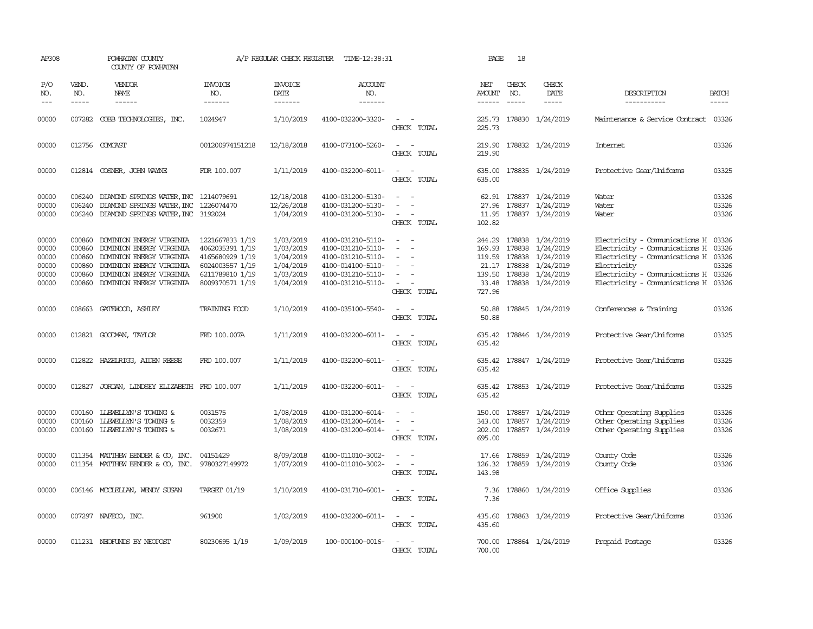| AP308                                                                                                                                                                                                                                                                                                                                                                                                      |                                                          | POWHATAN COUNTY<br>COUNTY OF POWHATAN                                                                                                                                |                                                                                                                | A/P REGULAR CHECK REGISTER                                                 | TIME-12:38:31                                                                                                              |                                                                                                                                                                                     | PAGE                       | 18                          |                                                                                                                                          |                                                                                                                                                                                                           |                         |
|------------------------------------------------------------------------------------------------------------------------------------------------------------------------------------------------------------------------------------------------------------------------------------------------------------------------------------------------------------------------------------------------------------|----------------------------------------------------------|----------------------------------------------------------------------------------------------------------------------------------------------------------------------|----------------------------------------------------------------------------------------------------------------|----------------------------------------------------------------------------|----------------------------------------------------------------------------------------------------------------------------|-------------------------------------------------------------------------------------------------------------------------------------------------------------------------------------|----------------------------|-----------------------------|------------------------------------------------------------------------------------------------------------------------------------------|-----------------------------------------------------------------------------------------------------------------------------------------------------------------------------------------------------------|-------------------------|
| P/O<br>NO.<br>$\frac{1}{2} \frac{1}{2} \frac{1}{2} \frac{1}{2} \frac{1}{2} \frac{1}{2} \frac{1}{2} \frac{1}{2} \frac{1}{2} \frac{1}{2} \frac{1}{2} \frac{1}{2} \frac{1}{2} \frac{1}{2} \frac{1}{2} \frac{1}{2} \frac{1}{2} \frac{1}{2} \frac{1}{2} \frac{1}{2} \frac{1}{2} \frac{1}{2} \frac{1}{2} \frac{1}{2} \frac{1}{2} \frac{1}{2} \frac{1}{2} \frac{1}{2} \frac{1}{2} \frac{1}{2} \frac{1}{2} \frac{$ | VEND.<br>NO.<br>$- - - - -$                              | VENDOR<br>NAME<br>$- - - - - -$                                                                                                                                      | <b>INVOICE</b><br>NO.<br>-------                                                                               | <b>INVOICE</b><br>DATE<br>-------                                          | ACCOUNT<br>NO.<br>-------                                                                                                  |                                                                                                                                                                                     | NET<br>AMOUNT<br>------    | CHECK<br>NO.<br>$- - - - -$ | CHECK<br>DATE                                                                                                                            | DESCRIPTION<br>-----------                                                                                                                                                                                | <b>BATCH</b><br>-----   |
| 00000                                                                                                                                                                                                                                                                                                                                                                                                      |                                                          | 007282 COBB TECHNOLOGIES, INC.                                                                                                                                       | 1024947                                                                                                        | 1/10/2019                                                                  | 4100-032200-3320-                                                                                                          | $\overline{\phantom{a}}$<br>CHECK TOTAL                                                                                                                                             | 225.73                     |                             | 225.73 178830 1/24/2019                                                                                                                  | Maintenance & Service Contract 03326                                                                                                                                                                      |                         |
| 00000                                                                                                                                                                                                                                                                                                                                                                                                      |                                                          | 012756 COMCAST                                                                                                                                                       | 001200974151218                                                                                                | 12/18/2018                                                                 | 4100-073100-5260-                                                                                                          | $\sim$<br>CHECK TOTAL                                                                                                                                                               | 219.90                     |                             | 219.90 178832 1/24/2019                                                                                                                  | Internet.                                                                                                                                                                                                 | 03326                   |
| 00000                                                                                                                                                                                                                                                                                                                                                                                                      |                                                          | 012814 COSNER, JOHN WAYNE                                                                                                                                            | FDR 100.007                                                                                                    | 1/11/2019                                                                  | 4100-032200-6011-                                                                                                          | $\sim$ $ \sim$<br>CHECK TOTAL                                                                                                                                                       | 635.00<br>635.00           |                             | 178835 1/24/2019                                                                                                                         | Protective Gear/Uniforms                                                                                                                                                                                  | 03325                   |
| 00000<br>00000<br>00000                                                                                                                                                                                                                                                                                                                                                                                    | 006240<br>006240<br>006240                               | DIAMOND SPRINGS WATER, INC 1214079691<br>DIAMOND SPRINGS WATER, INC 1226074470<br>DIAMOND SPRINGS WATER, INC 3192024                                                 |                                                                                                                | 12/18/2018<br>12/26/2018<br>1/04/2019                                      | 4100-031200-5130-<br>4100-031200-5130-<br>4100-031200-5130-                                                                | $\sim$<br>$\sim$<br>$\sim$<br>$\overline{\phantom{a}}$<br>$\sim$<br>CHECK TOTAL                                                                                                     | 27.96<br>11.95<br>102.82   |                             | 62.91 178837 1/24/2019<br>178837 1/24/2019<br>178837 1/24/2019                                                                           | Water<br>Water<br>Water                                                                                                                                                                                   | 03326<br>03326<br>03326 |
| 00000<br>00000<br>00000<br>00000<br>00000<br>00000                                                                                                                                                                                                                                                                                                                                                         | 000860<br>000860<br>000860<br>000860<br>000860<br>000860 | DOMINION ENERGY VIRGINIA<br>DOMINION ENERGY VIRGINIA<br>DOMINION ENERGY VIRGINIA<br>DOMINION ENERGY VIRGINIA<br>DOMINION ENERGY VIRGINIA<br>DOMINION ENERGY VIRGINIA | 1221667833 1/19<br>4062035391 1/19<br>4165680929 1/19<br>6024003557 1/19<br>6211789810 1/19<br>8009370571 1/19 | 1/03/2019<br>1/03/2019<br>1/04/2019<br>1/04/2019<br>1/03/2019<br>1/04/2019 | 4100-031210-5110-<br>4100-031210-5110-<br>4100-031210-5110-<br>4100-014100-5110-<br>4100-031210-5110-<br>4100-031210-5110- | $\sim$ $\sim$<br>$\sim$<br>$\sim$<br>$\overline{\phantom{a}}$<br>$\sim$<br>CHECK TOTAL                                                                                              | 169.93<br>33.48<br>727.96  | 178838                      | 244.29 178838 1/24/2019<br>1/24/2019<br>119.59 178838 1/24/2019<br>21.17 178838 1/24/2019<br>139.50 178838 1/24/2019<br>178838 1/24/2019 | Electricity - Comunications H 03326<br>Electricity - Comunications H<br>Electricity - Comunications H 03326<br>Electricity<br>Electricity - Communications H 03326<br>Electricity - Comunications H 03326 | 03326<br>03326          |
| 00000                                                                                                                                                                                                                                                                                                                                                                                                      | 008663                                                   | GATEWOOD, ASHLEY                                                                                                                                                     | <b>TRAINING FOOD</b>                                                                                           | 1/10/2019                                                                  | 4100-035100-5540-                                                                                                          | CHECK TOTAL                                                                                                                                                                         | 50.88<br>50.88             |                             | 178845 1/24/2019                                                                                                                         | Conferences & Training                                                                                                                                                                                    | 03326                   |
| 00000                                                                                                                                                                                                                                                                                                                                                                                                      |                                                          | 012821 GOODMAN, TAYLOR                                                                                                                                               | FRD 100.007A                                                                                                   | 1/11/2019                                                                  | 4100-032200-6011-                                                                                                          | $\overline{\phantom{a}}$<br>CHECK TOTAL                                                                                                                                             | 635.42<br>635.42           |                             | 178846 1/24/2019                                                                                                                         | Protective Gear/Uniforms                                                                                                                                                                                  | 03325                   |
| 00000                                                                                                                                                                                                                                                                                                                                                                                                      |                                                          | 012822 HAZELRIGG, AIDEN REESE                                                                                                                                        | FRD 100.007                                                                                                    | 1/11/2019                                                                  | 4100-032200-6011-                                                                                                          | $\sim$ $\sim$<br>CHECK TOTAL                                                                                                                                                        | 635.42                     |                             | 635.42 178847 1/24/2019                                                                                                                  | Protective Gear/Uniforms                                                                                                                                                                                  | 03325                   |
| 00000                                                                                                                                                                                                                                                                                                                                                                                                      |                                                          | 012827 JORDAN, LINDSEY ELIZABETH FRD 100.007                                                                                                                         |                                                                                                                | 1/11/2019                                                                  | 4100-032200-6011-                                                                                                          | $\sim$ $\sim$<br>CHECK TOTAL                                                                                                                                                        | 635.42<br>635.42           |                             | 178853 1/24/2019                                                                                                                         | Protective Gear/Uniforms                                                                                                                                                                                  | 03325                   |
| 00000<br>00000<br>00000                                                                                                                                                                                                                                                                                                                                                                                    | 000160<br>000160                                         | LLEWELLYN'S TOWING &<br><b>LLEWELLYN'S TOWING &amp;</b><br>000160 LIEWELLYN'S TOWING &                                                                               | 0031575<br>0032359<br>0032671                                                                                  | 1/08/2019<br>1/08/2019<br>1/08/2019                                        | 4100-031200-6014-<br>4100-031200-6014-<br>4100-031200-6014-                                                                | $\sim$<br>$\sim$<br>$\sim$<br>$\sim$<br>$\sim$<br>CHECK TOTAL                                                                                                                       | 343.00<br>202.00<br>695.00 |                             | 150.00 178857 1/24/2019<br>178857 1/24/2019<br>178857 1/24/2019                                                                          | Other Operating Supplies<br>Other Operating Supplies<br>Other Operating Supplies                                                                                                                          | 03326<br>03326<br>03326 |
| 00000<br>00000                                                                                                                                                                                                                                                                                                                                                                                             |                                                          | 011354 MATTHEW BENDER & CO, INC.<br>011354 MATTHEW BENDER & CO, INC.                                                                                                 | 04151429<br>9780327149972                                                                                      | 8/09/2018<br>1/07/2019                                                     | 4100-011010-3002-<br>4100-011010-3002-                                                                                     | $\frac{1}{2} \left( \frac{1}{2} \right) \left( \frac{1}{2} \right) = \frac{1}{2} \left( \frac{1}{2} \right)$<br>$\overline{\phantom{a}}$<br>$\overline{\phantom{a}}$<br>CHECK TOTAL | 126.32<br>143.98           |                             | 17.66 178859 1/24/2019<br>178859 1/24/2019                                                                                               | County Code<br>County Code                                                                                                                                                                                | 03326<br>03326          |
| 00000                                                                                                                                                                                                                                                                                                                                                                                                      |                                                          | 006146 MCCLELLAN, WENDY SUSAN                                                                                                                                        | TARGET 01/19                                                                                                   | 1/10/2019                                                                  | 4100-031710-6001-                                                                                                          | $\sim$<br>CHECK TOTAL                                                                                                                                                               | 7.36<br>7.36               |                             | 178860 1/24/2019                                                                                                                         | Office Supplies                                                                                                                                                                                           | 03326                   |
| 00000                                                                                                                                                                                                                                                                                                                                                                                                      |                                                          | 007297 NAFECO, INC.                                                                                                                                                  | 961900                                                                                                         | 1/02/2019                                                                  | 4100-032200-6011-                                                                                                          | $\sim$ $ \sim$<br>CHECK TOTAL                                                                                                                                                       | 435.60<br>435.60           |                             | 178863 1/24/2019                                                                                                                         | Protective Gear/Uniforms                                                                                                                                                                                  | 03326                   |
| 00000                                                                                                                                                                                                                                                                                                                                                                                                      |                                                          | 011231 NEOFUNDS BY NEOPOST                                                                                                                                           | 80230695 1/19                                                                                                  | 1/09/2019                                                                  | 100-000100-0016-                                                                                                           | $\frac{1}{2} \left( \frac{1}{2} \right) \left( \frac{1}{2} \right) = \frac{1}{2} \left( \frac{1}{2} \right)$<br>CHECK TOTAL                                                         | 700.00<br>700.00           |                             | 178864 1/24/2019                                                                                                                         | Prepaid Postage                                                                                                                                                                                           | 03326                   |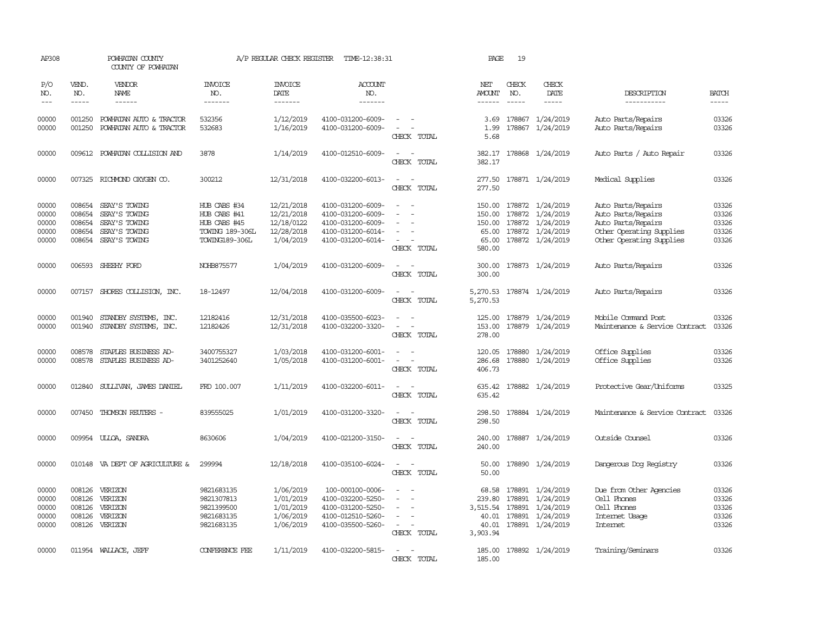| AP308                                     |                                      | POWHATAN COUNTY<br>COUNTY OF POWHATAN                                                    |                                                                                          | A/P REGULAR CHECK REGISTER                                        | TIME-12:38:31                                                                                         |                                                                                                                             | PAGE                                             | 19               |                                                                                          |                                                                                                                        |                                           |
|-------------------------------------------|--------------------------------------|------------------------------------------------------------------------------------------|------------------------------------------------------------------------------------------|-------------------------------------------------------------------|-------------------------------------------------------------------------------------------------------|-----------------------------------------------------------------------------------------------------------------------------|--------------------------------------------------|------------------|------------------------------------------------------------------------------------------|------------------------------------------------------------------------------------------------------------------------|-------------------------------------------|
| P/O<br>NO.                                | VEND.<br>NO.<br>$- - - - -$          | <b>VENDOR</b><br>NAME<br>------                                                          | <b>INVOICE</b><br>NO.<br>-------                                                         | <b>INVOICE</b><br>DATE                                            | ACCOUNT<br>NO.<br>-------                                                                             |                                                                                                                             | NET<br><b>AMOUNT</b>                             | CHECK<br>NO.     | CHECK<br>DATE                                                                            | DESCRIPTION                                                                                                            | <b>BATCH</b>                              |
| $- - -$                                   |                                      |                                                                                          |                                                                                          | -------                                                           |                                                                                                       |                                                                                                                             | $- - - - - -$                                    | $\frac{1}{2}$    | $\cdots$                                                                                 | -----------                                                                                                            | -----                                     |
| 00000<br>00000                            | 001250<br>001250                     | POWHATAN AUTO & TRACTOR<br>POWHATAN AUTO & TRACTOR                                       | 532356<br>532683                                                                         | 1/12/2019<br>1/16/2019                                            | 4100-031200-6009-<br>4100-031200-6009-                                                                | $\sim$<br>$\sim$<br>CHECK TOTAL                                                                                             | 3.69<br>1.99<br>5.68                             | 178867           | 178867 1/24/2019<br>1/24/2019                                                            | Auto Parts/Repairs<br>Auto Parts/Repairs                                                                               | 03326<br>03326                            |
| 00000                                     |                                      | 009612 POWHATAN COLLISION AND                                                            | 3878                                                                                     | 1/14/2019                                                         | 4100-012510-6009-                                                                                     | $\sim$ 10 $\pm$<br>CHECK TOTAL                                                                                              | 382.17                                           |                  | 382.17 178868 1/24/2019                                                                  | Auto Parts / Auto Repair                                                                                               | 03326                                     |
| 00000                                     |                                      | 007325 RICHMOND OXYGEN CO.                                                               | 300212                                                                                   | 12/31/2018                                                        | 4100-032200-6013-                                                                                     | $\frac{1}{2} \left( \frac{1}{2} \right) \left( \frac{1}{2} \right) = \frac{1}{2} \left( \frac{1}{2} \right)$<br>CHECK TOTAL | 277.50<br>277.50                                 |                  | 178871 1/24/2019                                                                         | Medical Supplies                                                                                                       | 03326                                     |
| 00000<br>00000<br>00000<br>00000<br>00000 | 008654<br>008654<br>008654<br>008654 | SEAY'S TOWING<br>SEAY'S TOWING<br>SEAY'S TOWING<br>SEAY'S TOWING<br>008654 SEAY'S TOWING | HUB CABS #34<br>HUB CABS #41<br>HUB CABS #45<br><b>TOWING 189-306L</b><br>TOWING189-306L | 12/21/2018<br>12/21/2018<br>12/18/0122<br>12/28/2018<br>1/04/2019 | 4100-031200-6009-<br>4100-031200-6009-<br>4100-031200-6009-<br>4100-031200-6014-<br>4100-031200-6014- | $\equiv$<br>CHECK TOTAL                                                                                                     | 150.00<br>150.00<br>150.00<br>65.00<br>580.00    | 178872<br>178872 | 178872 1/24/2019<br>1/24/2019<br>178872 1/24/2019<br>1/24/2019<br>65.00 178872 1/24/2019 | Auto Parts/Repairs<br>Auto Parts/Repairs<br>Auto Parts/Repairs<br>Other Operating Supplies<br>Other Operating Supplies | 03326<br>03326<br>03326<br>03326<br>03326 |
| 00000                                     |                                      | 006593 SHEEHY FORD                                                                       | NOHB875577                                                                               | 1/04/2019                                                         | 4100-031200-6009-                                                                                     | CHECK TOTAL                                                                                                                 | 300.00<br>300.00                                 |                  | 178873 1/24/2019                                                                         | Auto Parts/Repairs                                                                                                     | 03326                                     |
| 00000                                     |                                      | 007157 SHORES COLLISION, INC.                                                            | 18-12497                                                                                 | 12/04/2018                                                        | 4100-031200-6009-                                                                                     | $\overline{\phantom{a}}$<br>CHECK TOTAL                                                                                     | 5,270.53<br>5,270.53                             |                  | 178874 1/24/2019                                                                         | Auto Parts/Repairs                                                                                                     | 03326                                     |
| 00000<br>00000                            | 001940<br>001940                     | STANDBY SYSTEMS, INC.<br>STANDBY SYSTEMS, INC.                                           | 12182416<br>12182426                                                                     | 12/31/2018<br>12/31/2018                                          | 4100-035500-6023-<br>4100-032200-3320-                                                                | $\equiv$<br>CHECK TOTAL                                                                                                     | 125.00<br>153.00<br>278.00                       |                  | 178879 1/24/2019<br>178879 1/24/2019                                                     | Mobile Command Post<br>Maintenance & Service Contract                                                                  | 03326<br>03326                            |
| 00000<br>00000                            | 008578<br>008578                     | STAPLES BUSINESS AD-<br>STAPLES BUSINESS AD-                                             | 3400755327<br>3401252640                                                                 | 1/03/2018<br>1/05/2018                                            | 4100-031200-6001-<br>4100-031200-6001-                                                                | $\omega_{\rm{max}}$<br>CHECK TOTAL                                                                                          | 120.05<br>286.68<br>406.73                       | 178880           | 178880 1/24/2019<br>1/24/2019                                                            | Office Supplies<br>Office Supplies                                                                                     | 03326<br>03326                            |
| 00000                                     | 012840                               | SULLIVAN, JAMES DANIEL                                                                   | FRD 100.007                                                                              | 1/11/2019                                                         | 4100-032200-6011-                                                                                     | $\frac{1}{2} \left( \frac{1}{2} \right) \left( \frac{1}{2} \right) = \frac{1}{2} \left( \frac{1}{2} \right)$<br>CHECK TOTAL | 635.42<br>635.42                                 |                  | 178882 1/24/2019                                                                         | Protective Gear/Uniforms                                                                                               | 03325                                     |
| 00000                                     | 007450                               | THOMSON REUTERS -                                                                        | 839555025                                                                                | 1/01/2019                                                         | 4100-031200-3320-                                                                                     | $ -$<br>CHECK TOTAL                                                                                                         | 298.50<br>298.50                                 |                  | 178884 1/24/2019                                                                         | Maintenance & Service Contract                                                                                         | 03326                                     |
| 00000                                     |                                      | 009954 ULLOA, SANDRA                                                                     | 8630606                                                                                  | 1/04/2019                                                         | 4100-021200-3150-                                                                                     | CHECK TOTAL                                                                                                                 | 240.00<br>240.00                                 |                  | 178887 1/24/2019                                                                         | Outside Counsel                                                                                                        | 03326                                     |
| 00000                                     |                                      | 010148 VA DEPT OF AGRICULTURE &                                                          | 299994                                                                                   | 12/18/2018                                                        | 4100-035100-6024-                                                                                     | CHECK TOTAL                                                                                                                 | 50.00<br>50.00                                   |                  | 178890 1/24/2019                                                                         | Dangerous Dog Registry                                                                                                 | 03326                                     |
| 00000<br>00000<br>00000<br>00000<br>00000 | 008126<br>008126<br>008126           | 008126 VERIZON<br>VERIZON<br>VERIZON<br>VERIZON<br>008126 VERIZON                        | 9821683135<br>9821307813<br>9821399500<br>9821683135<br>9821683135                       | 1/06/2019<br>1/01/2019<br>1/01/2019<br>1/06/2019<br>1/06/2019     | 100-000100-0006-<br>4100-032200-5250-<br>4100-031200-5250-<br>4100-012510-5260-<br>4100-035500-5260-  | $\overline{\phantom{a}}$<br>$\sim$<br>CHECK TOTAL                                                                           | 68.58<br>239.80<br>3,515.54<br>40.01<br>3,903.94 | 178891<br>178891 | 178891 1/24/2019<br>1/24/2019<br>1/24/2019<br>40.01 178891 1/24/2019<br>178891 1/24/2019 | Due from Other Agencies<br>Cell Phones<br>Cell Phones<br>Internet Usage<br><b>Intemet</b>                              | 03326<br>03326<br>03326<br>03326<br>03326 |
| 00000                                     |                                      | 011954 WALLACE, JEFF                                                                     | CONFERENCE FEE                                                                           | 1/11/2019                                                         | 4100-032200-5815-                                                                                     | $ -$<br>CHECK TOTAL                                                                                                         | 185.00                                           |                  | 185.00 178892 1/24/2019                                                                  | Training/Seminars                                                                                                      | 03326                                     |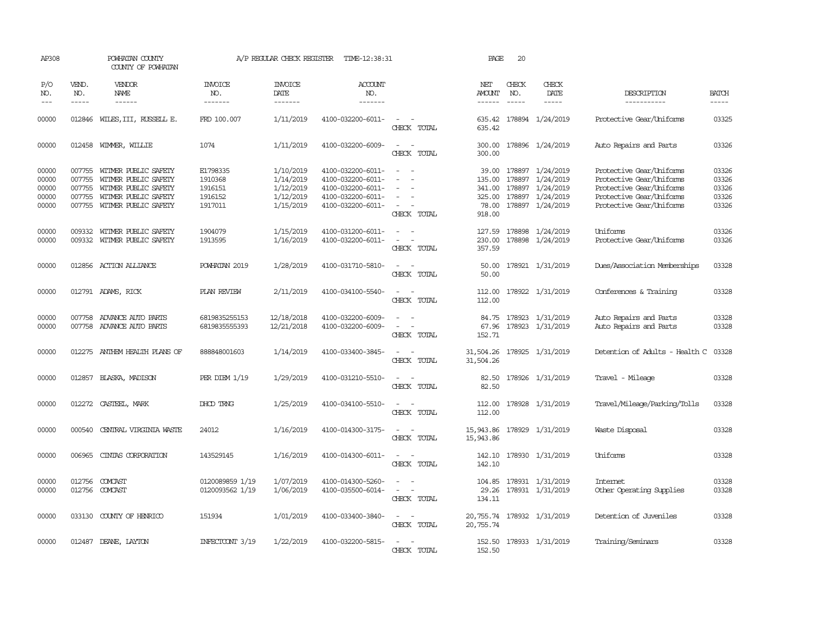| AP308                                     |                             | POWHATAN COUNTY<br>COUNTY OF POWHATAN                                                                                              |                                                      | A/P REGULAR CHECK REGISTER                                    | TIME-12:38:31                                                                                         |                                                                                                                             | PAGE                                                   | 20                          |                                                                                           |                                                                                                                                          |                                           |
|-------------------------------------------|-----------------------------|------------------------------------------------------------------------------------------------------------------------------------|------------------------------------------------------|---------------------------------------------------------------|-------------------------------------------------------------------------------------------------------|-----------------------------------------------------------------------------------------------------------------------------|--------------------------------------------------------|-----------------------------|-------------------------------------------------------------------------------------------|------------------------------------------------------------------------------------------------------------------------------------------|-------------------------------------------|
| P/O<br>NO.<br>$\frac{1}{2}$               | VEND.<br>NO.<br>$- - - - -$ | VENDOR<br>NAME<br>------                                                                                                           | <b>INVOICE</b><br>NO.<br>-------                     | <b>INVOICE</b><br>DATE<br>-------                             | ACCOUNT<br>NO.<br>-------                                                                             |                                                                                                                             | NET<br>AMOUNT<br>$- - - - - -$                         | CHECK<br>NO.<br>$- - - - -$ | CHECK<br>DATE<br>-----                                                                    | DESCRIPTION<br>-----------                                                                                                               | <b>BATCH</b><br>-----                     |
| 00000                                     | 012846                      | WILES, III, RUSSELL E.                                                                                                             | FRD 100.007                                          | 1/11/2019                                                     | 4100-032200-6011-                                                                                     | $\sim$<br>$\sim$<br>CHECK TOTAL                                                                                             | 635.42<br>635.42                                       |                             | 178894 1/24/2019                                                                          | Protective Gear/Uniforms                                                                                                                 | 03325                                     |
| 00000                                     | 012458                      | WIMMER, WILLIE                                                                                                                     | 1074                                                 | 1/11/2019                                                     | 4100-032200-6009-                                                                                     | $\overline{\phantom{a}}$<br>$\overline{\phantom{a}}$<br>CHECK TOTAL                                                         | 300.00<br>300.00                                       |                             | 178896 1/24/2019                                                                          | Auto Repairs and Parts                                                                                                                   | 03326                                     |
| 00000<br>00000<br>00000<br>00000<br>00000 | 007755<br>007755<br>007755  | 007755 WITMER PUBLIC SAFETY<br>WITMER PUBLIC SAFETY<br>WITMER PUBLIC SAFETY<br>WITMER PUBLIC SAFETY<br>007755 WITMER PUBLIC SAFETY | E1798335<br>1910368<br>1916151<br>1916152<br>1917011 | 1/10/2019<br>1/14/2019<br>1/12/2019<br>1/12/2019<br>1/15/2019 | 4100-032200-6011-<br>4100-032200-6011-<br>4100-032200-6011-<br>4100-032200-6011-<br>4100-032200-6011- | $\equiv$<br>$\sim$<br>$\equiv$<br>$\overline{\phantom{a}}$<br>CHECK TOTAL                                                   | 39.00<br>135.00<br>341.00<br>325.00<br>78.00<br>918.00 | 178897                      | 178897 1/24/2019<br>1/24/2019<br>178897 1/24/2019<br>178897 1/24/2019<br>178897 1/24/2019 | Protective Gear/Uniforms<br>Protective Gear/Uniforms<br>Protective Gear/Uniforms<br>Protective Gear/Uniforms<br>Protective Gear/Uniforms | 03326<br>03326<br>03326<br>03326<br>03326 |
| 00000<br>00000                            | 009332<br>009332            | WITMER PUBLIC SAFETY<br>WITMER PUBLIC SAFETY                                                                                       | 1904079<br>1913595                                   | 1/15/2019<br>1/16/2019                                        | 4100-031200-6011-<br>4100-032200-6011-                                                                | $\sim$<br>$\equiv$<br>$\overline{\phantom{a}}$<br>CHECK TOTAL                                                               | 127.59<br>230.00<br>357.59                             |                             | 178898 1/24/2019<br>178898 1/24/2019                                                      | Uniforms<br>Protective Gear/Uniforms                                                                                                     | 03326<br>03326                            |
| 00000                                     |                             | 012856 ACTION ALLIANCE                                                                                                             | POWHATAN 2019                                        | 1/28/2019                                                     | 4100-031710-5810-                                                                                     | $\frac{1}{2} \left( \frac{1}{2} \right) \left( \frac{1}{2} \right) = \frac{1}{2} \left( \frac{1}{2} \right)$<br>CHECK TOTAL | 50.00<br>50.00                                         |                             | 178921 1/31/2019                                                                          | Dues/Association Memberships                                                                                                             | 03328                                     |
| 00000                                     |                             | 012791 ADAMS, RICK                                                                                                                 | PLAN REVIEW                                          | 2/11/2019                                                     | 4100-034100-5540-                                                                                     | $\equiv$<br>CHECK TOTAL                                                                                                     | 112.00<br>112.00                                       |                             | 178922 1/31/2019                                                                          | Conferences & Training                                                                                                                   | 03328                                     |
| 00000<br>00000                            |                             | 007758 ADVANCE AUTO PARTS<br>007758 ADVANCE AUTO PARTS                                                                             | 6819835255153<br>6819835555393                       | 12/18/2018<br>12/21/2018                                      | 4100-032200-6009-<br>4100-032200-6009-                                                                | $\overline{\phantom{a}}$<br>CHECK TOTAL                                                                                     | 84.75<br>67.96<br>152.71                               |                             | 178923 1/31/2019<br>178923 1/31/2019                                                      | Auto Repairs and Parts<br>Auto Repairs and Parts                                                                                         | 03328<br>03328                            |
| 00000                                     |                             | 012275 ANTHEM HEALTH PLANS OF                                                                                                      | 888848001603                                         | 1/14/2019                                                     | 4100-033400-3845-                                                                                     | $\sim$<br>$\sim$<br>CHECK TOTAL                                                                                             | 31,504.26 178925 1/31/2019<br>31,504.26                |                             |                                                                                           | Detention of Adults - Health C                                                                                                           | 03328                                     |
| 00000                                     |                             | 012857 BLASKA, MADISON                                                                                                             | PER DIEM 1/19                                        | 1/29/2019                                                     | 4100-031210-5510-                                                                                     | $ -$<br>CHECK TOTAL                                                                                                         | 82.50<br>82.50                                         |                             | 178926 1/31/2019                                                                          | Travel - Mileage                                                                                                                         | 03328                                     |
| 00000                                     | 012272                      | CASTEEL, MARK                                                                                                                      | DHOD TRNG                                            | 1/25/2019                                                     | 4100-034100-5510-                                                                                     | CHECK TOTAL                                                                                                                 | 112.00<br>112.00                                       |                             | 178928 1/31/2019                                                                          | Travel/Mileage/Parking/Tolls                                                                                                             | 03328                                     |
| 00000                                     | 000540                      | CENTRAL VIRGINIA WASTE                                                                                                             | 24012                                                | 1/16/2019                                                     | 4100-014300-3175-                                                                                     | $\overline{\phantom{a}}$<br>CHECK TOTAL                                                                                     | 15,943.86<br>15,943.86                                 |                             | 178929 1/31/2019                                                                          | Waste Disposal                                                                                                                           | 03328                                     |
| 00000                                     | 006965                      | CINIAS CORPORATION                                                                                                                 | 143529145                                            | 1/16/2019                                                     | 4100-014300-6011-                                                                                     | $\equiv$<br>$\overline{\phantom{a}}$<br>CHECK TOTAL                                                                         | 142.10<br>142.10                                       |                             | 178930 1/31/2019                                                                          | Uniforms                                                                                                                                 | 03328                                     |
| 00000<br>00000                            | 012756                      | COMCAST<br>012756 COMCAST                                                                                                          | 0120089859 1/19<br>0120093562 1/19                   | 1/07/2019<br>1/06/2019                                        | 4100-014300-5260-<br>4100-035500-6014-                                                                | $\overline{\phantom{a}}$<br>$\sim$<br>$\overline{\phantom{a}}$<br>$\overline{\phantom{a}}$<br>CHECK TOTAL                   | 104.85<br>134.11                                       |                             | 178931 1/31/2019<br>29.26 178931 1/31/2019                                                | Internet<br>Other Operating Supplies                                                                                                     | 03328<br>03328                            |
| 00000                                     | 033130                      | COUNTY OF HENRICO                                                                                                                  | 151934                                               | 1/01/2019                                                     | 4100-033400-3840-                                                                                     | $\sim$<br>$\sim$<br>CHECK TOTAL                                                                                             | 20,755.74<br>20,755.74                                 |                             | 178932 1/31/2019                                                                          | Detention of Juveniles                                                                                                                   | 03328                                     |
| 00000                                     |                             | 012487 DEANE, LAYTON                                                                                                               | INFECTOONT 3/19                                      | 1/22/2019                                                     | 4100-032200-5815-                                                                                     | CHECK TOTAL                                                                                                                 | 152.50<br>152.50                                       |                             | 178933 1/31/2019                                                                          | Training/Seminars                                                                                                                        | 03328                                     |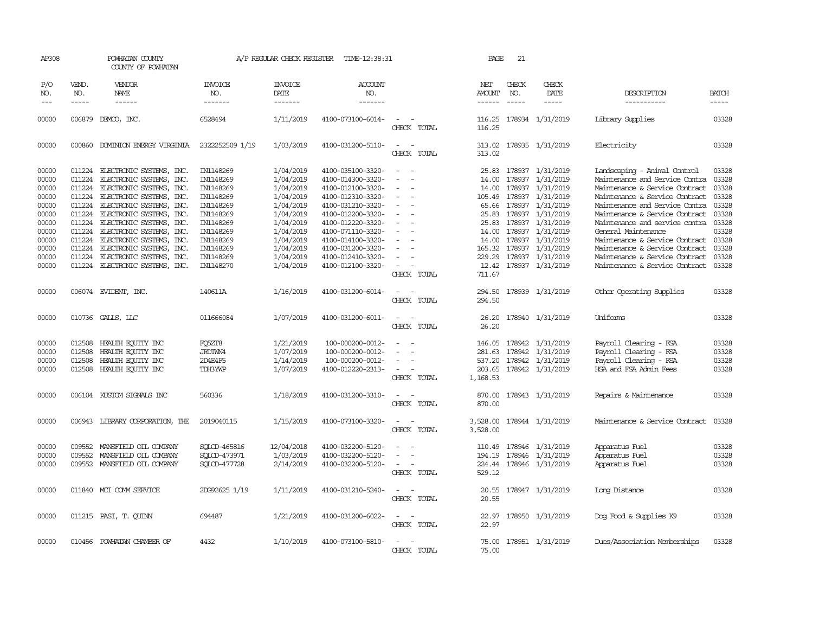| AP308                                                                                                    |                                                                    | POWHATAN COUNTY<br>COUNTY OF POWHATAN                                                                                                                                                                                                                                                                                                                                           |                                                                                                                                                          | A/P REGULAR CHECK REGISTER                                                                                                                               | TIME-12:38:31                                                                                                                                                                                                                                            |                                                   | PAGE                                                                             | 21                            |                                                                                                                                                                                                                                           |                                                                                                                                                                                                                                                                                                                                                                                                         |                                                                                                          |
|----------------------------------------------------------------------------------------------------------|--------------------------------------------------------------------|---------------------------------------------------------------------------------------------------------------------------------------------------------------------------------------------------------------------------------------------------------------------------------------------------------------------------------------------------------------------------------|----------------------------------------------------------------------------------------------------------------------------------------------------------|----------------------------------------------------------------------------------------------------------------------------------------------------------|----------------------------------------------------------------------------------------------------------------------------------------------------------------------------------------------------------------------------------------------------------|---------------------------------------------------|----------------------------------------------------------------------------------|-------------------------------|-------------------------------------------------------------------------------------------------------------------------------------------------------------------------------------------------------------------------------------------|---------------------------------------------------------------------------------------------------------------------------------------------------------------------------------------------------------------------------------------------------------------------------------------------------------------------------------------------------------------------------------------------------------|----------------------------------------------------------------------------------------------------------|
| P/O<br>NO.<br>$---$                                                                                      | VEND.<br>NO.<br>$- - - - -$                                        | VENDOR<br>NAME<br>$- - - - - -$                                                                                                                                                                                                                                                                                                                                                 | <b>INVOICE</b><br>NO.<br>-------                                                                                                                         | <b>INVOICE</b><br>DATE<br>-------                                                                                                                        | ACCOUNT<br>NO.<br>-------                                                                                                                                                                                                                                |                                                   | NET<br>AMOUNT<br>$- - - - - -$                                                   | CHECK<br>NO.<br>$\frac{1}{2}$ | CHECK<br>DATE<br>-----                                                                                                                                                                                                                    | DESCRIPTION<br>-----------                                                                                                                                                                                                                                                                                                                                                                              | <b>BATCH</b><br>-----                                                                                    |
| 00000                                                                                                    | 006879                                                             | DEMCO, INC.                                                                                                                                                                                                                                                                                                                                                                     | 6528494                                                                                                                                                  | 1/11/2019                                                                                                                                                | 4100-073100-6014-                                                                                                                                                                                                                                        | CHECK TOTAL                                       | 116.25<br>116.25                                                                 |                               | 178934 1/31/2019                                                                                                                                                                                                                          | Library Supplies                                                                                                                                                                                                                                                                                                                                                                                        | 03328                                                                                                    |
| 00000                                                                                                    |                                                                    | 000860 DOMINION ENERGY VIRGINIA                                                                                                                                                                                                                                                                                                                                                 | 2322252509 1/19                                                                                                                                          | 1/03/2019                                                                                                                                                | 4100-031200-5110-                                                                                                                                                                                                                                        | $\sim$<br>$\overline{\phantom{a}}$<br>CHECK TOTAL | 313.02<br>313.02                                                                 |                               | 178935 1/31/2019                                                                                                                                                                                                                          | Electricity                                                                                                                                                                                                                                                                                                                                                                                             | 03328                                                                                                    |
| 00000<br>00000<br>00000<br>00000<br>00000<br>00000<br>00000<br>00000<br>00000<br>00000<br>00000<br>00000 | 011224<br>011224<br>011224<br>011224<br>011224<br>011224<br>011224 | 011224 ELECTRONIC SYSTEMS, INC.<br>ELECTRONIC SYSTEMS, INC.<br>ELECTRONIC SYSTEMS, INC.<br>ELECTRONIC SYSTEMS, INC.<br>ELECTRONIC SYSTEMS, INC.<br>011224 ELECTRONIC SYSTEMS, INC.<br>011224 ELECTRONIC SYSTEMS, INC.<br>ELECTRONIC SYSTEMS, INC.<br>011224 ELECTRONIC SYSTEMS, INC.<br>ELECTRONIC SYSTEMS, INC.<br>ELECTRONIC SYSTEMS, INC.<br>011224 ELECTRONIC SYSTEMS, INC. | IN1148269<br>IN1148269<br>IN1148269<br>IN1148269<br>IN1148269<br>IN1148269<br>IN1148269<br>IN1148269<br>IN1148269<br>IN1148269<br>IN1148269<br>IN1148270 | 1/04/2019<br>1/04/2019<br>1/04/2019<br>1/04/2019<br>1/04/2019<br>1/04/2019<br>1/04/2019<br>1/04/2019<br>1/04/2019<br>1/04/2019<br>1/04/2019<br>1/04/2019 | 4100-035100-3320-<br>4100-014300-3320-<br>4100-012100-3320-<br>4100-012310-3320-<br>4100-031210-3320-<br>4100-012200-3320-<br>4100-012220-3320-<br>4100-071110-3320-<br>4100-014100-3320-<br>4100-031200-3320-<br>4100-012410-3320-<br>4100-012100-3320- | $\equiv$                                          | 25.83<br>14.00<br>14.00<br>105.49<br>25.83<br>14.00<br>14.00<br>165.32<br>229.29 | 178937<br>178937<br>178937    | 178937 1/31/2019<br>178937 1/31/2019<br>1/31/2019<br>178937 1/31/2019<br>65.66 178937 1/31/2019<br>1/31/2019<br>25.83 178937 1/31/2019<br>178937 1/31/2019<br>178937 1/31/2019<br>1/31/2019<br>178937 1/31/2019<br>12.42 178937 1/31/2019 | Landscaping - Animal Control<br>Maintenance and Service Contra<br>Maintenance & Service Contract<br>Maintenance & Service Contract<br>Maintenance and Service Contra<br>Maintenance & Service Contract<br>Maintenance and service contra<br>General Maintenance<br>Maintenance & Service Contract<br>Maintenance & Service Contract<br>Maintenance & Service Contract<br>Maintenance & Service Contract | 03328<br>03328<br>03328<br>03328<br>03328<br>03328<br>03328<br>03328<br>03328<br>03328<br>03328<br>03328 |
| 00000                                                                                                    |                                                                    | 006074 EVIDENT, INC.                                                                                                                                                                                                                                                                                                                                                            | 140611A                                                                                                                                                  | 1/16/2019                                                                                                                                                | 4100-031200-6014-                                                                                                                                                                                                                                        | CHECK TOTAL<br>$\sim$<br>CHECK TOTAL              | 711.67<br>294.50<br>294.50                                                       |                               | 178939 1/31/2019                                                                                                                                                                                                                          | Other Operating Supplies                                                                                                                                                                                                                                                                                                                                                                                | 03328                                                                                                    |
| 00000                                                                                                    |                                                                    | 010736 GALLS, LLC                                                                                                                                                                                                                                                                                                                                                               | 011666084                                                                                                                                                | 1/07/2019                                                                                                                                                | 4100-031200-6011-                                                                                                                                                                                                                                        | $\sim$<br>$\sim$<br>CHECK TOTAL                   | 26.20<br>26.20                                                                   |                               | 178940 1/31/2019                                                                                                                                                                                                                          | Uniforms                                                                                                                                                                                                                                                                                                                                                                                                | 03328                                                                                                    |
| 00000<br>00000<br>00000<br>00000                                                                         | 012508<br>012508<br>012508<br>012508                               | HEALTH EQUITY INC<br>HEALTH EQUITY INC<br>HEALTH EQUITY INC<br>HEALTH ECUTTY INC                                                                                                                                                                                                                                                                                                | FQ5ZT8<br>JRDIWN4<br>2D4E4F5<br>TDH3YWP                                                                                                                  | 1/21/2019<br>1/07/2019<br>1/14/2019<br>1/07/2019                                                                                                         | 100-000200-0012-<br>100-000200-0012-<br>100-000200-0012-<br>4100-012220-2313-                                                                                                                                                                            | $\equiv$<br>CHECK TOTAL                           | 146.05<br>281.63<br>537.20<br>203.65<br>1,168.53                                 |                               | 178942 1/31/2019<br>178942 1/31/2019<br>178942 1/31/2019<br>178942 1/31/2019                                                                                                                                                              | Payroll Clearing - FSA<br>Payroll Clearing - FSA<br>Payroll Clearing - FSA<br>HSA and FSA Admin Fees                                                                                                                                                                                                                                                                                                    | 03328<br>03328<br>03328<br>03328                                                                         |
| 00000                                                                                                    |                                                                    | 006104 KUSTOM SIGNALS INC                                                                                                                                                                                                                                                                                                                                                       | 560336                                                                                                                                                   | 1/18/2019                                                                                                                                                | 4100-031200-3310-                                                                                                                                                                                                                                        | CHECK TOTAL                                       | 870.00<br>870.00                                                                 |                               | 178943 1/31/2019                                                                                                                                                                                                                          | Repairs & Maintenance                                                                                                                                                                                                                                                                                                                                                                                   | 03328                                                                                                    |
| 00000                                                                                                    |                                                                    | 006943 LIBRARY CORPORATION, THE                                                                                                                                                                                                                                                                                                                                                 | 2019040115                                                                                                                                               | 1/15/2019                                                                                                                                                | 4100-073100-3320-                                                                                                                                                                                                                                        | CHECK TOTAL                                       | 3,528.00<br>3,528.00                                                             |                               | 178944 1/31/2019                                                                                                                                                                                                                          | Maintenance & Service Contract                                                                                                                                                                                                                                                                                                                                                                          | 03328                                                                                                    |
| 00000<br>00000<br>00000                                                                                  | 009552<br>009552<br>009552                                         | MANSFIELD OIL COMPANY<br>MANSFIELD OIL COMPANY<br>MANSFIELD OIL COMPANY                                                                                                                                                                                                                                                                                                         | SOLCD-465816<br>SQLCD-473971<br>SOLCD-477728                                                                                                             | 12/04/2018<br>1/03/2019<br>2/14/2019                                                                                                                     | 4100-032200-5120-<br>4100-032200-5120-<br>4100-032200-5120-                                                                                                                                                                                              | CHECK TOTAL                                       | 110.49<br>194.19<br>224.44<br>529.12                                             |                               | 178946 1/31/2019<br>178946 1/31/2019<br>178946 1/31/2019                                                                                                                                                                                  | Apparatus Fuel<br>Apparatus Fuel<br>Apparatus Fuel                                                                                                                                                                                                                                                                                                                                                      | 03328<br>03328<br>03328                                                                                  |
| 00000                                                                                                    |                                                                    | 011840 MCI COMM SERVICE                                                                                                                                                                                                                                                                                                                                                         | 2DG92625 1/19                                                                                                                                            | 1/11/2019                                                                                                                                                | 4100-031210-5240-                                                                                                                                                                                                                                        | CHECK TOTAL                                       | 20.55<br>20.55                                                                   |                               | 178947 1/31/2019                                                                                                                                                                                                                          | Long Distance                                                                                                                                                                                                                                                                                                                                                                                           | 03328                                                                                                    |
| 00000                                                                                                    |                                                                    | 011215 PASI, T. CUINN                                                                                                                                                                                                                                                                                                                                                           | 694487                                                                                                                                                   | 1/21/2019                                                                                                                                                | 4100-031200-6022-                                                                                                                                                                                                                                        | CHECK TOTAL                                       | 22.97<br>22.97                                                                   |                               | 178950 1/31/2019                                                                                                                                                                                                                          | Dog Food & Supplies K9                                                                                                                                                                                                                                                                                                                                                                                  | 03328                                                                                                    |
| 00000                                                                                                    | 010456                                                             | POWHATAN CHAMBER OF                                                                                                                                                                                                                                                                                                                                                             | 4432                                                                                                                                                     | 1/10/2019                                                                                                                                                | 4100-073100-5810-                                                                                                                                                                                                                                        | CHECK TOTAL                                       | 75.00<br>75.00                                                                   |                               | 178951 1/31/2019                                                                                                                                                                                                                          | Dues/Association Memberships                                                                                                                                                                                                                                                                                                                                                                            | 03328                                                                                                    |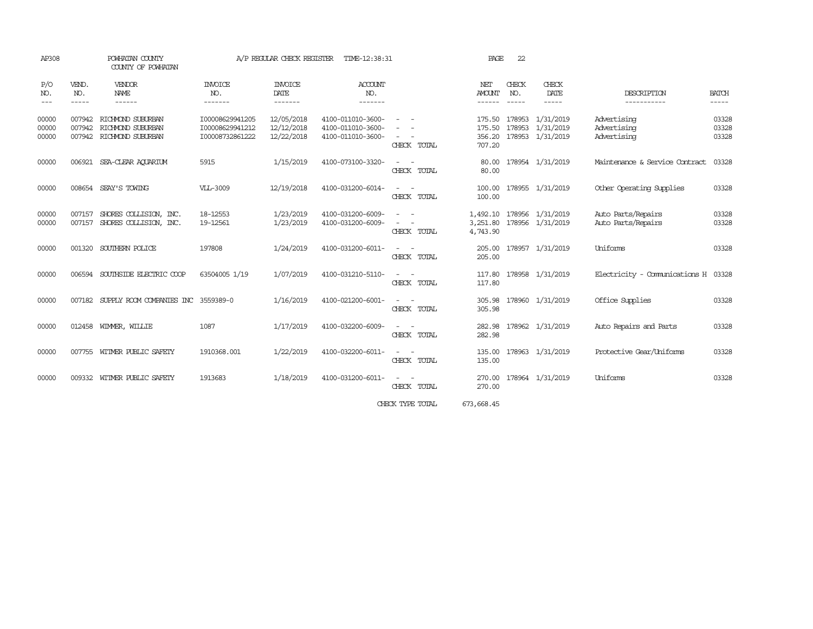| AP308                   |                            | POWHATAN COUNTY<br>COUNTY OF POWHATAN                       |                                                       | A/P REGULAR CHECK REGISTER             | TIME-12:38:31                                               |                                 | PAGE                                 | 22                          |                                                          |                                           |                         |
|-------------------------|----------------------------|-------------------------------------------------------------|-------------------------------------------------------|----------------------------------------|-------------------------------------------------------------|---------------------------------|--------------------------------------|-----------------------------|----------------------------------------------------------|-------------------------------------------|-------------------------|
| P/O<br>NO.<br>$---$     | VEND.<br>NO.<br>-----      | VENDOR<br><b>NAME</b><br>------                             | <b>INVOICE</b><br>NO.<br>-------                      | <b>INVOICE</b><br>DATE<br>-------      | <b>ACCOUNT</b><br>NO.<br>-------                            |                                 | NET<br><b>AMOUNT</b><br>------       | CHECK<br>NO.<br>$- - - - -$ | CHECK<br>DATE<br>-----                                   | DESCRIPTION<br>-----------                | <b>BATCH</b><br>-----   |
| 00000<br>00000<br>00000 | 007942<br>007942<br>007942 | RICHMOND SUBURBAN<br>RICHMOND SUBURBAN<br>RICHMOND SUBURBAN | I00008629941205<br>I00008629941212<br>I00008732861222 | 12/05/2018<br>12/12/2018<br>12/22/2018 | 4100-011010-3600-<br>4100-011010-3600-<br>4100-011010-3600- | CHECK TOTAL                     | 175.50<br>175.50<br>356.20<br>707.20 |                             | 178953 1/31/2019<br>178953 1/31/2019<br>178953 1/31/2019 | Advertising<br>Advertising<br>Advertising | 03328<br>03328<br>03328 |
| 00000                   |                            | 006921 SEA-CLEAR AOUARIUM                                   | 5915                                                  | 1/15/2019                              | 4100-073100-3320-                                           | $\sim$<br>CHECK TOTAL           | 80.00<br>80.00                       |                             | 178954 1/31/2019                                         | Maintenance & Service Contract            | 03328                   |
| 00000                   | 008654                     | SEAY'S TOWING                                               | VIL-3009                                              | 12/19/2018                             | 4100-031200-6014-                                           | CHECK TOTAL                     | 100.00<br>100.00                     |                             | 178955 1/31/2019                                         | Other Operating Supplies                  | 03328                   |
| 00000<br>00000          | 007157<br>007157           | SHORES COLLISION, INC.<br>SHORES COLLISION, INC.            | 18-12553<br>19-12561                                  | 1/23/2019<br>1/23/2019                 | 4100-031200-6009-<br>4100-031200-6009-                      | CHECK TOTAL                     | 1,492.10<br>3,251.80<br>4,743.90     |                             | 178956 1/31/2019<br>178956 1/31/2019                     | Auto Parts/Repairs<br>Auto Parts/Repairs  | 03328<br>03328          |
| 00000                   |                            | 001320 SOUTHERN POLICE                                      | 197808                                                | 1/24/2019                              | 4100-031200-6011-                                           | CHECK TOTAL                     | 205.00<br>205.00                     |                             | 178957 1/31/2019                                         | Uniforms                                  | 03328                   |
| 00000                   |                            | 006594 SOUTHSIDE ELECTRIC COOP                              | 63504005 1/19                                         | 1/07/2019                              | 4100-031210-5110-                                           | CHECK TOTAL                     | 117.80<br>117.80                     |                             | 178958 1/31/2019                                         | Electricity - Comunications H 03328       |                         |
| 00000                   |                            | 007182 SUPPLY ROOM COMPANIES INC 3559389-0                  |                                                       | 1/16/2019                              | 4100-021200-6001-                                           | CHECK TOTAL                     | 305.98<br>305.98                     |                             | 178960 1/31/2019                                         | Office Supplies                           | 03328                   |
| 00000                   |                            | 012458 WIMMER, WILLIE                                       | 1087                                                  | 1/17/2019                              | 4100-032200-6009-                                           | CHECK TOTAL                     | 282.98<br>282.98                     |                             | 178962 1/31/2019                                         | Auto Repairs and Parts                    | 03328                   |
| 00000                   |                            | 007755 WITMER PUBLIC SAFETY                                 | 1910368.001                                           | 1/22/2019                              | 4100-032200-6011-                                           | CHECK TOTAL                     | 135.00<br>135.00                     |                             | 178963 1/31/2019                                         | Protective Gear/Uniforms                  | 03328                   |
| 00000                   | 009332                     | WITMER PUBLIC SAFETY                                        | 1913683                                               | 1/18/2019                              | 4100-031200-6011-                                           | $\sim$ 100 $\mu$<br>CHECK TOTAL | 270.00<br>270.00                     |                             | 178964 1/31/2019                                         | Uniforms                                  | 03328                   |
|                         |                            |                                                             |                                                       |                                        |                                                             | CHECK TYPE TOTAL                | 673,668.45                           |                             |                                                          |                                           |                         |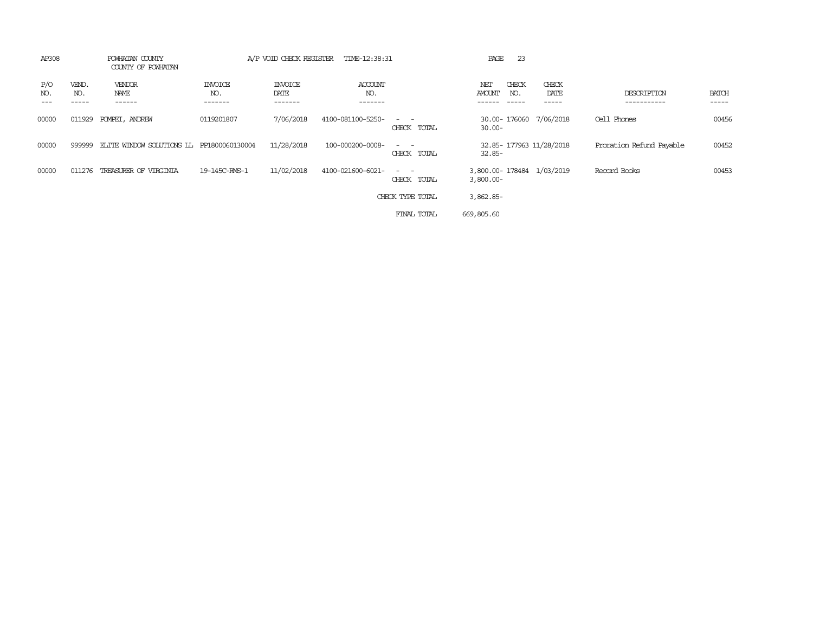| AP308      |                       | POWHATAN COUNTY<br>COUNTY OF POWHATAN     |                                  | A/P VOID CHECK REGISTER           | TIME-12:38:31             |                                                                                                                                          | PAGE          | -23          |                           |                            |                       |
|------------|-----------------------|-------------------------------------------|----------------------------------|-----------------------------------|---------------------------|------------------------------------------------------------------------------------------------------------------------------------------|---------------|--------------|---------------------------|----------------------------|-----------------------|
| P/O<br>NO. | VEND.<br>NO.<br>----- | <b>VENDOR</b><br>NAME<br>------           | <b>INVOICE</b><br>NO.<br>------- | <b>INVOICE</b><br>DATE<br>------- | ACCOUNT<br>NO.<br>------- |                                                                                                                                          | NET<br>AMOUNT | CHECK<br>NO. | CHECK<br>DATE<br>------   | DESCRIPTION<br>----------- | <b>BATCH</b><br>----- |
| 00000      | 011929                | POMPEI, ANDREW                            | 0119201807                       | 7/06/2018                         | 4100-081100-5250-         | $\frac{1}{2} \left( \frac{1}{2} \right) \left( \frac{1}{2} \right) = \frac{1}{2} \left( \frac{1}{2} \right)$<br>CHECK TOTAL              | $30.00 -$     |              | 30.00-176060 7/06/2018    | Cell Phones                | 00456                 |
| 00000      | 999999                | ELITE WINDOW SOLUTIONS LL PP1800060130004 |                                  | 11/28/2018                        | 100-000200-0008-          | $\frac{1}{2} \left( \frac{1}{2} \right) \left( \frac{1}{2} \right) \left( \frac{1}{2} \right) \left( \frac{1}{2} \right)$<br>CHECK TOTAL | $32.85 -$     |              | 32.85-177963 11/28/2018   | Proration Refund Payable   | 00452                 |
| 00000      | 011276                | TREASURER OF VIRGINIA                     | 19-145C-RMS-1                    | 11/02/2018                        | 4100-021600-6021-         | $\sim$ $\sim$<br>CHECK TOTAL                                                                                                             | $3,800.00 -$  |              | 3,800.00-178484 1/03/2019 | Record Books               | 00453                 |
|            |                       |                                           |                                  |                                   |                           | CHECK TYPE TOTAL                                                                                                                         | $3,862.85-$   |              |                           |                            |                       |
|            |                       |                                           |                                  |                                   |                           | FINAL TOTAL                                                                                                                              | 669,805.60    |              |                           |                            |                       |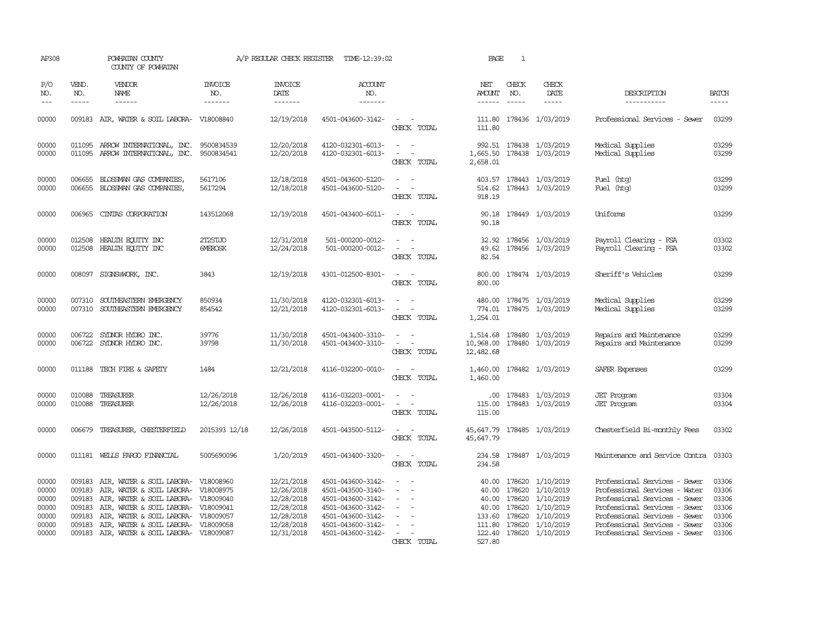| AP308                                                       |                                                | POWHATAN COUNTY<br>COUNTY OF POWHATAN                                                                                                                                                                                                                                                       |                                  | A/P REGULAR CHECK REGISTER                                                                     | TIME-12:39:02                                                                                                                                   |                                                                                                                                   | PAGE                                                 | $\mathbf{1}$                                          |                                                                                                              |                                                                                                                                                                                                                                     |                                                             |
|-------------------------------------------------------------|------------------------------------------------|---------------------------------------------------------------------------------------------------------------------------------------------------------------------------------------------------------------------------------------------------------------------------------------------|----------------------------------|------------------------------------------------------------------------------------------------|-------------------------------------------------------------------------------------------------------------------------------------------------|-----------------------------------------------------------------------------------------------------------------------------------|------------------------------------------------------|-------------------------------------------------------|--------------------------------------------------------------------------------------------------------------|-------------------------------------------------------------------------------------------------------------------------------------------------------------------------------------------------------------------------------------|-------------------------------------------------------------|
| P/O<br>NO.<br>$---$                                         | VEND.<br>NO.                                   | VENDOR<br><b>NAME</b><br>$- - - - - -$                                                                                                                                                                                                                                                      | <b>INVOICE</b><br>NO.<br>------- | <b>INVOICE</b><br>DATE<br>-------                                                              | <b>ACCOUNT</b><br>NO.<br>$- - - - - - -$                                                                                                        |                                                                                                                                   | NET<br>AMOUNT<br>-------                             | CHECK<br>NO.                                          | CHECK<br>DATE                                                                                                | DESCRIPTION<br>-----------                                                                                                                                                                                                          | <b>BATCH</b><br>-----                                       |
| 00000                                                       |                                                | 009183 AIR, WATER & SOIL LABORA- V18008840                                                                                                                                                                                                                                                  |                                  | 12/19/2018                                                                                     | 4501-043600-3142-                                                                                                                               | CHECK TOTAL                                                                                                                       | 111.80                                               |                                                       | 111.80 178436 1/03/2019                                                                                      | Professional Services - Sewer                                                                                                                                                                                                       | 03299                                                       |
| 00000<br>00000                                              | 011095                                         | ARROW INTERNATIONAL, INC.<br>011095 ARROW INTERNATIONAL, INC.                                                                                                                                                                                                                               | 9500834539<br>9500834541         | 12/20/2018<br>12/20/2018                                                                       | 4120-032301-6013-<br>4120-032301-6013-                                                                                                          | $\overline{\phantom{a}}$<br>$\omega_{\rm{max}}$ and $\omega_{\rm{max}}$<br>CHECK TOTAL                                            | 2,658.01                                             |                                                       | 992.51 178438 1/03/2019<br>1,665.50 178438 1/03/2019                                                         | Medical Supplies<br>Medical Supplies                                                                                                                                                                                                | 03299<br>03299                                              |
| 00000<br>00000                                              | 006655                                         | BLOSSMAN GAS COMPANIES,<br>006655 BLOSSMAN GAS COMPANIES,                                                                                                                                                                                                                                   | 5617106<br>5617294               | 12/18/2018<br>12/18/2018                                                                       | 4501-043600-5120-<br>4501-043600-5120-                                                                                                          | $\sim$<br>CHECK TOTAL                                                                                                             | 918.19                                               |                                                       | 403.57 178443 1/03/2019<br>514.62 178443 1/03/2019                                                           | Fuel (htg)<br>Fuel (htg)                                                                                                                                                                                                            | 03299<br>03299                                              |
| 00000                                                       | 006965                                         | CINIAS CORPORATION                                                                                                                                                                                                                                                                          | 143512068                        | 12/19/2018                                                                                     | 4501-043400-6011-                                                                                                                               | $\sim$<br>CHECK TOTAL                                                                                                             | 90.18                                                |                                                       | 90.18 178449 1/03/2019                                                                                       | Uniforms                                                                                                                                                                                                                            | 03299                                                       |
| 00000<br>00000                                              | 012508<br>012508                               | HEALTH ECUTTY INC<br>HEALTH EQUITY INC                                                                                                                                                                                                                                                      | 2T25TJO<br><b>GMEROSK</b>        | 12/31/2018<br>12/24/2018                                                                       | 501-000200-0012-<br>501-000200-0012-                                                                                                            | $\equiv$<br>CHECK TOTAL                                                                                                           | 32.92<br>49.62<br>82.54                              |                                                       | 178456 1/03/2019<br>178456 1/03/2019                                                                         | Payroll Clearing - FSA<br>Payroll Clearing - FSA                                                                                                                                                                                    | 03302<br>03302                                              |
| 00000                                                       | 008097                                         | SIGNS@WORK, INC.                                                                                                                                                                                                                                                                            | 3843                             | 12/19/2018                                                                                     | 4301-012500-8301-                                                                                                                               | $\frac{1}{2} \left( \frac{1}{2} \right) \left( \frac{1}{2} \right) = \frac{1}{2} \left( \frac{1}{2} \right)$<br>CHECK TOTAL       | 800.00                                               |                                                       | 800.00 178474 1/03/2019                                                                                      | Sheriff's Vehicles                                                                                                                                                                                                                  | 03299                                                       |
| 00000<br>00000                                              | 007310                                         | 007310 SOUTHEASTERN EMERGENCY<br>SOUTHEASTERN EMERGENCY                                                                                                                                                                                                                                     | 850934<br>854542                 | 11/30/2018<br>12/21/2018                                                                       | 4120-032301-6013-<br>4120-032301-6013-                                                                                                          | $\omega_{\rm{max}}$ and $\omega_{\rm{max}}$<br>$\sim$<br>$\sim$<br>CHECK TOTAL                                                    | 1,254.01                                             |                                                       | 480.00 178475 1/03/2019<br>774.01 178475 1/03/2019                                                           | Medical Supplies<br>Medical Supplies                                                                                                                                                                                                | 03299<br>03299                                              |
| 00000<br>00000                                              | 006722                                         | SYDNOR HYDRO INC.<br>006722 SYLNOR HYDRO INC.                                                                                                                                                                                                                                               | 39776<br>39798                   | 11/30/2018<br>11/30/2018                                                                       | 4501-043400-3310-<br>4501-043400-3310-                                                                                                          | CHECK TOTAL                                                                                                                       | 1,514.68<br>10,968.00<br>12,482.68                   |                                                       | 178480 1/03/2019<br>178480 1/03/2019                                                                         | Repairs and Maintenance<br>Repairs and Maintenance                                                                                                                                                                                  | 03299<br>03299                                              |
| 00000                                                       |                                                | 011188 TECH FIRE & SAFETY                                                                                                                                                                                                                                                                   | 1484                             | 12/21/2018                                                                                     | 4116-032200-0010-                                                                                                                               | $\frac{1}{2} \left( \frac{1}{2} \right) \left( \frac{1}{2} \right) = \frac{1}{2} \left( \frac{1}{2} \right)$<br>CHECK TOTAL       | 1,460.00                                             |                                                       | 1,460.00 178482 1/03/2019                                                                                    | SAFER Expenses                                                                                                                                                                                                                      | 03299                                                       |
| 00000<br>00000                                              | 010088<br>010088                               | TREASURER<br>TREASURER                                                                                                                                                                                                                                                                      | 12/26/2018<br>12/26/2018         | 12/26/2018<br>12/26/2018                                                                       | 4116-032203-0001-<br>4116-032203-0001-                                                                                                          | $\sim$<br>$\overline{\phantom{a}}$<br>CHECK TOTAL                                                                                 | 115.00<br>115.00                                     |                                                       | .00 178483 1/03/2019<br>178483 1/03/2019                                                                     | <b>JET</b> Program<br><b>JET</b> Program                                                                                                                                                                                            | 03304<br>03304                                              |
| 00000                                                       |                                                | 006679 TREASURER, CHESTERFIELD                                                                                                                                                                                                                                                              | 2015393 12/18                    | 12/26/2018                                                                                     | 4501-043500-5112-                                                                                                                               | $\frac{1}{2} \left( \frac{1}{2} \right) \left( \frac{1}{2} \right) = \frac{1}{2} \left( \frac{1}{2} \right)$<br>CHECK TOTAL       | 45,647.79                                            |                                                       | 45,647.79 178485 1/03/2019                                                                                   | Chesterfield Bi-monthly Fees                                                                                                                                                                                                        | 03302                                                       |
| 00000                                                       |                                                | 011181 WELLS FARGO FINANCIAL                                                                                                                                                                                                                                                                | 5005690096                       | 1/20/2019                                                                                      | 4501-043400-3320-                                                                                                                               | $\sim$ 10 $\sim$ 10 $\sim$<br>CHECK TOTAL                                                                                         | 234.58                                               |                                                       | 234.58 178487 1/03/2019                                                                                      | Maintenance and Service Contra 03303                                                                                                                                                                                                |                                                             |
| 00000<br>00000<br>00000<br>00000<br>00000<br>00000<br>00000 | 009183<br>009183<br>009183<br>009183<br>009183 | AIR, WATER & SOIL LABORA- V18008960<br>AIR, WATER & SOIL LABORA- V18008975<br>009183 AIR, WATER & SOIL LABORA- V18009040<br>AIR, WATER & SOIL LABORA- V18009041<br>AIR, WATER & SOIL LABORA- V18009057<br>AIR, WATER & SOIL LABORA- V18009058<br>009183 AIR, WATER & SOIL LABORA- V18009087 |                                  | 12/21/2018<br>12/26/2018<br>12/28/2018<br>12/28/2018<br>12/28/2018<br>12/28/2018<br>12/31/2018 | 4501-043600-3142-<br>4501-043500-3140-<br>4501-043600-3142-<br>4501-043600-3142-<br>4501-043600-3142-<br>4501-043600-3142-<br>4501-043600-3142- | $\overline{\phantom{a}}$<br>$\overline{\phantom{a}}$<br>$\overline{\phantom{a}}$<br>$\sim$<br>$\equiv$<br>$\equiv$<br>CHECK TOTAL | 40.00<br>40.00<br>40.00<br>40.00<br>111.80<br>527.80 | 178620<br>178620<br>178620<br>133.60 178620<br>178620 | 178620 1/10/2019<br>1/10/2019<br>1/10/2019<br>1/10/2019<br>1/10/2019<br>1/10/2019<br>122.40 178620 1/10/2019 | Professional Services - Sewer<br>Professional Services - Water<br>Professional Services - Sewer<br>Professional Services - Sewer<br>Professional Services - Sewer<br>Professional Services - Sewer<br>Professional Services - Sewer | 03306<br>03306<br>03306<br>03306<br>03306<br>03306<br>03306 |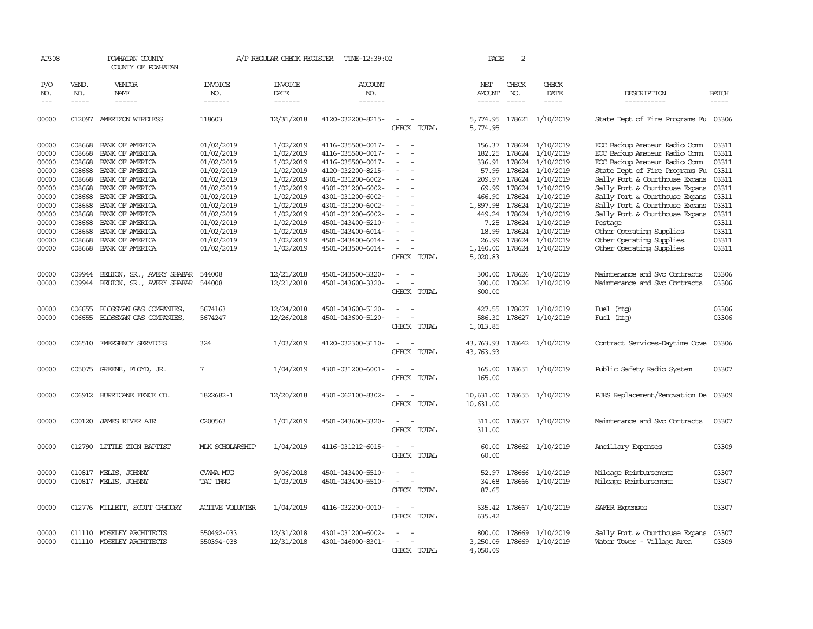| AP308                                                                                                    |                                                                                                                      | POWHATAN COUNTY<br>COUNTY OF POWHATAN                                                                                                                                                                                            |                                                                                                                                                                      | A/P REGULAR CHECK REGISTER                                                                                                                               | TIME-12:39:02                                                                                                                                                                                                                                            |                                                                     | PAGE                                                                                                             | 2                                                                                      |                                                                                                                                                                               |                                                                                                                                                                                                                                                                                                                                                                                |                                                                                                          |
|----------------------------------------------------------------------------------------------------------|----------------------------------------------------------------------------------------------------------------------|----------------------------------------------------------------------------------------------------------------------------------------------------------------------------------------------------------------------------------|----------------------------------------------------------------------------------------------------------------------------------------------------------------------|----------------------------------------------------------------------------------------------------------------------------------------------------------|----------------------------------------------------------------------------------------------------------------------------------------------------------------------------------------------------------------------------------------------------------|---------------------------------------------------------------------|------------------------------------------------------------------------------------------------------------------|----------------------------------------------------------------------------------------|-------------------------------------------------------------------------------------------------------------------------------------------------------------------------------|--------------------------------------------------------------------------------------------------------------------------------------------------------------------------------------------------------------------------------------------------------------------------------------------------------------------------------------------------------------------------------|----------------------------------------------------------------------------------------------------------|
| P/O<br>NO.<br>$\frac{1}{2}$                                                                              | VEND.<br>NO.<br>$- - - - -$                                                                                          | <b>VENDOR</b><br>NAME<br>------                                                                                                                                                                                                  | <b>INVOICE</b><br>NO.<br>-------                                                                                                                                     | <b>INVOICE</b><br>DATE<br>-------                                                                                                                        | <b>ACCOUNT</b><br>NO.<br>-------                                                                                                                                                                                                                         |                                                                     | NET<br>AMOUNT<br>$- - - - - -$                                                                                   | CHECK<br>NO.<br>$\frac{1}{2}$                                                          | CHECK<br>DATE<br>-----                                                                                                                                                        | DESCRIPTION<br>-----------                                                                                                                                                                                                                                                                                                                                                     | <b>BATCH</b><br>$- - - - -$                                                                              |
| 00000                                                                                                    | 012097                                                                                                               | AMERIZON WIRELESS                                                                                                                                                                                                                | 118603                                                                                                                                                               | 12/31/2018                                                                                                                                               | 4120-032200-8215-                                                                                                                                                                                                                                        | $\equiv$<br>CHECK TOTAL                                             | 5,774.95                                                                                                         |                                                                                        | 5,774.95 178621 1/10/2019                                                                                                                                                     | State Dept of Fire Programs Fu 03306                                                                                                                                                                                                                                                                                                                                           |                                                                                                          |
| 00000<br>00000<br>00000<br>00000<br>00000<br>00000<br>00000<br>00000<br>00000<br>00000<br>00000<br>00000 | 008668<br>008668<br>008668<br>008668<br>008668<br>008668<br>008668<br>008668<br>008668<br>008668<br>008668<br>008668 | BANK OF AMERICA<br>BANK OF AMERICA<br>BANK OF AMERICA<br>BANK OF AMERICA<br>BANK OF AMERICA<br>BANK OF AMERICA<br>BANK OF AMERICA<br>BANK OF AMERICA<br>BANK OF AMERICA<br>BANK OF AMERICA<br>BANK OF AMERICA<br>BANK OF AMERICA | 01/02/2019<br>01/02/2019<br>01/02/2019<br>01/02/2019<br>01/02/2019<br>01/02/2019<br>01/02/2019<br>01/02/2019<br>01/02/2019<br>01/02/2019<br>01/02/2019<br>01/02/2019 | 1/02/2019<br>1/02/2019<br>1/02/2019<br>1/02/2019<br>1/02/2019<br>1/02/2019<br>1/02/2019<br>1/02/2019<br>1/02/2019<br>1/02/2019<br>1/02/2019<br>1/02/2019 | 4116-035500-0017-<br>4116-035500-0017-<br>4116-035500-0017-<br>4120-032200-8215-<br>4301-031200-6002-<br>4301-031200-6002-<br>4301-031200-6002-<br>4301-031200-6002-<br>4301-031200-6002-<br>4501-043400-5210-<br>4501-043400-6014-<br>4501-043400-6014- | $\equiv$<br>$\sim$                                                  | 156.37<br>182.25<br>336.91<br>57.99<br>209.97<br>69.99<br>466.90<br>1,897.98<br>449.24<br>7.25<br>18.99<br>26.99 | 178624<br>178624<br>178624<br>178624<br>178624<br>178624<br>178624<br>178624<br>178624 | 178624 1/10/2019<br>1/10/2019<br>1/10/2019<br>1/10/2019<br>1/10/2019<br>1/10/2019<br>1/10/2019<br>1/10/2019<br>1/10/2019<br>1/10/2019<br>178624 1/10/2019<br>178624 1/10/2019 | EOC Backup Amateur Radio Comm<br>EOC Backup Amateur Radio Comm<br>EOC Backup Amateur Radio Comm<br>State Dept of Fire Programs Fu<br>Sally Port & Courthouse Expans<br>Sally Port & Courthouse Expans<br>Sally Port & Courthouse Expans<br>Sally Port & Courthouse Expans<br>Sally Port & Courthouse Expans<br>Postage<br>Other Operating Supplies<br>Other Operating Supplies | 03311<br>03311<br>03311<br>03311<br>03311<br>03311<br>03311<br>03311<br>03311<br>03311<br>03311<br>03311 |
| 00000<br>00000                                                                                           | 008668<br>009944                                                                                                     | BANK OF AMERICA<br>BELTON, SR., AVERY SHABAR                                                                                                                                                                                     | 01/02/2019<br>544008                                                                                                                                                 | 1/02/2019<br>12/21/2018                                                                                                                                  | 4501-043500-6014-<br>4501-043500-3320-                                                                                                                                                                                                                   | CHECK TOTAL                                                         | 1,140.00<br>5,020.83<br>300.00                                                                                   |                                                                                        | 178624 1/10/2019<br>178626 1/10/2019                                                                                                                                          | Other Operating Supplies<br>Maintenance and Svc Contracts                                                                                                                                                                                                                                                                                                                      | 03311<br>03306                                                                                           |
| 00000                                                                                                    | 009944                                                                                                               | BELTON, SR., AVERY SHABAR                                                                                                                                                                                                        | 544008                                                                                                                                                               | 12/21/2018                                                                                                                                               | 4501-043600-3320-                                                                                                                                                                                                                                        | CHECK TOTAL                                                         | 300.00<br>600.00                                                                                                 |                                                                                        | 178626 1/10/2019                                                                                                                                                              | Maintenance and Svc Contracts                                                                                                                                                                                                                                                                                                                                                  | 03306                                                                                                    |
| 00000<br>00000                                                                                           | 006655<br>006655                                                                                                     | BLOSSMAN GAS COMPANIES,<br>BLOSSMAN GAS COMPANIES,                                                                                                                                                                               | 5674163<br>5674247                                                                                                                                                   | 12/24/2018<br>12/26/2018                                                                                                                                 | 4501-043600-5120-<br>4501-043600-5120-                                                                                                                                                                                                                   | CHECK TOTAL                                                         | 427.55<br>586.30<br>1,013.85                                                                                     |                                                                                        | 178627 1/10/2019<br>178627 1/10/2019                                                                                                                                          | Fuel (htg)<br>Fuel (htg)                                                                                                                                                                                                                                                                                                                                                       | 03306<br>03306                                                                                           |
| 00000                                                                                                    |                                                                                                                      | 006510 EMERGENCY SERVICES                                                                                                                                                                                                        | 324                                                                                                                                                                  | 1/03/2019                                                                                                                                                | 4120-032300-3110-                                                                                                                                                                                                                                        | CHECK TOTAL                                                         | 43,763.93<br>43,763.93                                                                                           |                                                                                        | 178642 1/10/2019                                                                                                                                                              | Contract Services-Daytime Cove                                                                                                                                                                                                                                                                                                                                                 | 03306                                                                                                    |
| 00000                                                                                                    |                                                                                                                      | 005075 GREENE, FLOYD, JR.                                                                                                                                                                                                        | 7                                                                                                                                                                    | 1/04/2019                                                                                                                                                | 4301-031200-6001-                                                                                                                                                                                                                                        | CHECK TOTAL                                                         | 165.00<br>165.00                                                                                                 |                                                                                        | 178651 1/10/2019                                                                                                                                                              | Public Safety Radio System                                                                                                                                                                                                                                                                                                                                                     | 03307                                                                                                    |
| 00000                                                                                                    |                                                                                                                      | 006912 HURRICANE FENCE CO.                                                                                                                                                                                                       | 1822682-1                                                                                                                                                            | 12/20/2018                                                                                                                                               | 4301-062100-8302-                                                                                                                                                                                                                                        | CHECK TOTAL                                                         | 10,631.00<br>10,631.00                                                                                           |                                                                                        | 178655 1/10/2019                                                                                                                                                              | RJHS Replacement/Renovation De                                                                                                                                                                                                                                                                                                                                                 | 03309                                                                                                    |
| 00000                                                                                                    |                                                                                                                      | 000120 JAMES RIVER AIR                                                                                                                                                                                                           | C200563                                                                                                                                                              | 1/01/2019                                                                                                                                                | 4501-043600-3320-                                                                                                                                                                                                                                        | CHECK TOTAL                                                         | 311.00<br>311.00                                                                                                 |                                                                                        | 178657 1/10/2019                                                                                                                                                              | Maintenance and Svc Contracts                                                                                                                                                                                                                                                                                                                                                  | 03307                                                                                                    |
| 00000                                                                                                    | 012790                                                                                                               | LITTLE ZION BAPTIST                                                                                                                                                                                                              | MLK SCHOLARSHIP                                                                                                                                                      | 1/04/2019                                                                                                                                                | 4116-031212-6015-                                                                                                                                                                                                                                        | $\overline{\phantom{a}}$<br>$\overline{\phantom{a}}$<br>CHECK TOTAL | 60.00<br>60.00                                                                                                   |                                                                                        | 178662 1/10/2019                                                                                                                                                              | Ancillary Expenses                                                                                                                                                                                                                                                                                                                                                             | 03309                                                                                                    |
| 00000<br>00000                                                                                           |                                                                                                                      | 010817 MELIS, JOHNNY<br>010817 MELIS, JOHNNY                                                                                                                                                                                     | CWMA MIG<br>TAC TRNG                                                                                                                                                 | 9/06/2018<br>1/03/2019                                                                                                                                   | 4501-043400-5510-<br>4501-043400-5510-                                                                                                                                                                                                                   | $\sim$<br>$\overline{\phantom{a}}$<br>CHECK TOTAL                   | 52.97<br>34.68<br>87.65                                                                                          |                                                                                        | 178666 1/10/2019<br>178666 1/10/2019                                                                                                                                          | Mileage Reimbursement<br>Mileage Reimbursement                                                                                                                                                                                                                                                                                                                                 | 03307<br>03307                                                                                           |
| 00000                                                                                                    |                                                                                                                      | 012776 MILLETT, SCOTT GREGORY                                                                                                                                                                                                    | <b>ACTIVE VOLUNIER</b>                                                                                                                                               | 1/04/2019                                                                                                                                                | 4116-032200-0010-                                                                                                                                                                                                                                        | $\overline{\phantom{a}}$<br>$\sim$<br>CHECK TOTAL                   | 635.42<br>635.42                                                                                                 |                                                                                        | 178667 1/10/2019                                                                                                                                                              | SAFER Expenses                                                                                                                                                                                                                                                                                                                                                                 | 03307                                                                                                    |
| 00000<br>00000                                                                                           |                                                                                                                      | 011110 MOSELEY ARCHITECTS<br>011110 MOSELEY ARCHITECTS                                                                                                                                                                           | 550492-033<br>550394-038                                                                                                                                             | 12/31/2018<br>12/31/2018                                                                                                                                 | 4301-031200-6002-<br>4301-046000-8301-                                                                                                                                                                                                                   | CHECK TOTAL                                                         | 800.00<br>3,250.09<br>4,050.09                                                                                   |                                                                                        | 178669 1/10/2019<br>178669 1/10/2019                                                                                                                                          | Sally Port & Courthouse Expans<br>Water Tower - Village Area                                                                                                                                                                                                                                                                                                                   | 03307<br>03309                                                                                           |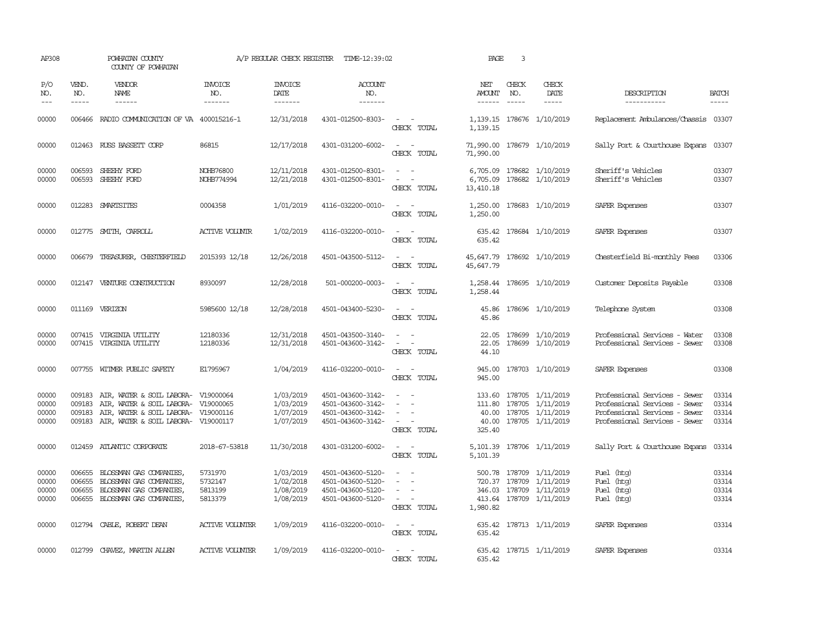| AP308                            |                             | POWHATAN COUNTY<br>COUNTY OF POWHATAN                                                                                                                                  |                                          | A/P REGULAR CHECK REGISTER                       | TIME-12:39:02                                                                    |                                                                                                                             | PAGE                   | 3                             |                                                                                                          |                                                                                                                                  |                                                                                |
|----------------------------------|-----------------------------|------------------------------------------------------------------------------------------------------------------------------------------------------------------------|------------------------------------------|--------------------------------------------------|----------------------------------------------------------------------------------|-----------------------------------------------------------------------------------------------------------------------------|------------------------|-------------------------------|----------------------------------------------------------------------------------------------------------|----------------------------------------------------------------------------------------------------------------------------------|--------------------------------------------------------------------------------|
| P/O<br>NO.<br>$\frac{1}{2}$      | VEND.<br>NO.<br>$- - - - -$ | <b>VENDOR</b><br>NAME<br>$- - - - - -$                                                                                                                                 | <b>INVOICE</b><br>NO.<br>-------         | <b>INVOICE</b><br>DATE<br>-------                | <b>ACCOUNT</b><br>NO.<br>-------                                                 |                                                                                                                             | NET<br>AMOUNT          | CHECK<br>NO.<br>$\frac{1}{2}$ | CHECK<br>DATE                                                                                            | DESCRIPTION<br>-----------                                                                                                       | <b>BATCH</b><br>$\begin{tabular}{ccccc} - & - & - & - \\ \hline \end{tabular}$ |
| 00000                            |                             | 006466 RADIO COMMUNICATION OF VA 400015216-1                                                                                                                           |                                          | 12/31/2018                                       | 4301-012500-8303-                                                                | $\sim$ $\sim$<br>CHECK TOTAL                                                                                                | 1,139.15               |                               | 1, 139.15 178676 1/10/2019                                                                               | Replacement Ambulances/Chassis 03307                                                                                             |                                                                                |
| 00000                            |                             | 012463 RUSS BASSETT CORP                                                                                                                                               | 86815                                    | 12/17/2018                                       | 4301-031200-6002-                                                                | $\frac{1}{2} \left( \frac{1}{2} \right) \left( \frac{1}{2} \right) = \frac{1}{2} \left( \frac{1}{2} \right)$<br>CHECK TOTAL | 71,990.00              |                               | 71,990.00 178679 1/10/2019                                                                               | Sally Port & Courthouse Expans 03307                                                                                             |                                                                                |
| 00000<br>00000                   | 006593                      | SHEEHY FORD<br>006593 SHEEHY FORD                                                                                                                                      | NOHB76800<br>NOHB774994                  | 12/11/2018<br>12/21/2018                         | 4301-012500-8301-<br>4301-012500-8301-                                           | $\sim$<br>CHECK TOTAL                                                                                                       | 6,705.09<br>13,410.18  |                               | 6,705.09 178682 1/10/2019<br>178682 1/10/2019                                                            | Sheriff's Vehicles<br>Sheriff's Vehicles                                                                                         | 03307<br>03307                                                                 |
| 00000                            |                             | 012283 SMARTSITES                                                                                                                                                      | 0004358                                  | 1/01/2019                                        | 4116-032200-0010-                                                                | $\frac{1}{2} \left( \frac{1}{2} \right) \left( \frac{1}{2} \right) = \frac{1}{2} \left( \frac{1}{2} \right)$<br>CHECK TOTAL | 1,250.00<br>1,250.00   |                               | 178683 1/10/2019                                                                                         | SAFER Expenses                                                                                                                   | 03307                                                                          |
| 00000                            |                             | 012775 SMITH, CARROLL                                                                                                                                                  | ACTIVE VOLUNIR                           | 1/02/2019                                        | 4116-032200-0010-                                                                | $\sim$ $ \sim$<br>CHECK TOTAL                                                                                               | 635.42                 |                               | 635.42 178684 1/10/2019                                                                                  | SAFER Expenses                                                                                                                   | 03307                                                                          |
| 00000                            | 006679                      | TREASURER, CHESTERFIELD                                                                                                                                                | 2015393 12/18                            | 12/26/2018                                       | 4501-043500-5112-                                                                | CHECK TOTAL                                                                                                                 | 45,647.79<br>45,647.79 |                               | 178692 1/10/2019                                                                                         | Chesterfield Bi-monthly Fees                                                                                                     | 03306                                                                          |
| 00000                            |                             | 012147 VENTURE CONSTRUCTION                                                                                                                                            | 8930097                                  | 12/28/2018                                       | 501-000200-0003-                                                                 | $\sim$<br>CHECK TOTAL                                                                                                       | 1,258.44               |                               | 1,258.44 178695 1/10/2019                                                                                | Customer Deposits Payable                                                                                                        | 03308                                                                          |
| 00000                            |                             | 011169 VERIZON                                                                                                                                                         | 5985600 12/18                            | 12/28/2018                                       | 4501-043400-5230-                                                                | $\sim$ 10 $\sim$ 10 $\sim$<br>CHECK TOTAL                                                                                   | 45.86                  |                               | 45.86 178696 1/10/2019                                                                                   | Telephone System                                                                                                                 | 03308                                                                          |
| 00000<br>00000                   |                             | 007415 VIRGINIA UTILITY<br>007415 VIRGINIA UTILITY                                                                                                                     | 12180336<br>12180336                     | 12/31/2018<br>12/31/2018                         | 4501-043500-3140-<br>4501-043600-3142-                                           | $\sim$<br>$\sim$<br>$\equiv$<br>$\overline{\phantom{a}}$<br>CHECK TOTAL                                                     | 22.05<br>44.10         |                               | 22.05 178699 1/10/2019<br>178699 1/10/2019                                                               | Professional Services - Water<br>Professional Services - Sewer                                                                   | 03308<br>03308                                                                 |
| 00000                            |                             | 007755 WITMER PUBLIC SAFETY                                                                                                                                            | E1795967                                 | 1/04/2019                                        | 4116-032200-0010-                                                                | $\sim$ 10 $\,$<br>CHECK TOTAL                                                                                               | 945.00                 |                               | 945.00 178703 1/10/2019                                                                                  | SAFER Expenses                                                                                                                   | 03308                                                                          |
| 00000<br>00000<br>00000<br>00000 | 009183<br>009183            | AIR, WATER & SOIL LABORA- V19000064<br>AIR, WATER & SOIL LABORA- V19000065<br>009183 AIR, WATER & SOIL LABORA- V19000116<br>009183 AIR, WATER & SOIL LABORA- V19000117 |                                          | 1/03/2019<br>1/03/2019<br>1/07/2019<br>1/07/2019 | 4501-043600-3142-<br>4501-043600-3142-<br>4501-043600-3142-<br>4501-043600-3142- | $\overline{\phantom{a}}$<br>$\overline{\phantom{a}}$<br>$\overline{\phantom{a}}$<br>$\sim$ $ \sim$<br>CHECK TOTAL           | 325.40                 |                               | 133.60 178705 1/11/2019<br>111.80 178705 1/11/2019<br>40.00 178705 1/11/2019<br>40.00 178705 1/11/2019   | Professional Services - Sewer<br>Professional Services - Sewer<br>Professional Services - Sewer<br>Professional Services - Sewer | 03314<br>03314<br>03314<br>03314                                               |
| 00000                            |                             | 012459 ATLANTIC CORPORATE                                                                                                                                              | 2018-67-53818                            | 11/30/2018                                       | 4301-031200-6002-                                                                | CHECK TOTAL                                                                                                                 | 5,101.39               |                               | 5, 101.39 178706 1/11/2019                                                                               | Sally Port & Courthouse Expans                                                                                                   | 03314                                                                          |
| 00000<br>00000<br>00000<br>00000 | 006655<br>006655<br>006655  | BLOSSMAN GAS COMPANIES,<br>BLOSSMAN GAS COMPANIES,<br>BLOSSMAN GAS COMPANIES,<br>006655 BLOSSMAN GAS COMPANIES,                                                        | 5731970<br>5732147<br>5813199<br>5813379 | 1/03/2019<br>1/02/2018<br>1/08/2019<br>1/08/2019 | 4501-043600-5120-<br>4501-043600-5120-<br>4501-043600-5120-<br>4501-043600-5120- | $\sim$<br>CHECK TOTAL                                                                                                       | 1,980.82               |                               | 500.78 178709 1/11/2019<br>720.37 178709 1/11/2019<br>346.03 178709 1/11/2019<br>413.64 178709 1/11/2019 | Fuel (htg)<br>Fuel (htg)<br>Fuel (htg)<br>Fuel (htg)                                                                             | 03314<br>03314<br>03314<br>03314                                               |
| 00000                            |                             | 012794 CABLE, ROBERT DEAN                                                                                                                                              | <b>ACTIVE VOLUNIER</b>                   | 1/09/2019                                        | 4116-032200-0010-                                                                | . —<br>CHECK TOTAL                                                                                                          | 635.42                 |                               | 635.42 178713 1/11/2019                                                                                  | SAFER Expenses                                                                                                                   | 03314                                                                          |
| 00000                            |                             | 012799 CHAVEZ, MARTIN ALLEN                                                                                                                                            | <b>ACTIVE VOLUNIER</b>                   | 1/09/2019                                        | 4116-032200-0010-                                                                | CHECK TOTAL                                                                                                                 | 635.42                 |                               | 635.42 178715 1/11/2019                                                                                  | SAFER Expenses                                                                                                                   | 03314                                                                          |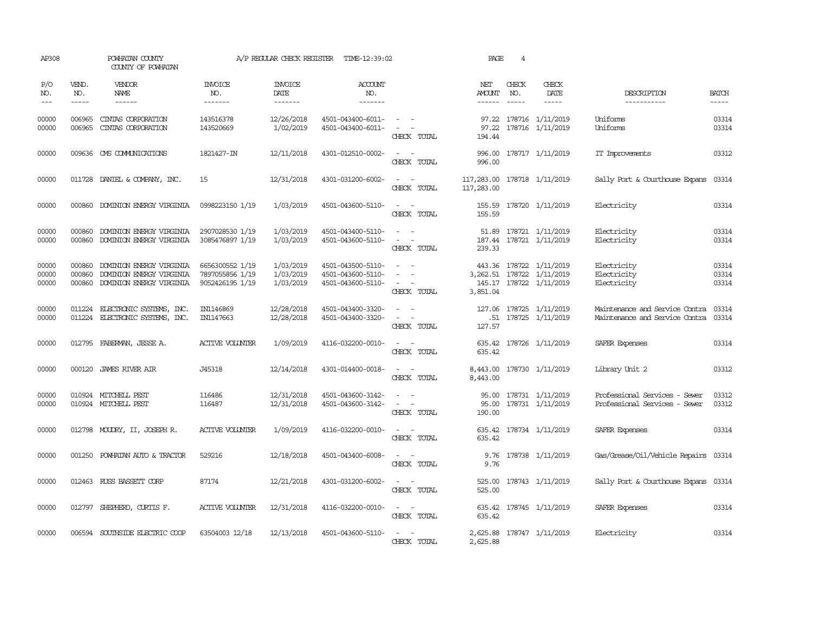| AP308                   |                             | POWHATAN COUNTY<br>COUNTY OF POWHATAN                                            |                                                       | A/P REGULAR CHECK REGISTER                | TIME-12:39:02                                               |                                                                                                                             | PAGE                                      | 4                             |                                                                                  |                                                                  |                         |
|-------------------------|-----------------------------|----------------------------------------------------------------------------------|-------------------------------------------------------|-------------------------------------------|-------------------------------------------------------------|-----------------------------------------------------------------------------------------------------------------------------|-------------------------------------------|-------------------------------|----------------------------------------------------------------------------------|------------------------------------------------------------------|-------------------------|
| P/O<br>NO.<br>$---$     | VEND.<br>NO.<br>$- - - - -$ | VENDOR<br>NAME<br>$- - - - - -$                                                  | <b>INVOICE</b><br>NO.<br>-------                      | <b>INVOICE</b><br>DATE<br>$- - - - - - -$ | ACCOUNT<br>NO.<br>$- - - - - - -$                           |                                                                                                                             | NET<br><b>AMOUNT</b><br>------            | CHECK<br>NO.<br>$\frac{1}{2}$ | CHECK<br>DATE<br>$- - - - -$                                                     | DESCRIPTION<br>-----------                                       | <b>BATCH</b><br>-----   |
| 00000<br>00000          | 006965<br>006965            | CINTAS CORPORATION<br>CINIAS CORPORATION                                         | 143516378<br>143520669                                | 12/26/2018<br>1/02/2019                   | 4501-043400-6011-<br>4501-043400-6011-                      | CHECK TOTAL                                                                                                                 | 97.22<br>194.44                           |                               | 97.22 178716 1/11/2019<br>178716 1/11/2019                                       | Uniforms<br>Uniforms                                             | 03314<br>03314          |
| 00000                   |                             | 009636 CMS COMMUNICATIONS                                                        | 1821427-IN                                            | 12/11/2018                                | 4301-012510-0002-                                           | $\sim$ $ \sim$<br>CHECK TOTAL                                                                                               | 996.00                                    |                               | 996.00 178717 1/11/2019                                                          | IT Improvements                                                  | 03312                   |
| 00000                   |                             | 011728 DANIEL & COMPANY, INC.                                                    | 15                                                    | 12/31/2018                                | 4301-031200-6002-                                           | $\sim$ $ \sim$<br>CHECK TOTAL                                                                                               | 117,283.00 178718 1/11/2019<br>117,283.00 |                               |                                                                                  | Sally Port & Courthouse Expans                                   | 03314                   |
| 00000                   |                             | 000860 DOMINION ENERGY VIRGINIA                                                  | 0998223150 1/19                                       | 1/03/2019                                 | 4501-043600-5110-                                           | $\sim 100$ km s $^{-1}$<br>CHECK TOTAL                                                                                      | 155.59                                    |                               | 155.59 178720 1/11/2019                                                          | Electricity                                                      | 03314                   |
| 00000<br>00000          | 000860<br>000860            | DOMINION ENERGY VIRGINIA<br>DOMINION ENERGY VIRGINIA                             | 2907028530 1/19<br>3085476897 1/19                    | 1/03/2019<br>1/03/2019                    | 4501-043400-5110-<br>4501-043600-5110-                      | CHECK TOTAL                                                                                                                 | 239.33                                    |                               | 51.89 178721 1/11/2019<br>187.44 178721 1/11/2019                                | Electricity<br>Electricity                                       | 03314<br>03314          |
| 00000<br>00000<br>00000 | 000860<br>000860<br>000860  | DOMINION ENERGY VIRGINIA<br>DOMINION ENERGY VIRGINIA<br>DOMINION ENERGY VIRGINIA | 6656300552 1/19<br>7897055856 1/19<br>9052426195 1/19 | 1/03/2019<br>1/03/2019<br>1/03/2019       | 4501-043500-5110-<br>4501-043600-5110-<br>4501-043600-5110- | $\sim$<br>$\sim$ 10 $\,$<br>CHECK TOTAL                                                                                     | 3,851.04                                  |                               | 443.36 178722 1/11/2019<br>3, 262.51 178722 1/11/2019<br>145.17 178722 1/11/2019 | Electricity<br>Electricity<br>Electricity                        | 03314<br>03314<br>03314 |
| 00000<br>00000          | 011224                      | ELECTRONIC SYSTEMS, INC.<br>011224 ELECTRONIC SYSTEMS, INC.                      | IN1146869<br>IN1147663                                | 12/28/2018<br>12/28/2018                  | 4501-043400-3320-<br>4501-043400-3320-                      | $\sim$<br>CHECK TOTAL                                                                                                       | 127.57                                    |                               | 127.06 178725 1/11/2019<br>.51 178725 1/11/2019                                  | Maintenance and Service Contra<br>Maintenance and Service Contra | 03314<br>03314          |
| 00000                   |                             | 012795 FABERMAN, JESSE A.                                                        | <b>ACTIVE VOLUNIER</b>                                | 1/09/2019                                 | 4116-032200-0010-                                           | CHECK TOTAL                                                                                                                 | 635.42                                    |                               | 635.42 178726 1/11/2019                                                          | SAFER Expenses                                                   | 03314                   |
| 00000                   | 000120                      | <b>JAMES RIVER AIR</b>                                                           | J45318                                                | 12/14/2018                                | 4301-014400-0018-                                           | $\overline{\phantom{a}}$<br>$\sim$<br>CHECK TOTAL                                                                           | 8,443.00<br>8,443,00                      |                               | 178730 1/11/2019                                                                 | Library Unit 2                                                   | 03312                   |
| 00000<br>00000          |                             | 010924 MITCHELL PEST<br>010924 MITCHELL PEST                                     | 116486<br>116487                                      | 12/31/2018<br>12/31/2018                  | 4501-043600-3142-<br>4501-043600-3142-                      | $\sim$<br>$\sim$<br>$\sim$ 100 $\sim$<br>CHECK TOTAL                                                                        | 95.00<br>190.00                           |                               | 178731 1/11/2019<br>95.00 178731 1/11/2019                                       | Professional Services - Sewer<br>Professional Services - Sewer   | 03312<br>03312          |
| 00000                   |                             | 012798 MOUDRY, II, JOSEPH R.                                                     | <b>ACTIVE VOLUNIER</b>                                | 1/09/2019                                 | 4116-032200-0010-                                           | $\frac{1}{2} \left( \frac{1}{2} \right) \left( \frac{1}{2} \right) = \frac{1}{2} \left( \frac{1}{2} \right)$<br>CHECK TOTAL | 635.42                                    |                               | 635.42 178734 1/11/2019                                                          | SAFER Expenses                                                   | 03314                   |
| 00000                   | 001250                      | POWHATAN AUTO & TRACTOR                                                          | 529216                                                | 12/18/2018                                | 4501-043400-6008-                                           | CHECK TOTAL                                                                                                                 | 9.76                                      |                               | 9.76 178738 1/11/2019                                                            | Gas/Grease/Oil/Vehicle Repairs 03314                             |                         |
| 00000                   |                             | 012463 RUSS BASSETT CORP                                                         | 87174                                                 | 12/21/2018                                | 4301-031200-6002-                                           | CHECK TOTAL                                                                                                                 | 525.00<br>525.00                          |                               | 178743 1/11/2019                                                                 | Sally Port & Courthouse Expans 03314                             |                         |
| 00000                   | 012797                      | SHEPHERD, CURTIS F.                                                              | <b>ACTIVE VOLUNIER</b>                                | 12/31/2018                                | 4116-032200-0010-                                           | $\sim$<br>$\sim$<br>CHECK TOTAL                                                                                             | 635.42<br>635.42                          |                               | 178745 1/11/2019                                                                 | SAFER Expenses                                                   | 03314                   |
| 00000                   |                             | 006594 SOUTHSIDE ELECTRIC COOP                                                   | 63504003 12/18                                        | 12/13/2018                                | 4501-043600-5110-                                           | $\overline{a}$<br>CHECK TOTAL                                                                                               | 2,625.88                                  |                               | 2,625.88 178747 1/11/2019                                                        | Electricity                                                      | 03314                   |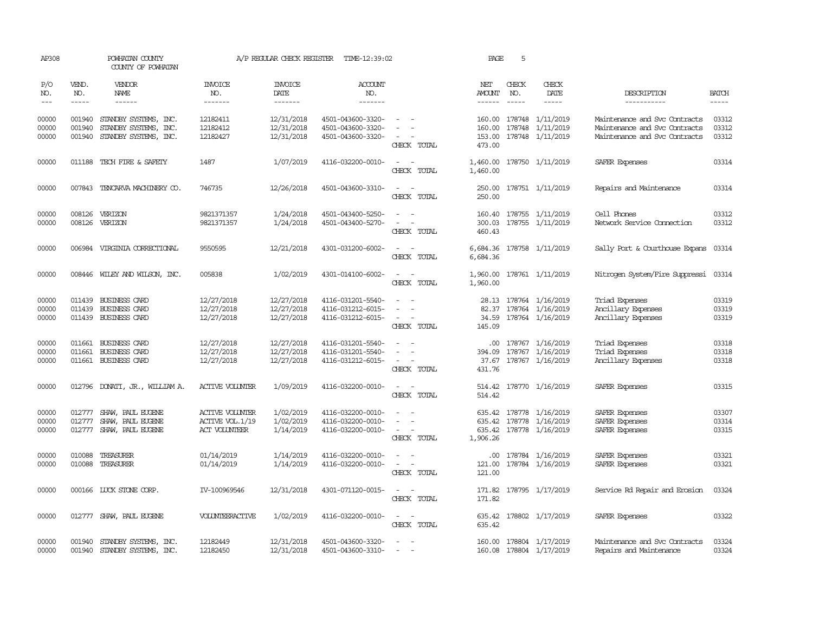| AP308      |              | POWHATAN COUNTY<br>COUNTY OF POWHATAN |                        | A/P REGULAR CHECK REGISTER | TIME-12:39:02         |                                         | PAGE                 | 5            |                         |                                |              |
|------------|--------------|---------------------------------------|------------------------|----------------------------|-----------------------|-----------------------------------------|----------------------|--------------|-------------------------|--------------------------------|--------------|
| P/O<br>NO. | VEND.<br>NO. | VENDOR<br><b>NAME</b>                 | INVOICE<br>NO.         | <b>INVOICE</b><br>DATE     | <b>ACCOUNT</b><br>NO. |                                         | NET<br>AMOUNT        | CHECK<br>NO. | CHECK<br>DATE           | DESCRIPTION                    | <b>BATCH</b> |
| $---$      | $- - - - -$  | $- - - - - -$                         | -------                | -------                    | -------               |                                         | $- - - - - -$        | $- - - - -$  | -----                   | -----------                    | -----        |
| 00000      | 001940       | STANDBY SYSTEMS, INC.                 | 12182411               | 12/31/2018                 | 4501-043600-3320-     |                                         | 160.00               |              | 178748 1/11/2019        | Maintenance and Svc Contracts  | 03312        |
| 00000      | 001940       | STANDBY SYSTEMS, INC.                 | 12182412               | 12/31/2018                 | 4501-043600-3320-     |                                         | 160.00               | 178748       | 1/11/2019               | Maintenance and Svc Contracts  | 03312        |
| 00000      | 001940       | STANDBY SYSTEMS, INC.                 | 12182427               | 12/31/2018                 | 4501-043600-3320-     | CHECK TOTAL                             | 153.00<br>473.00     |              | 178748 1/11/2019        | Maintenance and Svc Contracts  | 03312        |
| 00000      | 011188       | TECH FIRE & SAFETY                    | 1487                   | 1/07/2019                  | 4116-032200-0010-     | CHECK TOTAL                             | 1,460.00<br>1,460.00 |              | 178750 1/11/2019        | SAFER Expenses                 | 03314        |
| 00000      |              | 007843 TENCARVA MACHINERY CO.         | 746735                 | 12/26/2018                 | 4501-043600-3310-     | $\sim$<br>CHECK TOTAL                   | 250.00<br>250.00     |              | 178751 1/11/2019        | Repairs and Maintenance        | 03314        |
| 00000      |              | 008126 VERIZON                        | 9821371357             | 1/24/2018                  | 4501-043400-5250-     | $\sim$                                  |                      |              | 160.40 178755 1/11/2019 | Cell Phones                    | 03312        |
| 00000      | 008126       | VERIZON                               | 9821371357             | 1/24/2018                  | 4501-043400-5270-     |                                         | 300.03               |              | 178755 1/11/2019        | Network Service Cornection     | 03312        |
|            |              |                                       |                        |                            |                       | CHECK TOTAL                             | 460.43               |              |                         |                                |              |
| 00000      |              | 006984 VIRGINIA CORRECTIONAL          | 9550595                | 12/21/2018                 | 4301-031200-6002-     | CHECK TOTAL                             | 6,684.36<br>6,684.36 |              | 178758 1/11/2019        | Sally Port & Courthouse Expans | 03314        |
| 00000      |              | 008446 WILEY AND WILSON, INC.         | 005838                 | 1/02/2019                  | 4301-014100-6002-     | $\overline{\phantom{a}}$<br>CHECK TOTAL | 1,960.00<br>1,960.00 |              | 178761 1/11/2019        | Nitrogen System/Fire Suppressi | 03314        |
| 00000      | 011439       | <b>BUSINESS CARD</b>                  | 12/27/2018             | 12/27/2018                 | 4116-031201-5540-     |                                         | 28.13                |              | 178764 1/16/2019        | Triad Expenses                 | 03319        |
| 00000      | 011439       | <b>BUSINESS CARD</b>                  | 12/27/2018             | 12/27/2018                 | 4116-031212-6015-     | $\equiv$                                | 82.37                |              | 178764 1/16/2019        | Ancillary Expenses             | 03319        |
| 00000      |              | 011439 BUSINESS CARD                  | 12/27/2018             | 12/27/2018                 | 4116-031212-6015-     | CHECK TOTAL                             | 34.59<br>145.09      |              | 178764 1/16/2019        | Ancillary Expenses             | 03319        |
| 00000      | 011661       | <b>BUSINESS CARD</b>                  | 12/27/2018             | 12/27/2018                 | 4116-031201-5540-     |                                         | .00                  |              | 178767 1/16/2019        | Triad Expenses                 | 03318        |
| 00000      | 011661       | <b>BUSINESS CARD</b>                  | 12/27/2018             | 12/27/2018                 | 4116-031201-5540-     |                                         | 394.09               |              | 178767 1/16/2019        | Triad Expenses                 | 03318        |
| 00000      |              | 011661 BUSINESS CARD                  | 12/27/2018             | 12/27/2018                 | 4116-031212-6015-     | CHECK TOTAL                             | 37.67<br>431.76      |              | 178767 1/16/2019        | Ancillary Expenses             | 03318        |
| 00000      |              | 012796 DONATI, JR., WILLIAM A.        | <b>ACTIVE VOLUNIER</b> | 1/09/2019                  | 4116-032200-0010-     | $\sim$ $\sim$<br>CHECK TOTAL            | 514.42               |              | 514.42 178770 1/16/2019 | SAFER Expenses                 | 03315        |
| 00000      | 012777       | SHAW, PAUL EUGENE                     | <b>ACTIVE VOLUNIER</b> | 1/02/2019                  | 4116-032200-0010-     |                                         |                      |              | 635.42 178778 1/16/2019 | SAFER Expenses                 | 03307        |
| 00000      | 012777       | SHAW, PAUL EUGENE                     | ACTIVE VOL.1/19        | 1/02/2019                  | 4116-032200-0010-     |                                         | 635.42               |              | 178778 1/16/2019        | SAFER Expenses                 | 03314        |
| 00000      | 012777       | SHAW, PAUL EUGENE                     | ACT VOLUNIEER          | 1/14/2019                  | 4116-032200-0010-     | $\equiv$<br>CHECK TOTAL                 | 1,906.26             |              | 635.42 178778 1/16/2019 | SAFER Expenses                 | 03315        |
| 00000      | 010088       | TREASURER                             | 01/14/2019             | 1/14/2019                  | 4116-032200-0010-     |                                         | $.00 \cdot$          |              | 178784 1/16/2019        | SAFER Expenses                 | 03321        |
| 00000      | 010088       | TREASURER                             | 01/14/2019             | 1/14/2019                  | 4116-032200-0010-     | $\sim$<br>CHECK TOTAL                   | 121.00<br>121.00     |              | 178784 1/16/2019        | SAFER Expenses                 | 03321        |
| 00000      |              | 000166 LUCK STONE CORP.               | IV-100969546           | 12/31/2018                 | 4301-071120-0015-     | $\sim$<br>CHECK TOTAL                   | 171.82               |              | 171.82 178795 1/17/2019 | Service Rd Repair and Enosion  | 03324        |
| 00000      |              | 012777 SHAW, PAUL EUGENE              | VOLUNTEERACTIVE        | 1/02/2019                  | 4116-032200-0010-     | $\sim$ $  -$<br>CHECK TOTAL             | 635.42<br>635.42     |              | 178802 1/17/2019        | SAFER Expenses                 | 03322        |
| 00000      | 001940       | STANDBY SYSTEMS, INC.                 | 12182449               | 12/31/2018                 | 4501-043600-3320-     |                                         | 160.00               |              | 178804 1/17/2019        | Maintenance and Svc Contracts  | 03324        |
| 00000      |              | 001940 STANDBY SYSTEMS, INC.          | 12182450               | 12/31/2018                 | 4501-043600-3310-     | $\overline{\phantom{a}}$                |                      |              | 160.08 178804 1/17/2019 | Repairs and Maintenance        | 03324        |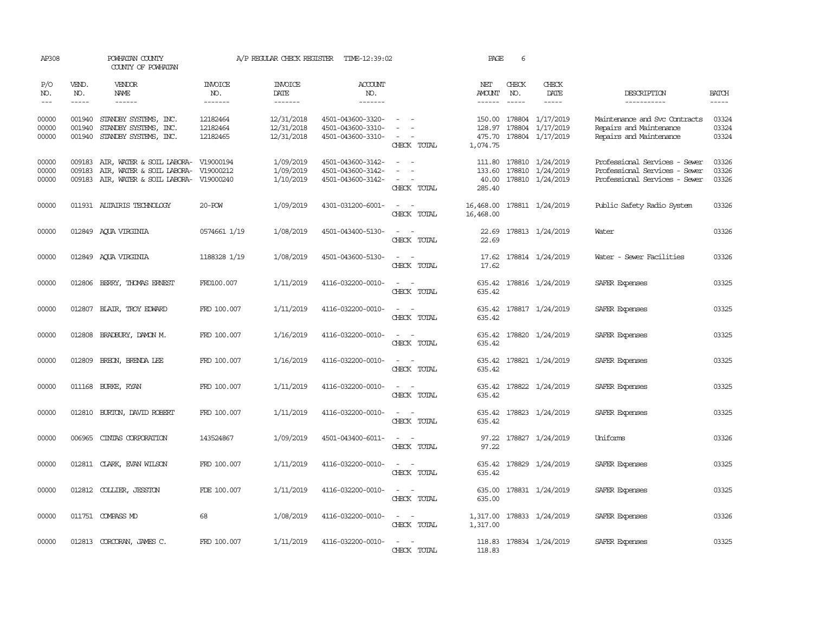| AP308                             |                            | POWHATAN COUNTY<br>COUNTY OF POWHATAN                                                         |                                  | A/P REGULAR CHECK REGISTER             | TIME-12:39:02                                               |                                                                                                                             | PAGE                                | 6                           |                                                                 |                                                                                                 |                                                                                                                                                                                                                                                                                                                                                                                                                                                                         |
|-----------------------------------|----------------------------|-----------------------------------------------------------------------------------------------|----------------------------------|----------------------------------------|-------------------------------------------------------------|-----------------------------------------------------------------------------------------------------------------------------|-------------------------------------|-----------------------------|-----------------------------------------------------------------|-------------------------------------------------------------------------------------------------|-------------------------------------------------------------------------------------------------------------------------------------------------------------------------------------------------------------------------------------------------------------------------------------------------------------------------------------------------------------------------------------------------------------------------------------------------------------------------|
| P/O<br>NO.<br>$\qquad \qquad - -$ | VEND.<br>NO.<br>-----      | <b>VENDOR</b><br>NAME                                                                         | <b>INVOICE</b><br>NO.<br>------- | <b>INVOICE</b><br>DATE<br>-------      | <b>ACCOUNT</b><br>NO.<br>-------                            |                                                                                                                             | NET<br>AMOUNT<br>$- - - - - -$      | CHECK<br>NO.<br>$- - - - -$ | CHECK<br>DATE<br>-----                                          | DESCRIPTION<br>-----------                                                                      | <b>BATCH</b><br>$\begin{tabular}{ccccc} \multicolumn{2}{c }{\multicolumn{2}{c }{\multicolumn{2}{c }{\multicolumn{2}{c}}{\hspace{-2.2cm}}}} \multicolumn{2}{c }{\multicolumn{2}{c }{\hspace{-2.2cm}}\hline} \multicolumn{2}{c }{\hspace{-2.2cm}}\hline \multicolumn{2}{c }{\hspace{-2.2cm}}\hline \multicolumn{2}{c }{\hspace{-2.2cm}}\hline \multicolumn{2}{c }{\hspace{-2.2cm}}\hline \multicolumn{2}{c }{\hspace{-2.2cm}}\hline \multicolumn{2}{c }{\hspace{-2.2cm}}$ |
| 00000<br>00000<br>00000           | 001940<br>001940           | 001940 STANDBY SYSTEMS, INC.<br>STANDBY SYSTEMS, INC.<br>STANDBY SYSTEMS, INC.                | 12182464<br>12182464<br>12182465 | 12/31/2018<br>12/31/2018<br>12/31/2018 | 4501-043600-3320-<br>4501-043600-3310-<br>4501-043600-3310- | $\sim$<br>CHECK TOTAL                                                                                                       | 128.97<br>475.70<br>1,074.75        |                             | 150.00 178804 1/17/2019<br>178804 1/17/2019<br>178804 1/17/2019 | Maintenance and Svc Contracts<br>Repairs and Maintenance<br>Repairs and Maintenance             | 03324<br>03324<br>03324                                                                                                                                                                                                                                                                                                                                                                                                                                                 |
| 00000<br>00000<br>00000           | 009183<br>009183<br>009183 | AIR, WATER & SOIL LABORA-<br>AIR, WATER & SOIL LABORA- V19000212<br>AIR, WATER & SOIL LABORA- | V19000194<br>V19000240           | 1/09/2019<br>1/09/2019<br>1/10/2019    | 4501-043600-3142-<br>4501-043600-3142-<br>4501-043600-3142- | $\overline{\phantom{a}}$<br>$\sim$<br>CHECK TOTAL                                                                           | 111.80<br>133.60<br>40.00<br>285.40 |                             | 178810 1/24/2019<br>178810 1/24/2019<br>178810 1/24/2019        | Professional Services - Sewer<br>Professional Services - Sewer<br>Professional Services - Sewer | 03326<br>03326<br>03326                                                                                                                                                                                                                                                                                                                                                                                                                                                 |
| 00000                             |                            | 011931 ALTAIRIS TECHNOLOGY                                                                    | 20-POW                           | 1/09/2019                              | 4301-031200-6001-                                           | $\overline{\phantom{a}}$<br>$\sim$<br>CHECK TOTAL                                                                           | 16,468.00<br>16,468.00              |                             | 178811 1/24/2019                                                | Public Safety Radio System                                                                      | 03326                                                                                                                                                                                                                                                                                                                                                                                                                                                                   |
| 00000                             |                            | 012849 AQUA VIRGINIA                                                                          | 0574661 1/19                     | 1/08/2019                              | 4501-043400-5130-                                           | CHECK TOTAL                                                                                                                 | 22.69                               |                             | 22.69 178813 1/24/2019                                          | Water                                                                                           | 03326                                                                                                                                                                                                                                                                                                                                                                                                                                                                   |
| 00000                             |                            | 012849 AQUA VIRGINIA                                                                          | 1188328 1/19                     | 1/08/2019                              | 4501-043600-5130-                                           | $\sim$<br>$\sim$<br>CHECK TOTAL                                                                                             | 17.62<br>17.62                      |                             | 178814 1/24/2019                                                | Water - Sewer Facilities                                                                        | 03326                                                                                                                                                                                                                                                                                                                                                                                                                                                                   |
| 00000                             |                            | 012806 BERRY, THOMAS ERNEST                                                                   | FRD100.007                       | 1/11/2019                              | 4116-032200-0010-                                           | CHECK TOTAL                                                                                                                 | 635.42                              |                             | 635.42 178816 1/24/2019                                         | SAFER Expenses                                                                                  | 03325                                                                                                                                                                                                                                                                                                                                                                                                                                                                   |
| 00000                             | 012807                     | BLAIR, TROY EDWARD                                                                            | FRD 100.007                      | 1/11/2019                              | 4116-032200-0010-                                           | $\sim$<br>CHECK TOTAL                                                                                                       | 635.42                              |                             | 635.42 178817 1/24/2019                                         | SAFER Expenses                                                                                  | 03325                                                                                                                                                                                                                                                                                                                                                                                                                                                                   |
| 00000                             |                            | 012808 BRADBURY, DAMON M.                                                                     | FRD 100.007                      | 1/16/2019                              | 4116-032200-0010-                                           | CHECK TOTAL                                                                                                                 | 635.42                              |                             | 635.42 178820 1/24/2019                                         | SAFER Expenses                                                                                  | 03325                                                                                                                                                                                                                                                                                                                                                                                                                                                                   |
| 00000                             | 012809                     | BREON, BRENDA LEE                                                                             | FRD 100.007                      | 1/16/2019                              | 4116-032200-0010-                                           | CHECK TOTAL                                                                                                                 | 635.42<br>635.42                    |                             | 178821 1/24/2019                                                | SAFER Expenses                                                                                  | 03325                                                                                                                                                                                                                                                                                                                                                                                                                                                                   |
| 00000                             |                            | 011168 BURKE, RYAN                                                                            | FRD 100.007                      | 1/11/2019                              | 4116-032200-0010-                                           | $\overline{\phantom{a}}$<br>CHECK TOTAL                                                                                     | 635.42<br>635.42                    |                             | 178822 1/24/2019                                                | SAFER Expenses                                                                                  | 03325                                                                                                                                                                                                                                                                                                                                                                                                                                                                   |
| 00000                             |                            | 012810 BURTON, DAVID ROBERT                                                                   | FRD 100.007                      | 1/11/2019                              | 4116-032200-0010-                                           | $\frac{1}{2} \left( \frac{1}{2} \right) \left( \frac{1}{2} \right) = \frac{1}{2} \left( \frac{1}{2} \right)$<br>CHECK TOTAL | 635.42<br>635.42                    |                             | 178823 1/24/2019                                                | <b>SAFER Expenses</b>                                                                           | 03325                                                                                                                                                                                                                                                                                                                                                                                                                                                                   |
| 00000                             | 006965                     | CINIAS CORPORATION                                                                            | 143524867                        | 1/09/2019                              | 4501-043400-6011-                                           | $\sim$<br>$\overline{\phantom{a}}$<br>CHECK TOTAL                                                                           | 97.22<br>97.22                      |                             | 178827 1/24/2019                                                | Uniforms                                                                                        | 03326                                                                                                                                                                                                                                                                                                                                                                                                                                                                   |
| 00000                             |                            | 012811 CLARK, EVAN WILSON                                                                     | FRD 100.007                      | 1/11/2019                              | 4116-032200-0010-                                           | $ -$<br>CHECK TOTAL                                                                                                         | 635.42<br>635.42                    |                             | 178829 1/24/2019                                                | <b>SAFER Expenses</b>                                                                           | 03325                                                                                                                                                                                                                                                                                                                                                                                                                                                                   |
| 00000                             |                            | 012812 COLLIER, JESSTON                                                                       | FDE 100.007                      | 1/11/2019                              | 4116-032200-0010-                                           | $\sim$<br>CHECK TOTAL                                                                                                       | 635.00<br>635.00                    |                             | 178831 1/24/2019                                                | SAFER Expenses                                                                                  | 03325                                                                                                                                                                                                                                                                                                                                                                                                                                                                   |
| 00000                             |                            | 011751 COMPASS MD                                                                             | 68                               | 1/08/2019                              | 4116-032200-0010-                                           | $\frac{1}{2} \left( \frac{1}{2} \right) \left( \frac{1}{2} \right) = \frac{1}{2} \left( \frac{1}{2} \right)$<br>CHECK TOTAL | 1,317.00                            |                             | 1,317.00 178833 1/24/2019                                       | SAFER Expenses                                                                                  | 03326                                                                                                                                                                                                                                                                                                                                                                                                                                                                   |
| 00000                             |                            | 012813 CORCORAN, JAMES C.                                                                     | FRD 100.007                      | 1/11/2019                              | 4116-032200-0010-                                           | CHECK TOTAL                                                                                                                 | 118.83                              |                             | 118.83 178834 1/24/2019                                         | SAFER Expenses                                                                                  | 03325                                                                                                                                                                                                                                                                                                                                                                                                                                                                   |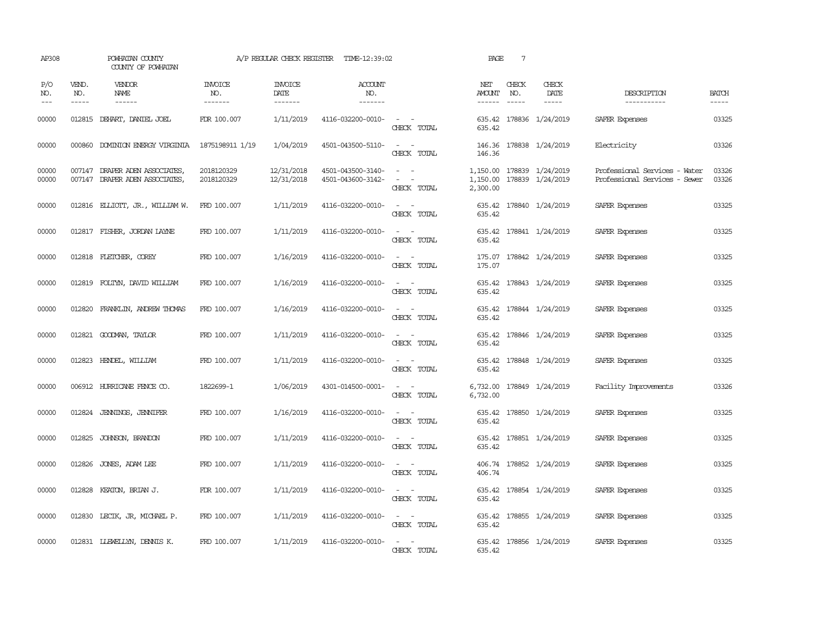| AP308               |                             | POWHATAN COUNTY<br>COUNTY OF POWHATAN                           |                           | A/P REGULAR CHECK REGISTER        | TIME-12:39:02                          |                                                                                                                                                                            | PAGE                    | $7\phantom{.0}$               |                                               |                                                                |                             |
|---------------------|-----------------------------|-----------------------------------------------------------------|---------------------------|-----------------------------------|----------------------------------------|----------------------------------------------------------------------------------------------------------------------------------------------------------------------------|-------------------------|-------------------------------|-----------------------------------------------|----------------------------------------------------------------|-----------------------------|
| P/O<br>NO.<br>$---$ | VEND.<br>NO.<br>$- - - - -$ | VENDOR<br>NAME<br>$- - - - - -$                                 | INVOICE<br>NO.<br>------- | <b>INVOICE</b><br>DATE<br>------- | <b>ACCOUNT</b><br>NO.<br>-------       |                                                                                                                                                                            | NET<br>AMOUNT<br>------ | CHECK<br>NO.<br>$\frac{1}{2}$ | CHECK<br>DATE<br>$- - - - -$                  | DESCRIPTION<br>-----------                                     | <b>BATCH</b><br>$- - - - -$ |
| 00000               | 012815                      | DEHART, DANIEL JOEL                                             | FDR 100.007               | 1/11/2019                         | 4116-032200-0010-                      | $\sim$ $ -$<br>CHECK TOTAL                                                                                                                                                 | 635.42                  |                               | 635.42 178836 1/24/2019                       | SAFER Expenses                                                 | 03325                       |
| 00000               | 000860                      | DOMINION ENERGY VIRGINIA                                        | 1875198911 1/19           | 1/04/2019                         | 4501-043500-5110-                      | $\sim$ 10 $\sim$ $\sim$<br>CHECK TOTAL                                                                                                                                     | 146.36<br>146.36        |                               | 178838 1/24/2019                              | Electricity                                                    | 03326                       |
| 00000<br>00000      |                             | 007147 DRAPER ADEN ASSOCIATES<br>007147 DRAPER ADEN ASSOCIATES, | 2018120329<br>2018120329  | 12/31/2018<br>12/31/2018          | 4501-043500-3140-<br>4501-043600-3142- | $\omega_{\rm{max}}$ and $\omega_{\rm{max}}$<br>$\frac{1}{2} \left( \frac{1}{2} \right) \left( \frac{1}{2} \right) = \frac{1}{2} \left( \frac{1}{2} \right)$<br>CHECK TOTAL | 1,150.00<br>2,300.00    |                               | 1,150.00 178839 1/24/2019<br>178839 1/24/2019 | Professional Services - Water<br>Professional Services - Sewer | 03326<br>03326              |
| 00000               |                             | 012816 ELLIOTT, JR., WILLIAM W.                                 | FRD 100.007               | 1/11/2019                         | 4116-032200-0010-                      | $\omega_{\rm{max}}$ and $\omega_{\rm{max}}$<br>CHECK TOTAL                                                                                                                 | 635.42<br>635.42        |                               | 178840 1/24/2019                              | SAFER Expenses                                                 | 03325                       |
| 00000               |                             | 012817 FISHER, JORDAN LAYNE                                     | FRD 100.007               | 1/11/2019                         | 4116-032200-0010-                      | $\frac{1}{2} \left( \frac{1}{2} \right) \left( \frac{1}{2} \right) = \frac{1}{2} \left( \frac{1}{2} \right)$<br>CHECK TOTAL                                                | 635.42                  |                               | 635.42 178841 1/24/2019                       | SAFER Expenses                                                 | 03325                       |
| 00000               |                             | 012818 FLETCHER, COREY                                          | FRD 100.007               | 1/16/2019                         | 4116-032200-0010-                      | $\sim$ 100 $\sim$<br>CHECK TOTAL                                                                                                                                           | 175.07<br>175.07        |                               | 178842 1/24/2019                              | SAFER Expenses                                                 | 03325                       |
| 00000               |                             | 012819 FOLTYN, DAVID WILLIAM                                    | FRD 100.007               | 1/16/2019                         | 4116-032200-0010-                      | $ -$<br>CHECK TOTAL                                                                                                                                                        | 635.42                  |                               | 635.42 178843 1/24/2019                       | SAFER Expenses                                                 | 03325                       |
| 00000               | 012820                      | FRANKLIN, ANDREW THOMAS                                         | FRD 100.007               | 1/16/2019                         | 4116-032200-0010-                      | $\frac{1}{2} \left( \frac{1}{2} \right) \left( \frac{1}{2} \right) \left( \frac{1}{2} \right) \left( \frac{1}{2} \right)$<br>CHECK TOTAL                                   | 635.42                  |                               | 635.42 178844 1/24/2019                       | SAFER Expenses                                                 | 03325                       |
| 00000               |                             | 012821 GOODMAN, TAYLOR                                          | FRD 100.007               | 1/11/2019                         | 4116-032200-0010-                      | CHECK TOTAL                                                                                                                                                                | 635.42                  |                               | 635.42 178846 1/24/2019                       | SAFER Expenses                                                 | 03325                       |
| 00000               |                             | 012823 HENDEL, WILLIAM                                          | FRD 100.007               | 1/11/2019                         | 4116-032200-0010-                      | $\frac{1}{2} \left( \frac{1}{2} \right) \left( \frac{1}{2} \right) = \frac{1}{2} \left( \frac{1}{2} \right)$<br>CHECK TOTAL                                                | 635.42<br>635.42        |                               | 178848 1/24/2019                              | SAFER Expenses                                                 | 03325                       |
| 00000               |                             | 006912 HURRICANE FENCE CO.                                      | 1822699-1                 | 1/06/2019                         | 4301-014500-0001-                      | $\omega_{\rm{max}}$ and $\omega_{\rm{max}}$<br>CHECK TOTAL                                                                                                                 | 6,732.00<br>6,732.00    |                               | 178849 1/24/2019                              | Facility Improvements                                          | 03326                       |
| 00000               |                             | 012824 JENNINGS, JENNIFER                                       | FRD 100.007               | 1/16/2019                         | 4116-032200-0010-                      | $\frac{1}{2} \left( \frac{1}{2} \right) \left( \frac{1}{2} \right) \left( \frac{1}{2} \right) \left( \frac{1}{2} \right)$<br>CHECK TOTAL                                   | 635.42                  |                               | 635.42 178850 1/24/2019                       | SAFER Expenses                                                 | 03325                       |
| 00000               |                             | 012825 JOHNSON, BRANDON                                         | FRD 100.007               | 1/11/2019                         | 4116-032200-0010-                      | $\omega_{\rm{max}}$ and $\omega_{\rm{max}}$<br>CHECK TOTAL                                                                                                                 | 635.42<br>635.42        |                               | 178851 1/24/2019                              | SAFER Expenses                                                 | 03325                       |
| 00000               |                             | 012826 JONES, ADAM LEE                                          | FRD 100.007               | 1/11/2019                         | 4116-032200-0010-                      | $\omega_{\rm{max}}$ and $\omega_{\rm{max}}$<br>CHECK TOTAL                                                                                                                 | 406.74                  |                               | 406.74 178852 1/24/2019                       | SAFER Expenses                                                 | 03325                       |
| 00000               |                             | 012828 KEATON, BRIAN J.                                         | FDR 100.007               | 1/11/2019                         | 4116-032200-0010-                      | $\sim$ 100 $\sim$<br>CHECK TOTAL                                                                                                                                           | 635.42                  |                               | 635.42 178854 1/24/2019                       | SAFER Expenses                                                 | 03325                       |
| 00000               |                             | 012830 LECIK, JR, MICHAEL P.                                    | FRD 100.007               | 1/11/2019                         | 4116-032200-0010-                      | $\sim$ $ -$<br>CHECK TOTAL                                                                                                                                                 | 635.42                  |                               | 635.42 178855 1/24/2019                       | SAFER Expenses                                                 | 03325                       |
| 00000               |                             | 012831 LIEWELLYN, DENNIS K.                                     | FRD 100.007               | 1/11/2019                         | 4116-032200-0010-                      | $\sim$ $-$<br>CHECK TOTAL                                                                                                                                                  | 635.42                  |                               | 635.42 178856 1/24/2019                       | SAFER Expenses                                                 | 03325                       |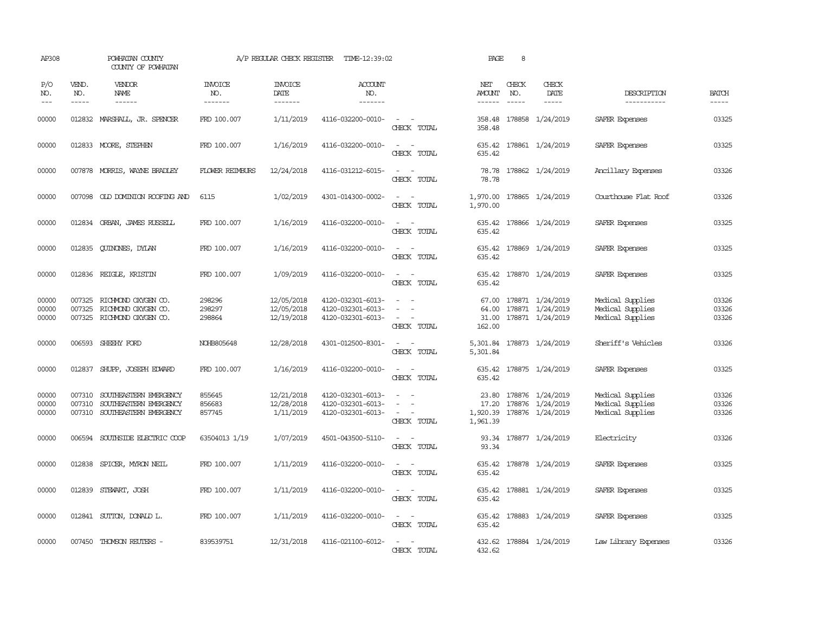| AP308                   |                             | POWHATAN COUNTY<br>COUNTY OF POWHATAN                                                                                                                                                                                                                                                                                                                                                                                                                                     |                                  | A/P REGULAR CHECK REGISTER             | TIME-12:39:02                                               |                                                          | PAGE                              | 8            |                                                                   |                                                          |                         |
|-------------------------|-----------------------------|---------------------------------------------------------------------------------------------------------------------------------------------------------------------------------------------------------------------------------------------------------------------------------------------------------------------------------------------------------------------------------------------------------------------------------------------------------------------------|----------------------------------|----------------------------------------|-------------------------------------------------------------|----------------------------------------------------------|-----------------------------------|--------------|-------------------------------------------------------------------|----------------------------------------------------------|-------------------------|
| P/O<br>NO.              | VEND.<br>NO.<br>$- - - - -$ | VENDOR<br>NAME<br>$\begin{tabular}{ccccc} \multicolumn{2}{c }{\multicolumn{2}{c }{\multicolumn{2}{c }{\multicolumn{2}{c}}{\hspace{-2.2cm}}}} \multicolumn{2}{c }{\multicolumn{2}{c }{\hspace{-2.2cm}}\hline} \multicolumn{2}{c }{\hspace{-2.2cm}}\hline \multicolumn{2}{c }{\hspace{-2.2cm}}\hline \multicolumn{2}{c }{\hspace{-2.2cm}}\hline \multicolumn{2}{c }{\hspace{-2.2cm}}\hline \multicolumn{2}{c }{\hspace{-2.2cm}}\hline \multicolumn{2}{c }{\hspace{-2.2cm}}$ | <b>INVOICE</b><br>NO.<br>------- | <b>INVOICE</b><br>DATE<br>-------      | <b>ACCOUNT</b><br>NO.<br>-------                            |                                                          | NET<br>AMOUNT<br>------           | CHECK<br>NO. | CHECK<br>DATE<br>-----                                            | DESCRIPTION<br>-----------                               | <b>BATCH</b><br>-----   |
| 00000                   | 012832                      | MARSHALL, JR. SPENCER                                                                                                                                                                                                                                                                                                                                                                                                                                                     | FRD 100.007                      | 1/11/2019                              | 4116-032200-0010-                                           | $\sim$<br>CHECK TOTAL                                    | 358.48<br>358.48                  |              | 178858 1/24/2019                                                  | SAFER Expenses                                           | 03325                   |
| 00000                   |                             | 012833 MOORE, STEPHEN                                                                                                                                                                                                                                                                                                                                                                                                                                                     | FRD 100.007                      | 1/16/2019                              | 4116-032200-0010-                                           | $\sim$ 100 $\sim$ 100 $\sim$<br>CHECK TOTAL              | 635.42<br>635.42                  |              | 178861 1/24/2019                                                  | SAFER Expenses                                           | 03325                   |
| 00000                   |                             | 007878 MORRIS, WAYNE BRADLEY                                                                                                                                                                                                                                                                                                                                                                                                                                              | <b>FLOWER REIMBURS</b>           | 12/24/2018                             | 4116-031212-6015-                                           | $\equiv$<br>CHECK TOTAL                                  | 78.78<br>78.78                    |              | 178862 1/24/2019                                                  | Ancillary Expenses                                       | 03326                   |
| 00000                   |                             | 007098 OLD DOMINION ROOFING AND                                                                                                                                                                                                                                                                                                                                                                                                                                           | 6115                             | 1/02/2019                              | 4301-014300-0002-                                           | $\omega_{\rm{max}}$ , $\omega_{\rm{max}}$<br>CHECK TOTAL | 1,970.00<br>1,970.00              |              | 178865 1/24/2019                                                  | Courthouse Flat Roof                                     | 03326                   |
| 00000                   |                             | 012834 ORBAN, JAMES RUSSELL                                                                                                                                                                                                                                                                                                                                                                                                                                               | FRD 100.007                      | 1/16/2019                              | 4116-032200-0010-                                           | $\sim$ 10 $\sim$ 10 $\sim$<br>CHECK TOTAL                | 635.42<br>635.42                  |              | 178866 1/24/2019                                                  | SAFER Expenses                                           | 03325                   |
| 00000                   | 012835                      | <b>CUINONES, DYLAN</b>                                                                                                                                                                                                                                                                                                                                                                                                                                                    | FRD 100.007                      | 1/16/2019                              | 4116-032200-0010-                                           | $\sim$<br>$\sim$<br>CHECK TOTAL                          | 635.42                            |              | 635.42 178869 1/24/2019                                           | SAFER Expenses                                           | 03325                   |
| 00000                   |                             | 012836 REIGLE, KRISTIN                                                                                                                                                                                                                                                                                                                                                                                                                                                    | FRD 100.007                      | 1/09/2019                              | 4116-032200-0010-                                           | $\equiv$<br>CHECK TOTAL                                  | 635.42<br>635.42                  |              | 178870 1/24/2019                                                  | SAFER Expenses                                           | 03325                   |
| 00000<br>00000<br>00000 | 007325<br>007325            | RICHMOND OXYGEN CO.<br>RICHMOND OXYGEN CO.<br>007325 RICHMOND OXYGEN CO.                                                                                                                                                                                                                                                                                                                                                                                                  | 298296<br>298297<br>298864       | 12/05/2018<br>12/05/2018<br>12/19/2018 | 4120-032301-6013-<br>4120-032301-6013-<br>4120-032301-6013- | $\overline{\phantom{a}}$<br>CHECK TOTAL                  | 67.00<br>64.00<br>31.00<br>162.00 |              | 178871 1/24/2019<br>178871 1/24/2019<br>178871 1/24/2019          | Medical Supplies<br>Medical Supplies<br>Medical Supplies | 03326<br>03326<br>03326 |
| 00000                   |                             | 006593 SHEEHY FORD                                                                                                                                                                                                                                                                                                                                                                                                                                                        | NOHB805648                       | 12/28/2018                             | 4301-012500-8301-                                           | $\sim$ 100 $\sim$<br>CHECK TOTAL                         | 5,301.84                          |              | 5,301.84 178873 1/24/2019                                         | Sheriff's Vehicles                                       | 03326                   |
| 00000                   |                             | 012837 SHUPP, JOSEPH EDWARD                                                                                                                                                                                                                                                                                                                                                                                                                                               | FRD 100.007                      | 1/16/2019                              | 4116-032200-0010-                                           | $\sim$ 100 $\sim$ 100 $\sim$<br>CHECK TOTAL              | 635.42                            |              | 635.42 178875 1/24/2019                                           | SAFER Expenses                                           | 03325                   |
| 00000<br>00000<br>00000 | 007310<br>007310            | SOUTHEASTERN EMERGENCY<br>SOUTHEASTERN EMERGENCY<br>007310 SOUTHEASTERN EMERGENCY                                                                                                                                                                                                                                                                                                                                                                                         | 855645<br>856683<br>857745       | 12/21/2018<br>12/28/2018<br>1/11/2019  | 4120-032301-6013-<br>4120-032301-6013-<br>4120-032301-6013- | $\sim$<br>CHECK TOTAL                                    | 23.80<br>17.20<br>1,961.39        |              | 178876 1/24/2019<br>178876 1/24/2019<br>1,920.39 178876 1/24/2019 | Medical Supplies<br>Medical Supplies<br>Medical Supplies | 03326<br>03326<br>03326 |
| 00000                   |                             | 006594 SOUTHSIDE ELECTRIC COOP                                                                                                                                                                                                                                                                                                                                                                                                                                            | 63504013 1/19                    | 1/07/2019                              | 4501-043500-5110-                                           | $\sim$<br>CHECK TOTAL                                    | 93.34                             |              | 93.34 178877 1/24/2019                                            | Electricity                                              | 03326                   |
| 00000                   |                             | 012838 SPICER, MYRON NEIL                                                                                                                                                                                                                                                                                                                                                                                                                                                 | FRD 100.007                      | 1/11/2019                              | 4116-032200-0010-                                           | $\sim$ 100 $\sim$<br>CHECK TOTAL                         | 635.42<br>635.42                  |              | 178878 1/24/2019                                                  | SAFER Expenses                                           | 03325                   |
| 00000                   |                             | 012839 STEWART, JOSH                                                                                                                                                                                                                                                                                                                                                                                                                                                      | FRD 100.007                      | 1/11/2019                              | 4116-032200-0010-                                           | $\sim$<br>$\sim$<br>CHECK TOTAL                          | 635.42                            |              | 635.42 178881 1/24/2019                                           | SAFER Expenses                                           | 03325                   |
| 00000                   |                             | 012841 SUTTON, DONALD L.                                                                                                                                                                                                                                                                                                                                                                                                                                                  | FRD 100.007                      | 1/11/2019                              | 4116-032200-0010-                                           | $\sim$ 100 $\sim$<br>CHECK TOTAL                         | 635.42                            |              | 635.42 178883 1/24/2019                                           | SAFER Expenses                                           | 03325                   |
| 00000                   |                             | 007450 THOMSON REUTERS -                                                                                                                                                                                                                                                                                                                                                                                                                                                  | 839539751                        | 12/31/2018                             | 4116-021100-6012-                                           | $\sim$<br>CHECK TOTAL                                    | 432.62                            |              | 432.62 178884 1/24/2019                                           | Law Library Expenses                                     | 03326                   |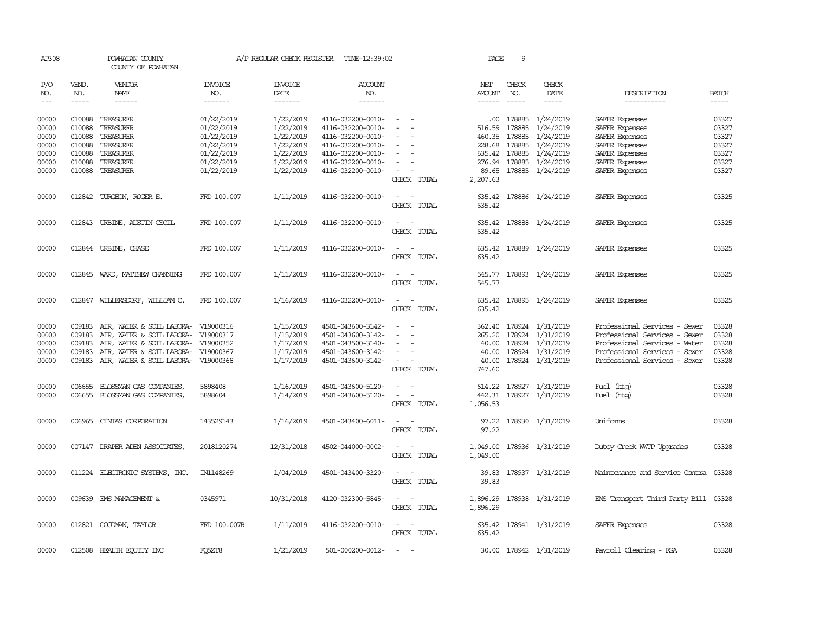| AP308               |                                                                                                                                                                                                                                                                                                                                                                                                                                                                                                     | POWHATAN COUNTY<br>COUNTY OF POWHATAN |                                  | A/P REGULAR CHECK REGISTER        | TIME-12:39:02                    |                                             | PAGE                    | 9                           |                              |                                      |              |
|---------------------|-----------------------------------------------------------------------------------------------------------------------------------------------------------------------------------------------------------------------------------------------------------------------------------------------------------------------------------------------------------------------------------------------------------------------------------------------------------------------------------------------------|---------------------------------------|----------------------------------|-----------------------------------|----------------------------------|---------------------------------------------|-------------------------|-----------------------------|------------------------------|--------------------------------------|--------------|
| P/O<br>NO.<br>$---$ | VEND.<br>NO.<br>$\begin{tabular}{ccccc} \multicolumn{2}{c}{} & \multicolumn{2}{c}{} & \multicolumn{2}{c}{} & \multicolumn{2}{c}{} & \multicolumn{2}{c}{} & \multicolumn{2}{c}{} & \multicolumn{2}{c}{} & \multicolumn{2}{c}{} & \multicolumn{2}{c}{} & \multicolumn{2}{c}{} & \multicolumn{2}{c}{} & \multicolumn{2}{c}{} & \multicolumn{2}{c}{} & \multicolumn{2}{c}{} & \multicolumn{2}{c}{} & \multicolumn{2}{c}{} & \multicolumn{2}{c}{} & \multicolumn{2}{c}{} & \multicolumn{2}{c}{} & \mult$ | <b>VENDOR</b><br>NAME<br>------       | <b>INVOICE</b><br>NO.<br>------- | <b>INVOICE</b><br>DATE<br>------- | <b>ACCOUNT</b><br>NO.<br>------- |                                             | NET<br>AMOUNT<br>------ | CHECK<br>NO.<br>$- - - - -$ | CHECK<br>DATE<br>$- - - - -$ | DESCRIPTION<br>-----------           | <b>BATCH</b> |
|                     |                                                                                                                                                                                                                                                                                                                                                                                                                                                                                                     |                                       |                                  |                                   |                                  |                                             |                         |                             |                              |                                      |              |
| 00000               |                                                                                                                                                                                                                                                                                                                                                                                                                                                                                                     | 010088 TREASURER                      | 01/22/2019                       | 1/22/2019                         | 4116-032200-0010-                |                                             |                         | .00 178885                  | 1/24/2019                    | SAFER Expenses                       | 03327        |
| 00000               | 010088                                                                                                                                                                                                                                                                                                                                                                                                                                                                                              | TREASURER                             | 01/22/2019                       | 1/22/2019                         | 4116-032200-0010-                |                                             |                         | 516.59 178885               | 1/24/2019                    | SAFER Expenses                       | 03327        |
| 00000               | 010088                                                                                                                                                                                                                                                                                                                                                                                                                                                                                              | TREASURER                             | 01/22/2019                       | 1/22/2019                         | 4116-032200-0010-                |                                             | 460.35                  | 178885                      | 1/24/2019                    | SAFER Expenses                       | 03327        |
| 00000               | 010088                                                                                                                                                                                                                                                                                                                                                                                                                                                                                              | TREASURER                             | 01/22/2019                       | 1/22/2019                         | 4116-032200-0010-                |                                             | 228.68                  | 178885                      | 1/24/2019                    | SAFER Expenses                       | 03327        |
| 00000               | 010088                                                                                                                                                                                                                                                                                                                                                                                                                                                                                              | TREASURER                             | 01/22/2019                       | 1/22/2019                         | 4116-032200-0010-                |                                             | 635.42                  | 178885                      | 1/24/2019                    | SAFER Expenses                       | 03327        |
| 00000               | 010088                                                                                                                                                                                                                                                                                                                                                                                                                                                                                              | TREASURER                             | 01/22/2019                       | 1/22/2019                         | 4116-032200-0010-                |                                             | 276.94                  |                             | 178885 1/24/2019             | SAFER Expenses                       | 03327        |
| 00000               |                                                                                                                                                                                                                                                                                                                                                                                                                                                                                                     | 010088 TREASURER                      | 01/22/2019                       | 1/22/2019                         | 4116-032200-0010-                | $\overline{\phantom{a}}$                    |                         |                             | 89.65 178885 1/24/2019       | SAFER Expenses                       | 03327        |
|                     |                                                                                                                                                                                                                                                                                                                                                                                                                                                                                                     |                                       |                                  |                                   |                                  | CHECK TOTAL                                 | 2,207.63                |                             |                              |                                      |              |
| 00000               |                                                                                                                                                                                                                                                                                                                                                                                                                                                                                                     | 012842 TURGEON, ROGER E.              | FRD 100.007                      | 1/11/2019                         | 4116-032200-0010-                | $\sim$ $ \sim$                              | 635.42                  |                             | 178886 1/24/2019             | SAFER Expenses                       | 03325        |
|                     |                                                                                                                                                                                                                                                                                                                                                                                                                                                                                                     |                                       |                                  |                                   |                                  | CHECK TOTAL                                 | 635.42                  |                             |                              |                                      |              |
| 00000               |                                                                                                                                                                                                                                                                                                                                                                                                                                                                                                     | 012843 URBINE, AUSTIN CECIL           | FRD 100.007                      | 1/11/2019                         | 4116-032200-0010-                | $\sim$ 100 $\sim$                           | 635.42                  |                             | 178888 1/24/2019             | SAFER Expenses                       | 03325        |
|                     |                                                                                                                                                                                                                                                                                                                                                                                                                                                                                                     |                                       |                                  |                                   |                                  | CHECK TOTAL                                 | 635.42                  |                             |                              |                                      |              |
| 00000               |                                                                                                                                                                                                                                                                                                                                                                                                                                                                                                     | 012844 URBINE, CHASE                  | FRD 100.007                      | 1/11/2019                         | 4116-032200-0010-                | $\sim$ $ -$                                 |                         |                             | 635.42 178889 1/24/2019      | SAFER Expenses                       | 03325        |
|                     |                                                                                                                                                                                                                                                                                                                                                                                                                                                                                                     |                                       |                                  |                                   |                                  | CHECK TOTAL                                 | 635.42                  |                             |                              |                                      |              |
| 00000               |                                                                                                                                                                                                                                                                                                                                                                                                                                                                                                     | 012845 WARD, MATTHEW CHANNING         | FRD 100.007                      | 1/11/2019                         | 4116-032200-0010-                |                                             |                         |                             | 545.77 178893 1/24/2019      | SAFER Expenses                       | 03325        |
|                     |                                                                                                                                                                                                                                                                                                                                                                                                                                                                                                     |                                       |                                  |                                   |                                  | CHECK TOTAL                                 | 545.77                  |                             |                              |                                      |              |
| 00000               |                                                                                                                                                                                                                                                                                                                                                                                                                                                                                                     | 012847 WILLERSDORF, WILLIAM C.        | FRD 100.007                      | 1/16/2019                         | 4116-032200-0010-                | $\overline{a}$<br>$\overline{\phantom{a}}$  | 635.42                  |                             | 178895 1/24/2019             | SAFER Expenses                       | 03325        |
|                     |                                                                                                                                                                                                                                                                                                                                                                                                                                                                                                     |                                       |                                  |                                   |                                  | CHECK TOTAL                                 | 635.42                  |                             |                              |                                      |              |
| 00000               | 009183                                                                                                                                                                                                                                                                                                                                                                                                                                                                                              | AIR, WATER & SOIL LABORA- V19000316   |                                  | 1/15/2019                         | 4501-043600-3142-                |                                             | 362.40                  |                             | 178924 1/31/2019             | Professional Services - Sewer        | 03328        |
| 00000               | 009183                                                                                                                                                                                                                                                                                                                                                                                                                                                                                              | AIR, WATER & SOIL LABORA-             | V19000317                        | 1/15/2019                         | 4501-043600-3142-                |                                             | 265.20                  | 178924                      | 1/31/2019                    | Professional Services - Sewer        | 03328        |
| 00000               | 009183                                                                                                                                                                                                                                                                                                                                                                                                                                                                                              | AIR, WATER & SOIL LABORA-             | V19000352                        | 1/17/2019                         | 4501-043500-3140-                |                                             | 40.00                   |                             | 178924 1/31/2019             | Professional Services - Water        | 03328        |
| 00000               | 009183                                                                                                                                                                                                                                                                                                                                                                                                                                                                                              | AIR, WATER & SOIL LABORA- V19000367   |                                  | 1/17/2019                         | 4501-043600-3142-                | $\equiv$                                    | 40.00                   |                             | 178924 1/31/2019             | Professional Services - Sewer        | 03328        |
| 00000               |                                                                                                                                                                                                                                                                                                                                                                                                                                                                                                     | 009183 AIR, WATER & SOIL LABORA-      | V19000368                        | 1/17/2019                         | 4501-043600-3142-                | $\sim$                                      | 40.00                   |                             | 178924 1/31/2019             | Professional Services - Sewer        | 03328        |
|                     |                                                                                                                                                                                                                                                                                                                                                                                                                                                                                                     |                                       |                                  |                                   |                                  | CHECK TOTAL                                 | 747.60                  |                             |                              |                                      |              |
| 00000               |                                                                                                                                                                                                                                                                                                                                                                                                                                                                                                     | 006655 BLOSSMAN GAS COMPANIES,        | 5898408                          | 1/16/2019                         | 4501-043600-5120-                | $\omega_{\rm{max}}$ and $\omega_{\rm{max}}$ |                         |                             | 614.22 178927 1/31/2019      | Fuel (htg)                           | 03328        |
| 00000               |                                                                                                                                                                                                                                                                                                                                                                                                                                                                                                     | 006655 BLOSSMAN GAS COMPANIES,        | 5898604                          | 1/14/2019                         | 4501-043600-5120-                | $\sim$ $ \sim$                              |                         |                             | 442.31 178927 1/31/2019      | Fuel (htg)                           | 03328        |
|                     |                                                                                                                                                                                                                                                                                                                                                                                                                                                                                                     |                                       |                                  |                                   |                                  | CHECK TOTAL                                 | 1,056.53                |                             |                              |                                      |              |
| 00000               | 006965                                                                                                                                                                                                                                                                                                                                                                                                                                                                                              | CINIAS CORPORATION                    | 143529143                        | 1/16/2019                         | 4501-043400-6011-                |                                             | 97.22                   |                             | 178930 1/31/2019             | Uniforms                             | 03328        |
|                     |                                                                                                                                                                                                                                                                                                                                                                                                                                                                                                     |                                       |                                  |                                   |                                  | CHECK TOTAL                                 | 97.22                   |                             |                              |                                      |              |
| 00000               |                                                                                                                                                                                                                                                                                                                                                                                                                                                                                                     | 007147 DRAPER ADEN ASSOCIATES,        | 2018120274                       | 12/31/2018                        | 4502-044000-0002-                | $\overline{\phantom{a}}$                    | 1,049.00                |                             | 178936 1/31/2019             | Dutoy Creek WITP Upgrades            | 03328        |
|                     |                                                                                                                                                                                                                                                                                                                                                                                                                                                                                                     |                                       |                                  |                                   |                                  | CHECK TOTAL                                 | 1,049.00                |                             |                              |                                      |              |
| 00000               |                                                                                                                                                                                                                                                                                                                                                                                                                                                                                                     | 011224 ELECTRONIC SYSTEMS, INC.       | IN1148269                        | 1/04/2019                         | 4501-043400-3320-                | $ -$                                        | 39.83                   |                             | 178937 1/31/2019             | Maintenance and Service Contra 03328 |              |
|                     |                                                                                                                                                                                                                                                                                                                                                                                                                                                                                                     |                                       |                                  |                                   |                                  | CHECK TOTAL                                 | 39.83                   |                             |                              |                                      |              |
| 00000               |                                                                                                                                                                                                                                                                                                                                                                                                                                                                                                     | 009639 EMS MANAGEMENT &               | 0345971                          | 10/31/2018                        | 4120-032300-5845-                | $\sim$ $ \sim$                              |                         |                             | 1,896.29 178938 1/31/2019    | EMS Transport Third Party Bill 03328 |              |
|                     |                                                                                                                                                                                                                                                                                                                                                                                                                                                                                                     |                                       |                                  |                                   |                                  | CHECK TOTAL                                 | 1,896.29                |                             |                              |                                      |              |
| 00000               |                                                                                                                                                                                                                                                                                                                                                                                                                                                                                                     | 012821 GOODMAN, TAYLOR                | FRD 100.007R                     | 1/11/2019                         | 4116-032200-0010-                | $\sim$ $ \sim$                              |                         |                             | 635.42 178941 1/31/2019      | SAFER Expenses                       | 03328        |
|                     |                                                                                                                                                                                                                                                                                                                                                                                                                                                                                                     |                                       |                                  |                                   |                                  | CHECK TOTAL                                 | 635.42                  |                             |                              |                                      |              |
| 00000               |                                                                                                                                                                                                                                                                                                                                                                                                                                                                                                     | 012508 HEALTH ECUTTY INC              | FO5ZT8                           | 1/21/2019                         | 501-000200-0012-                 |                                             |                         |                             | 30.00 178942 1/31/2019       | Payroll Clearing - FSA               | 03328        |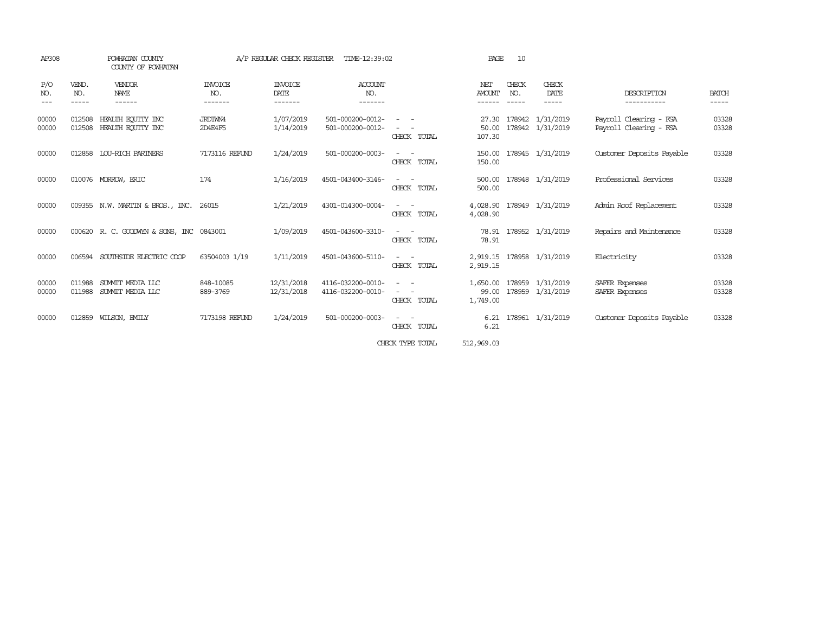| P/O<br>NO.     | VEND.<br>NO.<br>----- | <b>VENDOR</b><br>NAME                    | INVOICE                   |                                   |                                        |                                                                                                                                                                       |                                |                       |                                      |                                                  |                       |
|----------------|-----------------------|------------------------------------------|---------------------------|-----------------------------------|----------------------------------------|-----------------------------------------------------------------------------------------------------------------------------------------------------------------------|--------------------------------|-----------------------|--------------------------------------|--------------------------------------------------|-----------------------|
| $- - -$        |                       | ------                                   | NO.<br>-------            | <b>INVOICE</b><br>DATE<br>------- | ACCCOUNT<br>NO.<br>-------             |                                                                                                                                                                       | NET<br><b>AMOUNT</b><br>------ | CHECK<br>NO.<br>----- | CHECK<br>DATE<br>$- - - - -$         | DESCRIPTION<br>-----------                       | <b>BATCH</b><br>----- |
| 00000<br>00000 | 012508<br>012508      | HEALTH ECUTTY INC<br>HEALTH EQUITY INC   | <b>JRDTWN4</b><br>2D4E4F5 | 1/07/2019<br>1/14/2019            | 501-000200-0012-<br>501-000200-0012-   | $\sim$ 100 $\sim$<br>CHECK TOTAL                                                                                                                                      | 27.30<br>50.00<br>107.30       | 178942                | 1/31/2019<br>178942 1/31/2019        | Payroll Clearing - FSA<br>Payroll Clearing - FSA | 03328<br>03328        |
| 00000          | 012858                | LOU-RICH PARINERS                        | 7173116 REFUND            | 1/24/2019                         | 501-000200-0003-                       | CHECK TOTAL                                                                                                                                                           | 150.00<br>150.00               |                       | 178945 1/31/2019                     | Customer Deposits Payable                        | 03328                 |
| 00000          |                       | 010076 MORROW, ERIC                      | 174                       | 1/16/2019                         | 4501-043400-3146-                      | $\frac{1}{2} \left( \frac{1}{2} \right) \left( \frac{1}{2} \right) = \frac{1}{2} \left( \frac{1}{2} \right)$<br>CHECK TOTAL                                           | 500.00<br>500.00               |                       | 178948 1/31/2019                     | Professional Services                            | 03328                 |
| 00000          |                       | 009355 N.W. MARTIN & BROS., INC.         | 26015                     | 1/21/2019                         | 4301-014300-0004-                      | CHECK TOTAL                                                                                                                                                           | 4,028.90                       |                       | 4,028.90 178949 1/31/2019            | Admin Roof Replacement                           | 03328                 |
| 00000          |                       | 000620 R. C. GOODWYN & SONS, INC 0843001 |                           | 1/09/2019                         | 4501-043600-3310-                      | $\frac{1}{2} \left( \frac{1}{2} \right) \left( \frac{1}{2} \right) = \frac{1}{2} \left( \frac{1}{2} \right)$<br>CHECK TOTAL                                           | 78.91<br>78.91                 |                       | 178952 1/31/2019                     | Repairs and Maintenance                          | 03328                 |
| 00000          | 006594                | SOUTHSIDE ELECTRIC COOP                  | 63504003 1/19             | 1/11/2019                         | 4501-043600-5110-                      | $\sim$ 100 $\mu$<br>CHECK TOTAL                                                                                                                                       | 2,919.15<br>2,919.15           |                       | 178958 1/31/2019                     | Electricity                                      | 03328                 |
| 00000<br>00000 | 011988<br>011988      | SUMMIT MEDIA LLC<br>SUMMIT MEDIA LLC     | 848-10085<br>889-3769     | 12/31/2018<br>12/31/2018          | 4116-032200-0010-<br>4116-032200-0010- | $\sim 100$<br>$\overline{\phantom{a}}$<br>$\frac{1}{2} \left( \frac{1}{2} \right) \left( \frac{1}{2} \right) = \frac{1}{2} \left( \frac{1}{2} \right)$<br>CHECK TOTAL | 1,650.00<br>99.00<br>1,749.00  |                       | 178959 1/31/2019<br>178959 1/31/2019 | SAFER Expenses<br>SAFER Expenses                 | 03328<br>03328        |
| 00000          | 012859                | WILSON, EMILY                            | 7173198 REFUND            | 1/24/2019                         | 501-000200-0003-                       | CHECK TOTAL                                                                                                                                                           | 6.21<br>6.21                   |                       | 178961 1/31/2019                     | Customer Deposits Payable                        | 03328                 |

CHECK TYPE TOTAL 512,969.03